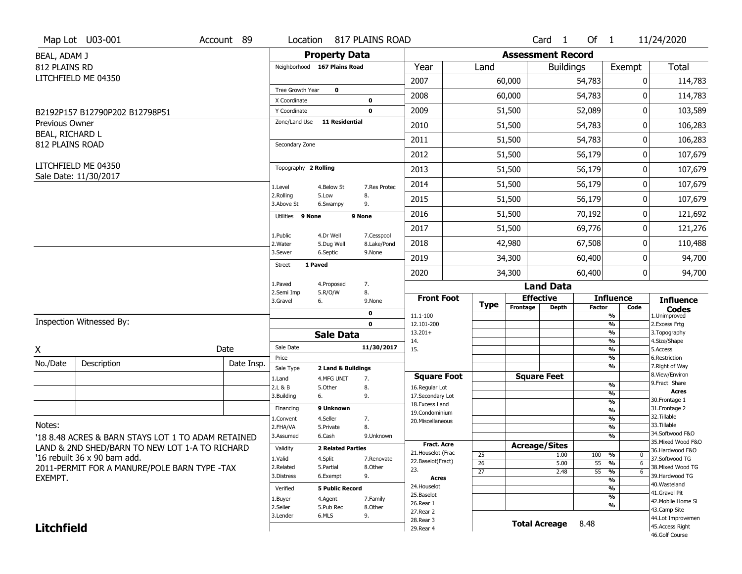|                                          | Map Lot U03-001                                    | Account 89 |                               |                              | Location 817 PLAINS ROAD |                                         |                                    |                          | Card <sub>1</sub>    | Of 1            |                                           | 11/24/2020                            |
|------------------------------------------|----------------------------------------------------|------------|-------------------------------|------------------------------|--------------------------|-----------------------------------------|------------------------------------|--------------------------|----------------------|-----------------|-------------------------------------------|---------------------------------------|
| BEAL, ADAM J                             |                                                    |            |                               | <b>Property Data</b>         |                          |                                         |                                    | <b>Assessment Record</b> |                      |                 |                                           |                                       |
| 812 PLAINS RD                            |                                                    |            |                               | Neighborhood 167 Plains Road |                          | Year                                    | Land                               |                          | <b>Buildings</b>     |                 | Exempt                                    | <b>Total</b>                          |
|                                          | LITCHFIELD ME 04350                                |            |                               |                              |                          | 2007                                    |                                    | 60,000                   |                      | 54,783          | 0                                         | 114,783                               |
|                                          |                                                    |            | Tree Growth Year              | $\mathbf 0$                  |                          | 2008                                    |                                    | 60,000                   |                      | 54,783          | ŋ                                         | 114,783                               |
|                                          |                                                    |            | X Coordinate                  |                              | 0                        |                                         |                                    |                          |                      |                 |                                           |                                       |
|                                          | B2192P157 B12790P202 B12798P51                     |            | Y Coordinate<br>Zone/Land Use | <b>11 Residential</b>        | $\mathbf 0$              | 2009                                    |                                    | 51,500                   |                      | 52,089          | 0                                         | 103,589                               |
| <b>Previous Owner</b><br>BEAL, RICHARD L |                                                    |            |                               |                              |                          | 2010                                    |                                    | 51,500                   |                      | 54,783          | 0                                         | 106,283                               |
| 812 PLAINS ROAD                          |                                                    |            | Secondary Zone                |                              |                          | 2011                                    |                                    | 51,500                   |                      | 54,783          | 0                                         | 106,283                               |
|                                          |                                                    |            |                               |                              |                          | 2012                                    |                                    | 51,500                   |                      | 56,179          | 0                                         | 107,679                               |
|                                          | LITCHFIELD ME 04350<br>Sale Date: 11/30/2017       |            | Topography 2 Rolling          |                              |                          | 2013                                    |                                    | 51,500                   |                      | 56,179          | 0                                         | 107,679                               |
|                                          |                                                    |            | 1.Level                       | 4.Below St                   | 7.Res Protec             | 2014                                    |                                    | 51,500                   |                      | 56,179          | 0                                         | 107,679                               |
|                                          |                                                    |            | 2.Rolling<br>3.Above St       | 5.Low<br>6.Swampy            | 8.<br>9.                 | 2015                                    |                                    | 51,500                   |                      | 56,179          | 0                                         | 107,679                               |
|                                          |                                                    |            | Utilities 9 None              |                              | 9 None                   | 2016                                    |                                    | 51,500                   |                      | 70,192          | 0                                         | 121,692                               |
|                                          |                                                    |            | 1.Public                      | 4.Dr Well                    | 7.Cesspool               | 2017                                    |                                    | 51,500                   |                      | 69,776          | 0                                         | 121,276                               |
|                                          |                                                    |            | 2. Water                      | 5.Dug Well                   | 8.Lake/Pond              | 2018                                    |                                    | 42,980                   |                      | 67,508          | 0                                         | 110,488                               |
|                                          |                                                    |            | 3.Sewer<br><b>Street</b>      | 6.Septic<br>1 Paved          | 9.None                   | 2019                                    |                                    | 34,300                   |                      | 60,400          | 0                                         | 94,700                                |
|                                          |                                                    |            |                               |                              |                          | 2020                                    |                                    | 34,300                   |                      | 60,400          | 0                                         | 94,700                                |
|                                          |                                                    |            | 1.Paved<br>2.Semi Imp         | 4.Proposed<br>5.R/O/W        | 7.<br>8.                 |                                         |                                    |                          | <b>Land Data</b>     |                 |                                           |                                       |
|                                          |                                                    |            | 3.Gravel                      | 6.                           | 9.None                   | <b>Front Foot</b>                       | <b>Type</b>                        |                          | <b>Effective</b>     |                 | <b>Influence</b>                          | <b>Influence</b>                      |
|                                          |                                                    |            |                               |                              | 0                        | 11.1-100                                |                                    | Frontage                 | <b>Depth</b>         | <b>Factor</b>   | Code<br>%                                 | <b>Codes</b><br>1.Unimproved          |
|                                          | Inspection Witnessed By:                           |            |                               |                              | $\mathbf 0$              | 12.101-200<br>$13.201+$                 |                                    |                          |                      |                 | %<br>%                                    | 2.Excess Frtg<br>3. Topography        |
|                                          |                                                    |            |                               | <b>Sale Data</b>             |                          | 14.                                     |                                    |                          |                      |                 | %                                         | 4.Size/Shape                          |
| X                                        |                                                    | Date       | Sale Date<br>Price            |                              | 11/30/2017               | 15.                                     |                                    |                          |                      |                 | %<br>%                                    | 5.Access<br>6.Restriction             |
| No./Date                                 | Description                                        | Date Insp. | Sale Type                     | 2 Land & Buildings           |                          |                                         |                                    |                          |                      |                 | %                                         | 7. Right of Way                       |
|                                          |                                                    |            | 1.Land                        | 4.MFG UNIT                   | 7.                       | <b>Square Foot</b>                      |                                    |                          | <b>Square Feet</b>   |                 |                                           | 8.View/Environ<br>9. Fract Share      |
|                                          |                                                    |            | 2.L & B                       | 5.Other                      | 8.                       | 16.Regular Lot                          |                                    |                          |                      |                 | $\frac{9}{6}$<br>%                        | <b>Acres</b>                          |
|                                          |                                                    |            | 3.Building                    | 6.                           | 9.                       | 17.Secondary Lot<br>18. Excess Land     |                                    |                          |                      |                 | $\frac{9}{6}$                             | 30. Frontage 1                        |
|                                          |                                                    |            | Financing                     | 9 Unknown                    |                          | 19.Condominium                          |                                    |                          |                      |                 | $\overline{\frac{9}{6}}$                  | 31. Frontage 2<br>32.Tillable         |
| Notes:                                   |                                                    |            | 1.Convent<br>2.FHA/VA         | 4.Seller<br>5.Private        | 7.<br>8.                 | 20.Miscellaneous                        |                                    |                          |                      |                 | $\frac{9}{6}$<br>$\overline{\frac{9}{6}}$ | 33.Tillable                           |
|                                          | '18 8.48 ACRES & BARN STAYS LOT 1 TO ADAM RETAINED |            | 3.Assumed                     | 6.Cash                       | 9.Unknown                |                                         |                                    |                          |                      |                 | $\frac{9}{6}$                             | 34.Softwood F&O                       |
|                                          | LAND & 2ND SHED/BARN TO NEW LOT 1-A TO RICHARD     |            | Validity                      | <b>2 Related Parties</b>     |                          | <b>Fract. Acre</b>                      |                                    |                          | <b>Acreage/Sites</b> |                 |                                           | 35. Mixed Wood F&O<br>36.Hardwood F&O |
|                                          | '16 rebuilt 36 x 90 barn add.                      |            | 1.Valid                       | 4.Split                      | 7.Renovate               | 21. Houselot (Frac<br>22.Baselot(Fract) | 25                                 |                          | 1.00                 | 100             | %<br>$\mathbf 0$                          | 37.Softwood TG                        |
|                                          | 2011-PERMIT FOR A MANURE/POLE BARN TYPE -TAX       |            | 2.Related                     | 5.Partial                    | 8.Other                  | 23.                                     | $\overline{26}$<br>$\overline{27}$ |                          | 5.00                 | 55<br>$55 - 96$ | %<br>6<br>6                               | 38. Mixed Wood TG                     |
| EXEMPT.                                  |                                                    |            | 3.Distress                    | 6.Exempt                     | 9.                       | <b>Acres</b>                            |                                    |                          | 2.48                 |                 | %                                         | 39.Hardwood TG                        |
|                                          |                                                    |            | Verified                      | <b>5 Public Record</b>       |                          | 24. Houselot                            |                                    |                          |                      |                 | %                                         | 40. Wasteland                         |
|                                          |                                                    |            | 1.Buyer                       | 4.Agent                      | 7.Family                 | 25.Baselot                              |                                    |                          |                      |                 | %                                         | 41.Gravel Pit<br>42. Mobile Home Si   |
|                                          |                                                    |            | 2.Seller                      | 5.Pub Rec                    | 8.Other                  | 26.Rear 1<br>27. Rear 2                 |                                    |                          |                      |                 | %                                         | 43.Camp Site                          |
| <b>Litchfield</b>                        |                                                    |            | 3.Lender                      | 6.MLS                        | 9.                       |                                         |                                    |                          |                      |                 |                                           | 44.Lot Improvemen                     |
|                                          |                                                    |            |                               |                              |                          | 28.Rear 3                               |                                    | <b>Total Acreage</b>     |                      | 8.48            |                                           | 45.Access Right                       |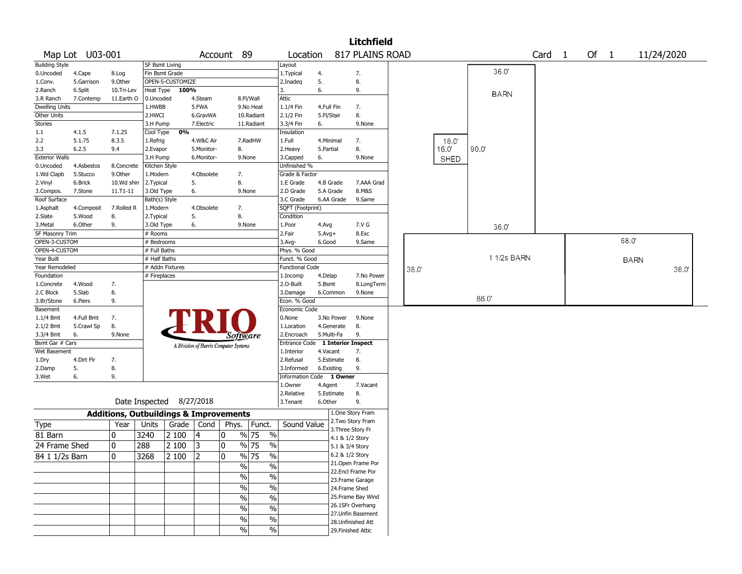|                       |                 |                                                   |                       |                          |                                       |               |                                   |                          |            |                 | <b>Litchfield</b>                     |      |             |      |             |        |      |             |            |  |
|-----------------------|-----------------|---------------------------------------------------|-----------------------|--------------------------|---------------------------------------|---------------|-----------------------------------|--------------------------|------------|-----------------|---------------------------------------|------|-------------|------|-------------|--------|------|-------------|------------|--|
|                       | Map Lot U03-001 |                                                   |                       |                          |                                       | Account 89    |                                   | Location                 |            |                 | 817 PLAINS ROAD                       |      |             |      |             | Card 1 | Of 1 |             | 11/24/2020 |  |
| <b>Building Style</b> |                 |                                                   | <b>SF Bsmt Living</b> |                          |                                       |               |                                   | Layout                   |            |                 |                                       |      |             |      |             |        |      |             |            |  |
| 0.Uncoded             | 4.Cape          | 8.Log                                             | Fin Bsmt Grade        |                          |                                       |               |                                   | 1. Typical               | 4.         |                 | 7.                                    |      |             |      | 36.0'       |        |      |             |            |  |
| 1.Conv.               | 5.Garrison      | 9.0ther                                           |                       | OPEN-5-CUSTOMIZE         |                                       |               |                                   | 2.Inadeg                 | 5.         |                 | 8.                                    |      |             |      |             |        |      |             |            |  |
| 2.Ranch               | 6.Split         | 10.Tri-Lev                                        |                       | Heat Type 100%           |                                       |               |                                   | 3.                       | 6.         |                 | 9.                                    |      |             |      | <b>BARN</b> |        |      |             |            |  |
| 3.R Ranch             | 7.Contemp       | 11.Earth O                                        | 0.Uncoded             |                          | 4.Steam                               |               | 8.Fl/Wall                         | Attic                    |            |                 |                                       |      |             |      |             |        |      |             |            |  |
| <b>Dwelling Units</b> |                 |                                                   | 1.HWBB                |                          | 5.FWA                                 |               | 9.No Heat                         | 1.1/4 Fin                | 4.Full Fin |                 | 7.                                    |      |             |      |             |        |      |             |            |  |
| Other Units           |                 |                                                   | 2.HWCI                |                          | 6.GravWA                              |               | 10.Radiant                        | 2.1/2 Fin                | 5.Fl/Stair |                 | 8.                                    |      |             |      |             |        |      |             |            |  |
| Stories               |                 |                                                   | 3.H Pump              |                          | 7.Electric                            |               | 11.Radiant                        | 3.3/4 Fin                | 6.         |                 | 9.None                                |      |             |      |             |        |      |             |            |  |
| 1.1                   | 4.1.5           | 7.1.25                                            | Cool Type             | 0%                       |                                       |               |                                   | Insulation               |            |                 |                                       |      |             |      |             |        |      |             |            |  |
| 2.2                   | 5.1.75          | 8.3.5                                             | 1.Refrig              |                          | 4.W&C Air                             |               | 7.RadHW                           | 1.Full                   |            | 4.Minimal       | 7.                                    |      | 18.0        |      |             |        |      |             |            |  |
| 3.3                   | 6.2.5           | 9.4                                               | 2.Evapor              |                          | 5.Monitor-                            | 8.            |                                   | 2.Heavy                  | 5.Partial  |                 | 8.                                    |      | 16.0        | 90.0 |             |        |      |             |            |  |
| <b>Exterior Walls</b> |                 |                                                   | 3.H Pump              |                          | 6.Monitor-                            |               | 9.None                            | 3.Capped                 | 6.         |                 | 9.None                                |      | <b>SHED</b> |      |             |        |      |             |            |  |
| 0.Uncoded             | 4.Asbestos      | 8.Concrete                                        | Kitchen Style         |                          |                                       |               |                                   | Unfinished %             |            |                 |                                       |      |             |      |             |        |      |             |            |  |
| 1.Wd Clapb            | 5.Stucco        | 9.0ther                                           | 1.Modern              |                          | 4.Obsolete                            | 7.            |                                   | Grade & Factor           |            |                 |                                       |      |             |      |             |        |      |             |            |  |
| 2.Vinyl               | 6.Brick         | 10.Wd shin                                        | 2. Typical            |                          | 5.                                    | 8.            |                                   | 1.E Grade                |            | 4.B Grade       | 7.AAA Grad                            |      |             |      |             |        |      |             |            |  |
| 3.Compos.             | 7.Stone         | 11.T1-11                                          | 3.Old Type            |                          | 6.                                    |               | 9.None                            | 2.D Grade                |            | 5.A Grade       | 8.M&S                                 |      |             |      |             |        |      |             |            |  |
| Roof Surface          |                 |                                                   | Bath(s) Style         |                          |                                       |               |                                   | 3.C Grade                |            | 6.AA Grade      | 9.Same                                |      |             |      |             |        |      |             |            |  |
| 1.Asphalt             | 4.Composit      | 7.Rolled R                                        | 1.Modern              |                          | 4.Obsolete                            | 7.            |                                   | SQFT (Footprint)         |            |                 |                                       |      |             |      |             |        |      |             |            |  |
| 2.Slate               | 5.Wood          | 8.                                                | 2.Typical             |                          | 5.                                    | 8.            |                                   | Condition                |            |                 |                                       |      |             |      |             |        |      |             |            |  |
| 3. Metal              | 6.Other         | 9.                                                | 3.Old Type            |                          | 6.                                    |               | 9.None                            | 1.Poor                   | 4.Avg      |                 | 7.V G                                 |      |             |      | 36.0'       |        |      |             |            |  |
| SF Masonry Trim       |                 |                                                   | # Rooms               |                          |                                       |               |                                   | 2.Fair                   | $5.Avg+$   |                 | 8.Exc                                 |      |             |      |             |        |      |             |            |  |
| OPEN-3-CUSTOM         |                 |                                                   | # Bedrooms            |                          |                                       |               |                                   | 3.Avg-                   | 6.Good     |                 | 9.Same                                |      |             |      |             |        |      | 68.0        |            |  |
| OPEN-4-CUSTOM         |                 |                                                   | # Full Baths          |                          |                                       |               |                                   | Phys. % Good             |            |                 |                                       |      |             |      |             |        |      |             |            |  |
| Year Built            |                 |                                                   | # Half Baths          |                          |                                       |               |                                   | Funct. % Good            |            |                 |                                       |      |             |      | 11/2s BARN  |        |      | <b>BARN</b> |            |  |
| Year Remodeled        |                 |                                                   |                       | # Addn Fixtures          |                                       |               |                                   | <b>Functional Code</b>   |            |                 |                                       | 38.0 |             |      |             |        |      |             | 38.0       |  |
| Foundation            |                 |                                                   | # Fireplaces          |                          |                                       |               |                                   | 1.Incomp                 | 4.Delap    |                 | 7.No Power                            |      |             |      |             |        |      |             |            |  |
| 1.Concrete            | 4.Wood          | 7.                                                |                       |                          |                                       |               |                                   | 2.O-Built                | 5.Bsmt     |                 | 8.LongTerm                            |      |             |      |             |        |      |             |            |  |
| 2.C Block             | 5.Slab          | 8.                                                |                       |                          |                                       |               |                                   | 3.Damage                 |            | 6.Common        | 9.None                                |      |             |      |             |        |      |             |            |  |
| 3.Br/Stone            | 6.Piers         | 9.                                                |                       |                          |                                       |               |                                   | Econ. % Good             |            |                 |                                       |      |             | 86.0 |             |        |      |             |            |  |
| Basement              |                 |                                                   |                       |                          |                                       |               |                                   | Economic Code            |            |                 |                                       |      |             |      |             |        |      |             |            |  |
| $1.1/4$ Bmt           | 4.Full Bmt      | 7.                                                |                       |                          |                                       |               |                                   | 0.None                   |            | 3.No Power      | 9.None                                |      |             |      |             |        |      |             |            |  |
| 2.1/2 Bmt             | 5.Crawl Sp      | 8.                                                |                       |                          |                                       |               |                                   | 1.Location               |            | 4.Generate      | 8.                                    |      |             |      |             |        |      |             |            |  |
| 3.3/4 Bmt             | 6.              | 9.None                                            |                       |                          |                                       | Software      |                                   | 2.Encroach               |            | 5.Multi-Fa      | 9.                                    |      |             |      |             |        |      |             |            |  |
| Bsmt Gar # Cars       |                 |                                                   |                       |                          | A Division of Harris Computer Systems |               |                                   | Entrance Code            |            |                 | <b>1 Interior Inspect</b>             |      |             |      |             |        |      |             |            |  |
| Wet Basement          |                 |                                                   |                       |                          |                                       |               |                                   | 1.Interior               | 4.Vacant   |                 | 7.                                    |      |             |      |             |        |      |             |            |  |
| 1.Dry                 | 4.Dirt Flr      | 7.                                                |                       |                          |                                       |               |                                   | 2.Refusal                |            | 5.Estimate      | 8.                                    |      |             |      |             |        |      |             |            |  |
| 2.Damp                | 5.              | 8.                                                |                       |                          |                                       |               |                                   | 3.Informed               |            | 6.Existing      | 9.                                    |      |             |      |             |        |      |             |            |  |
| 3.Wet                 | 6.              | 9.                                                |                       |                          |                                       |               |                                   | Information Code 1 Owner |            |                 |                                       |      |             |      |             |        |      |             |            |  |
|                       |                 |                                                   |                       |                          |                                       |               |                                   | 1.0wner                  | 4.Agent    |                 | 7.Vacant                              |      |             |      |             |        |      |             |            |  |
|                       |                 |                                                   |                       |                          |                                       |               |                                   | 2.Relative               |            | 5.Estimate      | 8.                                    |      |             |      |             |        |      |             |            |  |
|                       |                 |                                                   |                       | Date Inspected 8/27/2018 |                                       |               |                                   | 3.Tenant                 | 6.Other    |                 | 9.                                    |      |             |      |             |        |      |             |            |  |
|                       |                 | <b>Additions, Outbuildings &amp; Improvements</b> |                       |                          |                                       |               |                                   |                          |            |                 | 1.One Story Fram<br>2. Two Story Fram |      |             |      |             |        |      |             |            |  |
| Type                  |                 | Year                                              | Units                 | Grade                    | Cond                                  | Phys.         | Funct.                            | Sound Value              |            |                 | 3. Three Story Fr                     |      |             |      |             |        |      |             |            |  |
| 81 Barn               |                 | 0                                                 | 3240                  | 2 100                    | 14                                    | 0             | $\%$<br>% 75                      |                          |            |                 | 4.1 & 1/2 Story                       |      |             |      |             |        |      |             |            |  |
| 24 Frame Shed         |                 | 0                                                 | 288                   | 2 100                    | 3                                     | $\mathbf 0$   | % 75<br>$\%$                      |                          |            | 5.1 & 3/4 Story |                                       |      |             |      |             |        |      |             |            |  |
|                       |                 |                                                   | 3268                  | 2100                     |                                       |               | $\frac{9}{6}$ 75<br>$\frac{0}{6}$ |                          |            |                 | 6.2 & 1/2 Story                       |      |             |      |             |        |      |             |            |  |
| 84 1 1/2s Barn        |                 | 10                                                |                       |                          | 2                                     | 10            |                                   |                          |            |                 | 21. Open Frame Por                    |      |             |      |             |        |      |             |            |  |
|                       |                 |                                                   |                       |                          |                                       | $\frac{1}{2}$ | $\%$                              |                          |            |                 | 22.Encl Frame Por                     |      |             |      |             |        |      |             |            |  |
|                       |                 |                                                   |                       |                          |                                       | $\frac{1}{2}$ | $\%$                              |                          |            |                 | 23. Frame Garage                      |      |             |      |             |        |      |             |            |  |
|                       |                 |                                                   |                       |                          |                                       | $\%$          | $\%$                              |                          |            |                 | 24.Frame Shed                         |      |             |      |             |        |      |             |            |  |
|                       |                 |                                                   |                       |                          |                                       |               |                                   |                          |            |                 | 25. Frame Bay Wind                    |      |             |      |             |        |      |             |            |  |
|                       |                 |                                                   |                       |                          |                                       | $\%$          | $\%$                              |                          |            |                 | 26.1SFr Overhang                      |      |             |      |             |        |      |             |            |  |
|                       |                 |                                                   |                       |                          |                                       | $\%$          | $\%$                              |                          |            |                 | 27. Unfin Basement                    |      |             |      |             |        |      |             |            |  |
|                       |                 |                                                   |                       |                          |                                       | $\%$          | $\%$                              |                          |            |                 | 28. Unfinished Att                    |      |             |      |             |        |      |             |            |  |
|                       |                 |                                                   |                       |                          |                                       | $\%$          | $\%$                              |                          |            |                 | 29. Finished Attic                    |      |             |      |             |        |      |             |            |  |
|                       |                 |                                                   |                       |                          |                                       |               |                                   |                          |            |                 |                                       |      |             |      |             |        |      |             |            |  |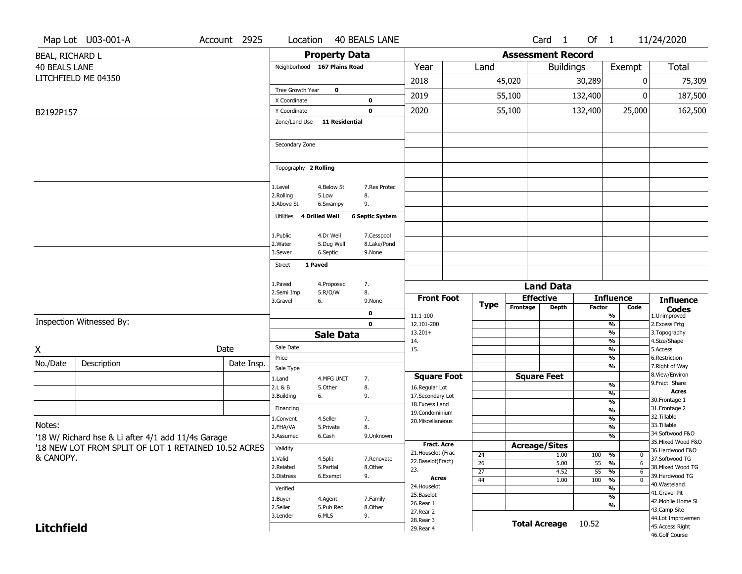|                      | Map Lot U03-001-A                                    | Account 2925 |  | Location                     |                       | <b>40 BEALS LANE</b>   |                                    |                       |                          | Card <sub>1</sub>    | Of $1$          |                                | 11/24/2020                               |
|----------------------|------------------------------------------------------|--------------|--|------------------------------|-----------------------|------------------------|------------------------------------|-----------------------|--------------------------|----------------------|-----------------|--------------------------------|------------------------------------------|
| BEAL, RICHARD L      |                                                      |              |  |                              | <b>Property Data</b>  |                        |                                    |                       | <b>Assessment Record</b> |                      |                 |                                |                                          |
| <b>40 BEALS LANE</b> |                                                      |              |  | Neighborhood 167 Plains Road |                       |                        | Year                               | Land                  |                          | <b>Buildings</b>     |                 | Exempt                         | Total                                    |
|                      | LITCHFIELD ME 04350                                  |              |  |                              |                       |                        | 2018                               |                       | 45,020                   |                      | 30,289          |                                | 75,309<br>0                              |
|                      |                                                      |              |  | Tree Growth Year             | $\mathbf 0$           |                        |                                    |                       |                          |                      |                 |                                |                                          |
|                      |                                                      |              |  | X Coordinate                 |                       | 0                      | 2019                               |                       | 55,100                   |                      | 132,400         |                                | 187,500<br>ŋ                             |
| B2192P157            |                                                      |              |  | Y Coordinate                 |                       | 0                      | 2020                               |                       | 55,100                   |                      | 132,400         | 25,000                         | 162,500                                  |
|                      |                                                      |              |  | Zone/Land Use 11 Residential |                       |                        |                                    |                       |                          |                      |                 |                                |                                          |
|                      |                                                      |              |  |                              |                       |                        |                                    |                       |                          |                      |                 |                                |                                          |
|                      |                                                      |              |  | Secondary Zone               |                       |                        |                                    |                       |                          |                      |                 |                                |                                          |
|                      |                                                      |              |  |                              |                       |                        |                                    |                       |                          |                      |                 |                                |                                          |
|                      |                                                      |              |  | Topography 2 Rolling         |                       |                        |                                    |                       |                          |                      |                 |                                |                                          |
|                      |                                                      |              |  | 1.Level                      | 4.Below St            | 7.Res Protec           |                                    |                       |                          |                      |                 |                                |                                          |
|                      |                                                      |              |  | 2.Rolling                    | 5.Low                 | 8.                     |                                    |                       |                          |                      |                 |                                |                                          |
|                      |                                                      |              |  | 3.Above St                   | 6.Swampy              | 9.                     |                                    |                       |                          |                      |                 |                                |                                          |
|                      |                                                      |              |  | 4 Drilled Well<br>Utilities  |                       | <b>6 Septic System</b> |                                    |                       |                          |                      |                 |                                |                                          |
|                      |                                                      |              |  | 1.Public                     | 4.Dr Well             | 7.Cesspool             |                                    |                       |                          |                      |                 |                                |                                          |
|                      |                                                      |              |  | 2. Water                     | 5.Dug Well            | 8.Lake/Pond            |                                    |                       |                          |                      |                 |                                |                                          |
|                      |                                                      |              |  | 3.Sewer                      | 6.Septic              | 9.None                 |                                    |                       |                          |                      |                 |                                |                                          |
|                      |                                                      |              |  | 1 Paved<br>Street            |                       |                        |                                    |                       |                          |                      |                 |                                |                                          |
|                      |                                                      |              |  | 1.Paved                      | 4.Proposed            | 7.                     |                                    |                       |                          | <b>Land Data</b>     |                 |                                |                                          |
|                      |                                                      |              |  | 2.Semi Imp                   | 5.R/O/W               | 8.                     | <b>Front Foot</b>                  |                       |                          | <b>Effective</b>     |                 | <b>Influence</b>               |                                          |
|                      |                                                      |              |  | 3.Gravel<br>6.               |                       | 9.None                 |                                    | <b>Type</b>           | Frontage                 | <b>Depth</b>         | <b>Factor</b>   | Code                           | <b>Influence</b><br><b>Codes</b>         |
|                      | Inspection Witnessed By:                             |              |  |                              |                       | 0                      | 11.1-100                           |                       |                          |                      |                 | %                              | 1.Unimproved                             |
|                      |                                                      |              |  |                              | <b>Sale Data</b>      | 0                      | 12.101-200<br>$13.201+$            |                       |                          |                      |                 | %<br>%                         | 2. Excess Frtg<br>3. Topography          |
|                      |                                                      |              |  | Sale Date                    |                       |                        | 14.                                |                       |                          |                      |                 | %                              | 4.Size/Shape                             |
| X                    |                                                      | Date         |  | Price                        |                       |                        | 15.                                |                       |                          |                      |                 | %<br>%                         | 5.Access<br>6.Restriction                |
| No./Date             | Description                                          | Date Insp.   |  | Sale Type                    |                       |                        |                                    |                       |                          |                      |                 | %                              | 7. Right of Way                          |
|                      |                                                      |              |  | 1.Land                       | 4.MFG UNIT            | 7.                     | <b>Square Foot</b>                 |                       |                          | <b>Square Feet</b>   |                 |                                | 8.View/Environ<br>9.Fract Share          |
|                      |                                                      |              |  | 2.L & B                      | 5.Other               | 8.                     | 16.Regular Lot                     |                       |                          |                      |                 | %<br>%                         | <b>Acres</b>                             |
|                      |                                                      |              |  | 3.Building<br>6.             |                       | 9.                     | 17.Secondary Lot<br>18.Excess Land |                       |                          |                      |                 | $\frac{9}{6}$                  | 30. Frontage 1                           |
|                      |                                                      |              |  | Financing                    |                       |                        | 19.Condominium                     |                       |                          |                      |                 | %                              | 31. Frontage 2<br>32. Tillable           |
| Notes:               |                                                      |              |  | 1.Convent<br>2.FHA/VA        | 4.Seller<br>5.Private | 7.<br>8.               | 20.Miscellaneous                   |                       |                          |                      |                 | $\frac{9}{6}$<br>$\frac{9}{6}$ | 33.Tillable                              |
|                      | '18 W/ Richard hse & Li after 4/1 add 11/4s Garage   |              |  | 3.Assumed                    | 6.Cash                | 9.Unknown              |                                    |                       |                          |                      |                 | %                              | 34.Softwood F&O                          |
|                      | '18 NEW LOT FROM SPLIT OF LOT 1 RETAINED 10.52 ACRES |              |  | Validity                     |                       |                        | Fract. Acre<br>21. Houselot (Frac  |                       |                          | <b>Acreage/Sites</b> |                 |                                | 35. Mixed Wood F&O<br>36.Hardwood F&O    |
| & CANOPY.            |                                                      |              |  | 1.Valid                      | 4.Split               | 7.Renovate             | 22.Baselot(Fract)                  | 24<br>$\overline{26}$ |                          | 1.00<br>5.00         | 100<br>55       | %<br>%                         | 0<br>37.Softwood TG<br>6                 |
|                      |                                                      |              |  | 2.Related<br>3.Distress      | 5.Partial<br>6.Exempt | 8.Other<br>9.          | 23.                                | $\overline{27}$       |                          | 4.52                 | $\overline{55}$ | $\frac{9}{6}$                  | 38. Mixed Wood TG<br>6<br>39.Hardwood TG |
|                      |                                                      |              |  | Verified                     |                       |                        | <b>Acres</b><br>24. Houselot       | $\overline{44}$       |                          | 1.00                 | 100             | $\frac{9}{6}$<br>%             | $\overline{0}$<br>40.Wasteland           |
|                      |                                                      |              |  | 1.Buyer                      | 4.Agent               | 7.Family               | 25.Baselot                         |                       |                          |                      |                 | $\frac{9}{6}$                  | 41.Gravel Pit                            |
|                      |                                                      |              |  | 2.Seller                     | 5.Pub Rec             | 8.Other                | 26.Rear 1                          |                       |                          |                      |                 | %                              | 42. Mobile Home Si<br>43.Camp Site       |
|                      |                                                      |              |  | 3.Lender                     | 6.MLS                 | 9.                     | 27. Rear 2<br>28. Rear 3           |                       |                          | <b>Total Acreage</b> | 10.52           |                                | 44.Lot Improvemen                        |
| <b>Litchfield</b>    |                                                      |              |  |                              |                       |                        | 29. Rear 4                         |                       |                          |                      |                 |                                | 45.Access Right<br>46.Golf Course        |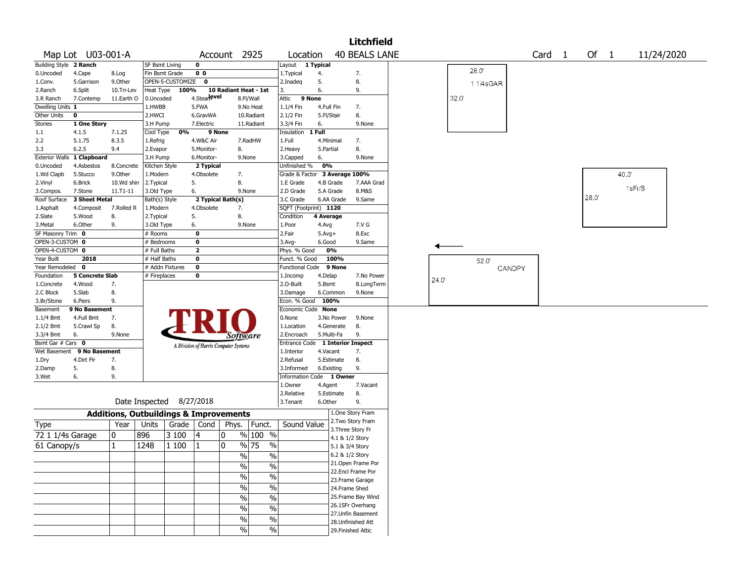|                                    |                        |                                                   |                              |                  |                                       |                       |              |                               |            |            | <b>Litchfield</b>                     |      |      |          |        |        |        |                   |        |            |  |
|------------------------------------|------------------------|---------------------------------------------------|------------------------------|------------------|---------------------------------------|-----------------------|--------------|-------------------------------|------------|------------|---------------------------------------|------|------|----------|--------|--------|--------|-------------------|--------|------------|--|
|                                    | Map Lot U03-001-A      |                                                   |                              |                  |                                       | Account 2925          |              | Location                      |            |            | <b>40 BEALS LANE</b>                  |      |      |          |        | Card 1 | Of $1$ |                   |        | 11/24/2020 |  |
| <b>Building Style 2 Ranch</b>      |                        |                                                   | <b>SF Bsmt Living</b>        |                  | $\mathbf 0$                           |                       |              | Layout                        | 1 Typical  |            |                                       |      |      |          |        |        |        |                   |        |            |  |
| 0.Uncoded                          | 4.Cape                 | 8.Log                                             | Fin Bsmt Grade               |                  | 0 <sub>0</sub>                        |                       |              | 1.Typical                     | 4.         |            | 7.                                    |      |      | 28.0     |        |        |        |                   |        |            |  |
| 1.Conv.                            | 5.Garrison             | 9.0ther                                           |                              | OPEN-5-CUSTOMIZE | $\mathbf 0$                           |                       |              | 2.Inadeg                      | 5.         |            | 8.                                    |      |      | 11/4sGAR |        |        |        |                   |        |            |  |
| 2.Ranch                            | 6.Split                | 10.Tri-Lev                                        | Heat Type                    | 100%             |                                       | 10 Radiant Heat - 1st |              | 3.                            | 6.         |            | 9.                                    |      |      |          |        |        |        |                   |        |            |  |
| 3.R Ranch                          | 7.Contemp              | 11.Earth O                                        | 0.Uncoded                    |                  | 4.Stear evel                          |                       | 8.Fl/Wall    | Attic<br>9 None               |            |            |                                       |      | 32.0 |          |        |        |        |                   |        |            |  |
| Dwelling Units 1                   |                        |                                                   | 1.HWBB                       |                  | 5.FWA                                 |                       | 9.No Heat    | 1.1/4 Fin                     | 4.Full Fin |            | 7.                                    |      |      |          |        |        |        |                   |        |            |  |
| Other Units                        | $\mathbf 0$            |                                                   | 2.HWCI                       |                  | 6.GravWA                              |                       | 10.Radiant   | 2.1/2 Fin                     | 5.Fl/Stair |            | 8.                                    |      |      |          |        |        |        |                   |        |            |  |
| Stories                            | 1 One Story            |                                                   | 3.H Pump                     |                  | 7.Electric                            |                       | 11.Radiant   | 3.3/4 Fin                     | 6.         |            | 9.None                                |      |      |          |        |        |        |                   |        |            |  |
| 1.1                                | 4.1.5                  | 7.1.25                                            | Cool Type                    | 0%               | 9 None                                |                       |              | Insulation                    | 1 Full     |            |                                       |      |      |          |        |        |        |                   |        |            |  |
| 2.2                                | 5.1.75                 | 8.3.5                                             | 1.Refrig                     |                  | 4.W&C Air                             |                       | 7.RadHW      | 1.Full                        |            | 4.Minimal  | 7.                                    |      |      |          |        |        |        |                   |        |            |  |
| 3.3                                | 6.2.5                  | 9.4                                               | 2.Evapor                     |                  | 5.Monitor-                            | 8.                    |              | 2. Heavy                      | 5.Partial  |            | 8.                                    |      |      |          |        |        |        |                   |        |            |  |
| <b>Exterior Walls</b>              | 1 Clapboard            |                                                   | 3.H Pump                     |                  | 6.Monitor-                            |                       | 9.None       | 3.Capped                      | 6.         |            | 9.None                                |      |      |          |        |        |        |                   |        |            |  |
| 0.Uncoded                          | 4.Asbestos             | 8.Concrete                                        | Kitchen Style                |                  | 2 Typical                             |                       |              | Unfinished %                  | 0%         |            |                                       |      |      |          |        |        |        |                   |        |            |  |
| 1.Wd Clapb                         | 5.Stucco               | 9.0ther                                           | 1.Modern                     |                  | 4.Obsolete                            | 7.                    |              | Grade & Factor                |            |            | 3 Average 100%                        |      |      |          |        |        |        | 40.0 <sup>°</sup> |        |            |  |
| 2.Vinyl                            | 6.Brick                | 10.Wd shin                                        | 2. Typical                   |                  | 5.                                    | 8.                    |              | 1.E Grade                     |            | 4.B Grade  | 7.AAA Grad                            |      |      |          |        |        |        |                   | 1sFr/S |            |  |
| 3.Compos.                          | 7.Stone                | 11.T1-11                                          | 3.Old Type                   |                  | 6.                                    |                       | 9.None       | 2.D Grade                     |            | 5.A Grade  | 8.M&S                                 |      |      |          |        |        | 28.0   |                   |        |            |  |
| Roof Surface                       | 3 Sheet Metal          |                                                   | Bath(s) Style                |                  |                                       | 2 Typical Bath(s)     |              | 3.C Grade                     |            | 6.AA Grade | 9.Same                                |      |      |          |        |        |        |                   |        |            |  |
| 1.Asphalt                          | 4.Composit             | 7.Rolled R                                        | 1.Modern                     |                  | 4.Obsolete                            | 7.                    |              | SQFT (Footprint) 1120         |            |            |                                       |      |      |          |        |        |        |                   |        |            |  |
| 2.Slate                            | 5.Wood                 | 8.                                                | 2. Typical                   |                  | 5.                                    | 8.                    |              | Condition                     | 4 Average  |            |                                       |      |      |          |        |        |        |                   |        |            |  |
| 3.Metal                            | 6.Other                | 9.                                                | 3.Old Type                   |                  | 6.                                    |                       | 9.None       | 1.Poor                        | 4.Avg      |            | 7.V G                                 |      |      |          |        |        |        |                   |        |            |  |
| SF Masonry Trim 0                  |                        |                                                   | # Rooms                      |                  | $\bf{0}$                              |                       |              | 2.Fair                        | $5.Avg+$   |            | 8.Exc                                 |      |      |          |        |        |        |                   |        |            |  |
| OPEN-3-CUSTOM 0<br>OPEN-4-CUSTOM 0 |                        |                                                   | # Bedrooms                   |                  | $\bf{0}$<br>$\overline{\mathbf{2}}$   |                       |              | $3.$ Avg-                     | 6.Good     | 0%         | 9.Same                                |      |      |          |        |        |        |                   |        |            |  |
| Year Built                         | 2018                   |                                                   | # Full Baths<br># Half Baths |                  | $\mathbf 0$                           |                       |              | Phys. % Good<br>Funct. % Good |            | 100%       |                                       |      |      |          |        |        |        |                   |        |            |  |
| Year Remodeled                     | $\mathbf 0$            |                                                   | # Addn Fixtures              |                  | $\bf{0}$                              |                       |              | <b>Functional Code</b>        |            | 9 None     |                                       |      |      | 52.0     |        |        |        |                   |        |            |  |
| Foundation                         | <b>5 Concrete Slab</b> |                                                   | # Fireplaces                 |                  | 0                                     |                       |              | 1.Incomp                      | 4.Delap    |            | 7.No Power                            |      |      |          | CANOPY |        |        |                   |        |            |  |
| 1.Concrete                         | 4.Wood                 | 7.                                                |                              |                  |                                       |                       |              | 2.O-Built                     | 5.Bsmt     |            | 8.LongTerm                            | 24.0 |      |          |        |        |        |                   |        |            |  |
| 2.C Block                          | 5.Slab                 | 8.                                                |                              |                  |                                       |                       |              | 3.Damage                      |            | 6.Common   | 9.None                                |      |      |          |        |        |        |                   |        |            |  |
| 3.Br/Stone                         | 6.Piers                | 9.                                                |                              |                  |                                       |                       |              | Econ. % Good                  | 100%       |            |                                       |      |      |          |        |        |        |                   |        |            |  |
| Basement                           | 9 No Basement          |                                                   |                              |                  |                                       |                       |              | Economic Code None            |            |            |                                       |      |      |          |        |        |        |                   |        |            |  |
| $1.1/4$ Bmt                        | 4.Full Bmt             | 7.                                                |                              |                  |                                       |                       |              | 0.None                        |            | 3.No Power | 9.None                                |      |      |          |        |        |        |                   |        |            |  |
| 2.1/2 Bmt                          | 5.Crawl Sp             | 8.                                                |                              |                  |                                       |                       |              | 1.Location                    |            | 4.Generate | 8.                                    |      |      |          |        |        |        |                   |        |            |  |
| 3.3/4 Bmt                          | 6.                     | 9.None                                            |                              |                  |                                       | Software              |              | 2.Encroach                    |            | 5.Multi-Fa | 9.                                    |      |      |          |        |        |        |                   |        |            |  |
| Bsmt Gar # Cars 0                  |                        |                                                   |                              |                  | A Division of Harris Computer Systems |                       |              | <b>Entrance Code</b>          |            |            | 1 Interior Inspect                    |      |      |          |        |        |        |                   |        |            |  |
| Wet Basement                       | 9 No Basement          |                                                   |                              |                  |                                       |                       |              | 1.Interior                    | 4.Vacant   |            | 7.                                    |      |      |          |        |        |        |                   |        |            |  |
| 1.Dry                              | 4.Dirt Flr             | 7.                                                |                              |                  |                                       |                       |              | 2.Refusal                     |            | 5.Estimate | 8.                                    |      |      |          |        |        |        |                   |        |            |  |
| 2.Damp                             | 5.                     | 8.                                                |                              |                  |                                       |                       |              | 3.Informed                    |            | 6.Existing | 9.                                    |      |      |          |        |        |        |                   |        |            |  |
| 3.Wet                              | 6.                     | 9.                                                |                              |                  |                                       |                       |              | <b>Information Code</b>       |            | 1 Owner    |                                       |      |      |          |        |        |        |                   |        |            |  |
|                                    |                        |                                                   |                              |                  |                                       |                       |              | 1.Owner                       | 4.Agent    |            | 7.Vacant                              |      |      |          |        |        |        |                   |        |            |  |
|                                    |                        |                                                   |                              |                  |                                       |                       |              | 2.Relative                    |            | 5.Estimate | 8.                                    |      |      |          |        |        |        |                   |        |            |  |
|                                    |                        |                                                   | Date Inspected 8/27/2018     |                  |                                       |                       |              | 3. Tenant                     | 6.Other    |            | 9.                                    |      |      |          |        |        |        |                   |        |            |  |
|                                    |                        | <b>Additions, Outbuildings &amp; Improvements</b> |                              |                  |                                       |                       |              |                               |            |            | 1.One Story Fram                      |      |      |          |        |        |        |                   |        |            |  |
| Type                               |                        | Year                                              | Units                        | Grade            | Cond                                  | Phys.                 | Funct.       | Sound Value                   |            |            | 2. Two Story Fram                     |      |      |          |        |        |        |                   |        |            |  |
| 72 1 1/4s Garage                   |                        | 0                                                 | 896                          | 3 100            | 4                                     | 0                     | % 100 %      |                               |            |            | 3. Three Story Fr                     |      |      |          |        |        |        |                   |        |            |  |
|                                    |                        |                                                   |                              |                  |                                       |                       |              |                               |            |            | 4.1 & 1/2 Story                       |      |      |          |        |        |        |                   |        |            |  |
| 61 Canopy/s                        |                        | 1                                                 | 1248                         | 1 100            | $\vert$ 1                             | 0                     | % 75<br>$\%$ |                               |            |            | 5.1 & 3/4 Story                       |      |      |          |        |        |        |                   |        |            |  |
|                                    |                        |                                                   |                              |                  |                                       | $\%$                  | $\%$         |                               |            |            | 6.2 & 1/2 Story                       |      |      |          |        |        |        |                   |        |            |  |
|                                    |                        |                                                   |                              |                  |                                       | $\frac{0}{6}$         | $\%$         |                               |            |            | 21. Open Frame Por                    |      |      |          |        |        |        |                   |        |            |  |
|                                    |                        |                                                   |                              |                  |                                       | $\frac{1}{2}$         | $\%$         |                               |            |            | 22.Encl Frame Por<br>23. Frame Garage |      |      |          |        |        |        |                   |        |            |  |
|                                    |                        |                                                   |                              |                  |                                       | $\frac{0}{0}$         | $\%$         |                               |            |            | 24.Frame Shed                         |      |      |          |        |        |        |                   |        |            |  |
|                                    |                        |                                                   |                              |                  |                                       |                       |              |                               |            |            | 25. Frame Bay Wind                    |      |      |          |        |        |        |                   |        |            |  |
|                                    |                        |                                                   |                              |                  |                                       | $\%$                  | $\%$         |                               |            |            | 26.1SFr Overhang                      |      |      |          |        |        |        |                   |        |            |  |
|                                    |                        |                                                   |                              |                  |                                       | $\frac{0}{0}$         | $\%$         |                               |            |            | 27.Unfin Basement                     |      |      |          |        |        |        |                   |        |            |  |
|                                    |                        |                                                   |                              |                  |                                       | $\frac{0}{0}$         | $\%$         |                               |            |            | 28. Unfinished Att                    |      |      |          |        |        |        |                   |        |            |  |
|                                    |                        |                                                   |                              |                  |                                       | $\%$                  | $\%$         |                               |            |            | 29. Finished Attic                    |      |      |          |        |        |        |                   |        |            |  |
|                                    |                        |                                                   |                              |                  |                                       |                       |              |                               |            |            |                                       |      |      |          |        |        |        |                   |        |            |  |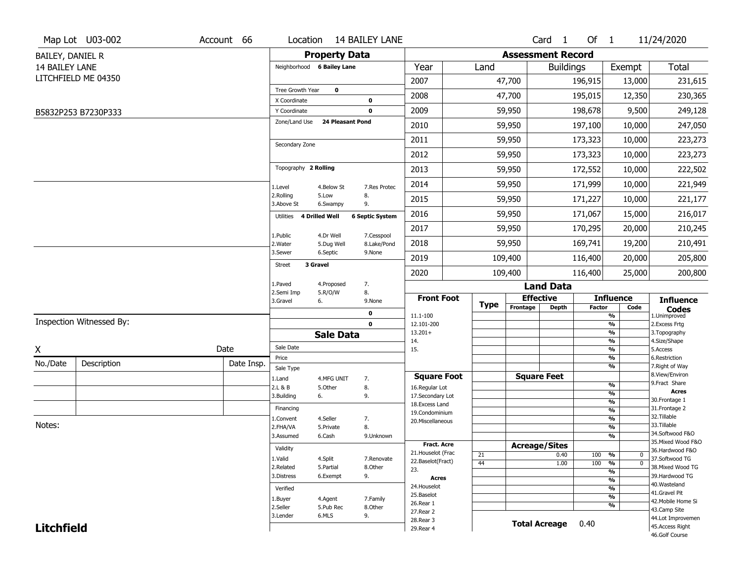|                   | Map Lot U03-002          | Account 66 |                              |                        | Location 14 BAILEY LANE |                                    |             |                              | Card <sub>1</sub>    | Of 1          |                                           | 11/24/2020                           |
|-------------------|--------------------------|------------|------------------------------|------------------------|-------------------------|------------------------------------|-------------|------------------------------|----------------------|---------------|-------------------------------------------|--------------------------------------|
| BAILEY, DANIEL R  |                          |            |                              | <b>Property Data</b>   |                         |                                    |             | <b>Assessment Record</b>     |                      |               |                                           |                                      |
| 14 BAILEY LANE    |                          |            | Neighborhood 6 Bailey Lane   |                        |                         | Year                               | Land        |                              | <b>Buildings</b>     |               | Exempt                                    | <b>Total</b>                         |
|                   | LITCHFIELD ME 04350      |            |                              |                        |                         | 2007                               |             | 47,700                       |                      | 196,915       | 13,000                                    | 231,615                              |
|                   |                          |            | Tree Growth Year             | $\mathbf 0$            |                         | 2008                               |             | 47,700                       |                      | 195,015       | 12,350                                    | 230,365                              |
|                   | B5832P253 B7230P333      |            | X Coordinate<br>Y Coordinate |                        | 0<br>$\mathbf 0$        | 2009                               |             | 59,950                       |                      | 198,678       | 9,500                                     | 249,128                              |
|                   |                          |            | Zone/Land Use                | 24 Pleasant Pond       |                         | 2010                               |             | 59,950                       |                      | 197,100       | 10,000                                    | 247,050                              |
|                   |                          |            |                              |                        |                         | 2011                               |             | 59,950                       |                      | 173,323       | 10,000                                    | 223,273                              |
|                   |                          |            | Secondary Zone               |                        |                         | 2012                               |             | 59,950                       |                      | 173,323       | 10,000                                    | 223,273                              |
|                   |                          |            | Topography 2 Rolling         |                        |                         | 2013                               |             | 59,950                       |                      | 172,552       | 10,000                                    | 222,502                              |
|                   |                          |            |                              |                        |                         | 2014                               |             | 59,950                       |                      | 171,999       | 10,000                                    | 221,949                              |
|                   |                          |            | 1.Level<br>2.Rolling         | 4.Below St<br>5.Low    | 7.Res Protec<br>8.      | 2015                               |             | 59,950                       |                      |               |                                           |                                      |
|                   |                          |            | 3.Above St                   | 6.Swampy               | 9.                      |                                    |             |                              |                      | 171,227       | 10,000                                    | 221,177                              |
|                   |                          |            | Utilities                    | 4 Drilled Well         | <b>6 Septic System</b>  | 2016                               |             | 59,950                       |                      | 171,067       | 15,000                                    | 216,017                              |
|                   |                          |            | 1.Public                     | 4.Dr Well              | 7.Cesspool              | 2017                               |             | 59,950                       |                      | 170,295       | 20,000                                    | 210,245                              |
|                   |                          |            | 2. Water<br>3.Sewer          | 5.Dug Well<br>6.Septic | 8.Lake/Pond<br>9.None   | 2018                               |             | 59,950                       |                      | 169,741       | 19,200                                    | 210,491                              |
|                   |                          |            | 3 Gravel<br><b>Street</b>    |                        |                         | 2019                               |             | 109,400                      |                      | 116,400       | 20,000                                    | 205,800                              |
|                   |                          |            | 1.Paved                      | 4.Proposed             | 7.                      | 2020                               |             | 109,400                      |                      | 116,400       | 25,000                                    | 200,800                              |
|                   |                          |            | 2.Semi Imp                   | 5.R/O/W                | 8.                      |                                    |             |                              | <b>Land Data</b>     |               |                                           |                                      |
|                   |                          |            | 3.Gravel                     | 6.                     | 9.None                  | <b>Front Foot</b>                  | <b>Type</b> | <b>Effective</b><br>Frontage | <b>Depth</b>         | <b>Factor</b> | <b>Influence</b><br>Code                  | <b>Influence</b><br><b>Codes</b>     |
|                   | Inspection Witnessed By: |            |                              |                        | 0<br>$\mathbf 0$        | 11.1-100<br>12.101-200             |             |                              |                      |               | %<br>$\frac{9}{6}$                        | 1.Unimproved<br>2.Excess Frtg        |
|                   |                          |            |                              | <b>Sale Data</b>       |                         | $13.201+$                          |             |                              |                      |               | %                                         | 3. Topography                        |
|                   |                          | Date       | Sale Date                    |                        |                         | 14.<br>15.                         |             |                              |                      |               | %<br>%                                    | 4.Size/Shape<br>5.Access             |
| X                 |                          |            | Price                        |                        |                         |                                    |             |                              |                      |               | %                                         | 6.Restriction                        |
| No./Date          | Description              | Date Insp. | Sale Type                    |                        |                         |                                    |             |                              |                      |               | %                                         | 7. Right of Way<br>8.View/Environ    |
|                   |                          |            | 1.Land<br>2.L & B            | 4.MFG UNIT             | 7.                      | <b>Square Foot</b>                 |             | <b>Square Feet</b>           |                      |               | %                                         | 9.Fract Share                        |
|                   |                          |            | 3.Building                   | 5.Other<br>6.          | 8.<br>9.                | 16.Regular Lot<br>17.Secondary Lot |             |                              |                      |               | $\frac{9}{6}$                             | <b>Acres</b>                         |
|                   |                          |            | Financing                    |                        |                         | 18. Excess Land                    |             |                              |                      |               | $\frac{9}{6}$                             | 30.Frontage 1<br>31. Frontage 2      |
|                   |                          |            |                              |                        |                         | 19.Condominium                     |             |                              |                      |               | $\overline{\frac{9}{6}}$<br>$\frac{9}{6}$ | 32.Tillable                          |
| Notes:            |                          |            | 1.Convent<br>2.FHA/VA        | 4.Seller<br>5.Private  | 7.<br>8.                | 20.Miscellaneous                   |             |                              |                      |               | $\frac{9}{6}$                             | 33.Tillable                          |
|                   |                          |            | 3.Assumed                    | 6.Cash                 | 9.Unknown               |                                    |             |                              |                      |               | $\frac{9}{6}$                             | 34.Softwood F&O                      |
|                   |                          |            | Validity                     |                        |                         | Fract. Acre                        |             | <b>Acreage/Sites</b>         |                      |               |                                           | 35. Mixed Wood F&O                   |
|                   |                          |            |                              |                        |                         | 21. Houselot (Frac                 | 21          |                              | 0.40                 | 100           | %<br>$\mathbf 0$                          | 36.Hardwood F&O                      |
|                   |                          |            | 1.Valid<br>2.Related         | 4.Split<br>5.Partial   | 7.Renovate<br>8.Other   | 22.Baselot(Fract)                  | 44          |                              | 1.00                 | 100           | $\frac{9}{6}$<br>$\mathbf{0}$             | 37.Softwood TG<br>38. Mixed Wood TG  |
|                   |                          |            | 3.Distress                   | 6.Exempt               | 9.                      | 23.<br><b>Acres</b>                |             |                              |                      |               | $\overline{\frac{9}{6}}$                  | 39.Hardwood TG                       |
|                   |                          |            |                              |                        |                         | 24. Houselot                       |             |                              |                      |               | $\frac{9}{6}$                             | 40. Wasteland                        |
|                   |                          |            | Verified                     |                        |                         | 25.Baselot                         |             |                              |                      |               | $\frac{9}{6}$<br>$\frac{9}{6}$            | 41.Gravel Pit                        |
|                   |                          |            | 1.Buyer                      | 4.Agent                | 7.Family                | 26.Rear 1                          |             |                              |                      |               | %                                         | 42. Mobile Home Si                   |
|                   |                          |            | 2.Seller<br>3.Lender         | 5.Pub Rec<br>6.MLS     | 8.Other<br>9.           | 27.Rear 2                          |             |                              |                      |               |                                           | 43.Camp Site                         |
| <b>Litchfield</b> |                          |            |                              |                        |                         | 28. Rear 3                         |             |                              | <b>Total Acreage</b> | 0.40          |                                           | 44.Lot Improvemen<br>45.Access Right |
|                   |                          |            |                              |                        |                         | 29. Rear 4                         |             |                              |                      |               |                                           | 46.Golf Course                       |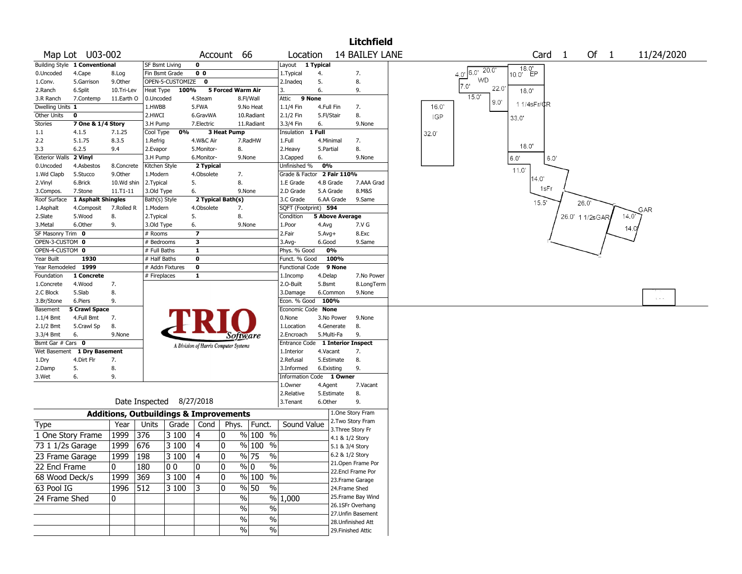|                       |                               |               |                          |                    |                |                                                   |                            |            | <b>Litchfield</b>                     |                                            |
|-----------------------|-------------------------------|---------------|--------------------------|--------------------|----------------|---------------------------------------------------|----------------------------|------------|---------------------------------------|--------------------------------------------|
|                       | Map Lot U03-002               |               |                          |                    |                | Account 66                                        | Location                   |            | <b>14 BAILEY LANE</b>                 | Card <sub>1</sub><br>Of $1$<br>11/24/2020  |
|                       | Building Style 1 Conventional |               | <b>SF Bsmt Living</b>    |                    | 0              |                                                   | Layout 1 Typical           |            |                                       |                                            |
| 0.Uncoded             | 4.Cape                        | 8.Log         | Fin Bsmt Grade           |                    | 0 <sub>0</sub> |                                                   | 1. Typical                 | 4.         | 7.                                    | 18.0'<br>10.0' EP<br>$4.0$ ' 6.0' $20.0$ ' |
| 1.Conv.               | 5.Garrison                    | 9.0ther       |                          | OPEN-5-CUSTOMIZE 0 |                |                                                   | 2.Inadeq                   | 5.         | 8.                                    | <b>WD</b><br>7.0'                          |
| 2.Ranch               | 6.Split                       | 10.Tri-Lev    |                          | Heat Type 100%     |                | 5 Forced Warm Air                                 | 3.                         | 6.         | 9.                                    | 22.0<br>18.0'                              |
| 3.R Ranch             | 7.Contemp                     | 11.Earth O    | 0.Uncoded                |                    | 4.Steam        | 8.Fl/Wall                                         | 9 None<br>Attic            |            |                                       | 15.0'<br>9.0"<br>11/4sFr/CR                |
| Dwelling Units 1      |                               |               | 1.HWBB                   |                    | 5.FWA          | 9.No Heat                                         | 1.1/4 Fin                  | 4.Full Fin | 7.                                    | 16.0'                                      |
| <b>Other Units</b>    | 0                             |               | 2.HWCI                   |                    | 6.GravWA       | 10.Radiant                                        | 2.1/2 Fin                  | 5.Fl/Stair | 8.                                    | <b>IGP</b><br>33.0'                        |
| Stories               | 7 One & 1/4 Story             |               | 3.H Pump                 |                    | 7.Electric     | 11.Radiant                                        | 3.3/4 Fin                  | 6.         | 9.None                                |                                            |
| $1.1\,$               | 4.1.5                         | 7.1.25        | Cool Type                | 0%                 |                | 3 Heat Pump                                       | Insulation                 | 1 Full     |                                       | 32.0'                                      |
| 2.2                   | 5.1.75                        | 8.3.5         | 1.Refrig                 |                    | 4.W&C Air      | 7.RadHW                                           | 1.Full                     | 4.Minimal  | 7.                                    | 18.0'                                      |
| 3.3                   | 6.2.5                         | 9.4           | 2.Evapor                 |                    | 5.Monitor-     | 8.                                                | 2.Heavy                    | 5.Partial  | 8.                                    |                                            |
| <b>Exterior Walls</b> | 2 Vinyl                       |               | 3.H Pump                 |                    | 6.Monitor-     | 9.None                                            | 3.Capped                   | 6.         | 9.None                                | 6.0'<br>6.0'                               |
| 0.Uncoded             | 4.Asbestos                    | 8.Concrete    | Kitchen Style            |                    | 2 Typical      |                                                   | Unfinished %               | 0%         |                                       | 11.0'                                      |
| 1.Wd Clapb            | 5.Stucco                      | 9.0ther       | 1.Modern                 |                    | 4.Obsolete     | 7.                                                | Grade & Factor 2 Fair 110% |            |                                       | 14.0                                       |
| 2.Vinyl               | 6.Brick                       | 10.Wd shin    | 2. Typical               |                    | 5.             | 8.                                                | 1.E Grade                  | 4.B Grade  | 7.AAA Grad                            | 1sFr                                       |
| 3.Compos.             | 7.Stone                       | $11. T1 - 11$ | 3.Old Type               |                    | 6.             | 9.None                                            | 2.D Grade                  | 5.A Grade  | 8.M&S                                 |                                            |
| Roof Surface          | 1 Asphalt Shingles            |               | Bath(s) Style            |                    |                | 2 Typical Bath(s)                                 | 3.C Grade                  | 6.AA Grade | 9.Same                                | 15.5'<br>26.0'                             |
| 1.Asphalt             | 4.Composit                    | 7.Rolled R    | 1.Modern                 |                    | 4.Obsolete     | 7.                                                | SQFT (Footprint) 594       |            |                                       | GAR                                        |
| 2.Slate               | 5.Wood                        | 8.            | 2.Typical                |                    | 5.             | 8.                                                | Condition                  |            | <b>5 Above Average</b>                | 26.0' 1 1/2sGAR<br>14.0'                   |
| 3.Metal               | 6.Other                       | 9.            | 3.Old Type               |                    | 6.             | 9.None                                            | 1.Poor                     | 4.Avg      | 7.V G                                 | 14.0                                       |
| SF Masonry Trim 0     |                               |               | # Rooms                  |                    | 7              |                                                   | 2.Fair                     | $5.Avg+$   | 8.Exc                                 |                                            |
| OPEN-3-CUSTOM 0       |                               |               | # Bedrooms               |                    | 3              |                                                   | 3.Avg-                     | 6.Good     | 9.Same                                |                                            |
| OPEN-4-CUSTOM 0       |                               |               | # Full Baths             |                    | $\mathbf{1}$   |                                                   | Phys. % Good               | 0%         |                                       |                                            |
| Year Built            | 1930                          |               | # Half Baths             |                    | $\bf{0}$       |                                                   | Funct. % Good              | 100%       |                                       |                                            |
| Year Remodeled 1999   |                               |               | # Addn Fixtures          |                    | $\pmb{0}$      |                                                   | Functional Code 9 None     |            |                                       |                                            |
| Foundation            | 1 Concrete                    |               | # Fireplaces             |                    | $\mathbf{1}$   |                                                   | 1.Incomp                   | 4.Delap    | 7.No Power                            |                                            |
| 1.Concrete            | 4.Wood                        | 7.            |                          |                    |                |                                                   | 2.0-Built                  | 5.Bsmt     | 8.LongTerm                            |                                            |
| 2.C Block             | 5.Slab                        | 8.            |                          |                    |                |                                                   | 3.Damage                   | 6.Common   | 9.None                                | $\mathbf{r}_i \neq \mathbf{r}_i$           |
| 3.Br/Stone            | 6.Piers                       | 9.            |                          |                    |                |                                                   | Econ. % Good               | 100%       |                                       |                                            |
| Basement              | <b>5 Crawl Space</b>          |               |                          |                    |                |                                                   | Economic Code None         |            |                                       |                                            |
| 1.1/4 Bmt             | 4.Full Bmt                    | 7.            |                          |                    |                |                                                   | 0.None                     | 3.No Power | 9.None                                |                                            |
| 2.1/2 Bmt             | 5.Crawl Sp                    | 8.            |                          |                    |                |                                                   | 1.Location                 | 4.Generate | 8.                                    |                                            |
| 3.3/4 Bmt             | 6.                            | 9.None        |                          |                    |                | Software                                          | 2.Encroach                 | 5.Multi-Fa | 9.                                    |                                            |
| Bsmt Gar # Cars 0     |                               |               |                          |                    |                | A Division of Harris Computer Systems             | Entrance Code              |            | <b>1 Interior Inspect</b>             |                                            |
|                       | Wet Basement 1 Dry Basement   |               |                          |                    |                |                                                   | 1.Interior                 | 4.Vacant   | 7.                                    |                                            |
| 1.Dry                 | 4.Dirt Flr                    | 7.            |                          |                    |                |                                                   | 2.Refusal                  | 5.Estimate | 8.                                    |                                            |
| 2.Damp                | 5.                            | 8.            |                          |                    |                |                                                   | 3.Informed                 | 6.Existing | 9.                                    |                                            |
| 3.Wet                 | 6.                            | 9.            |                          |                    |                |                                                   | Information Code 1 Owner   |            |                                       |                                            |
|                       |                               |               |                          |                    |                |                                                   | 1.Owner                    | 4.Agent    | 7.Vacant<br>8.                        |                                            |
|                       |                               |               | Date Inspected 8/27/2018 |                    |                |                                                   | 2.Relative<br>3.Tenant     | 5.Estimate | 9.                                    |                                            |
|                       |                               |               |                          |                    |                |                                                   |                            | 6.Other    |                                       |                                            |
|                       |                               |               |                          |                    |                | <b>Additions, Outbuildings &amp; Improvements</b> |                            |            | 1.One Story Fram<br>2. Two Story Fram |                                            |
| <b>Type</b>           |                               | Year          | Units                    | Grade              | Cond           | Phys.<br>Funct.                                   | Sound Value                |            | 3. Three Story Fr                     |                                            |
| 1 One Story Frame     |                               | 1999          | 376                      | 3 100              | 4              | $%100$ %<br>10                                    |                            |            | 4.1 & 1/2 Story                       |                                            |
| 73 1 1/2s Garage      |                               | 1999          | 676                      | 3 100              | 4              | $%100$ %<br>10                                    |                            |            | 5.1 & 3/4 Story                       |                                            |
| 23 Frame Garage       |                               | 1999          | 198                      | 3100               | $\sqrt{4}$     | $\frac{9}{6}$ 75<br>0                             | $\frac{9}{6}$              |            | 6.2 & 1/2 Story                       |                                            |
|                       |                               |               |                          |                    |                |                                                   |                            |            | 21. Open Frame Por                    |                                            |
| 22 Encl Frame         |                               | 0             | 180                      | 00                 | 0              | 10<br>$\%$ 0                                      | $\%$                       |            | 22.Encl Frame Por                     |                                            |
| 68 Wood Deck/s        |                               | 1999          | 369                      | 3 100              | 4              | 10<br>% 100 %                                     |                            |            | 23. Frame Garage                      |                                            |
| 63 Pool IG            |                               | 1996 512      |                          | 3 100              | 13             | $\frac{9}{6}$ 50<br>10                            | $\frac{9}{6}$              |            | 24.Frame Shed                         |                                            |
| 24 Frame Shed         |                               | 0             |                          |                    |                | $\%$                                              | $\frac{9}{6}$ 1,000        |            | 25. Frame Bay Wind                    |                                            |
|                       |                               |               |                          |                    |                | $\%$                                              | $\%$                       |            | 26.1SFr Overhang                      |                                            |
|                       |                               |               |                          |                    |                |                                                   |                            |            | 27.Unfin Basement                     |                                            |
|                       |                               |               |                          |                    |                | $\%$                                              | $\sqrt{6}$                 |            | 28. Unfinished Att                    |                                            |
|                       |                               |               |                          |                    |                | $\frac{0}{0}$                                     | $\sqrt{6}$                 |            | 29. Finished Attic                    |                                            |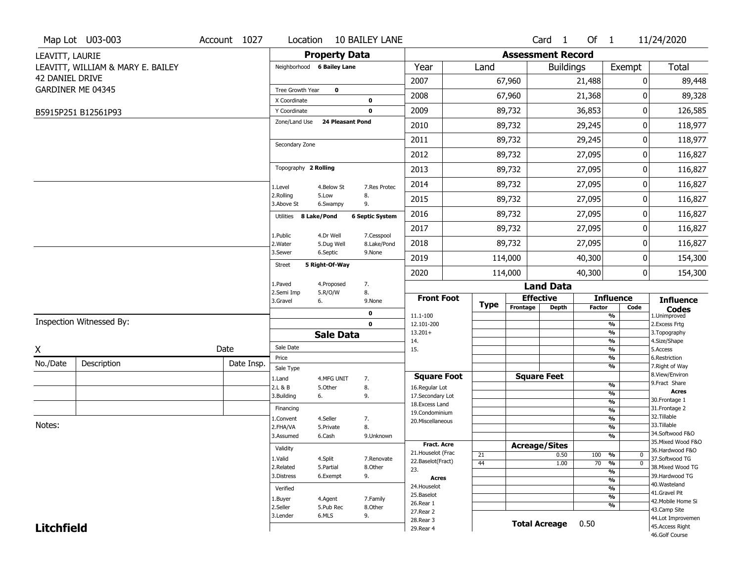|                        | Map Lot U03-003                   | Account 1027 | Location                     |                         | <b>10 BAILEY LANE</b>  |                                                          |             |          | Card <sub>1</sub>        | Of 1          |                                | 11/24/2020                         |
|------------------------|-----------------------------------|--------------|------------------------------|-------------------------|------------------------|----------------------------------------------------------|-------------|----------|--------------------------|---------------|--------------------------------|------------------------------------|
| LEAVITT, LAURIE        |                                   |              |                              | <b>Property Data</b>    |                        |                                                          |             |          | <b>Assessment Record</b> |               |                                |                                    |
|                        | LEAVITT, WILLIAM & MARY E. BAILEY |              | Neighborhood 6 Bailey Lane   |                         |                        | Year                                                     | Land        |          | <b>Buildings</b>         |               | Exempt                         | <b>Total</b>                       |
| <b>42 DANIEL DRIVE</b> |                                   |              |                              |                         |                        | 2007                                                     |             | 67,960   |                          | 21,488        | 0                              | 89,448                             |
|                        | GARDINER ME 04345                 |              | Tree Growth Year             | $\bf{0}$                |                        | 2008                                                     |             | 67,960   |                          | 21,368        | 0                              | 89,328                             |
|                        |                                   |              | X Coordinate<br>Y Coordinate |                         | 0<br>0                 | 2009                                                     |             | 89,732   |                          | 36,853        | $\pmb{0}$                      | 126,585                            |
|                        | B5915P251 B12561P93               |              | Zone/Land Use                | <b>24 Pleasant Pond</b> |                        |                                                          |             |          |                          |               |                                |                                    |
|                        |                                   |              |                              |                         |                        | 2010                                                     |             | 89,732   |                          | 29,245        | 0                              | 118,977                            |
|                        |                                   |              | Secondary Zone               |                         |                        | 2011                                                     |             | 89,732   |                          | 29,245        | 0                              | 118,977                            |
|                        |                                   |              |                              |                         |                        | 2012                                                     |             | 89,732   |                          | 27,095        | 0                              | 116,827                            |
|                        |                                   |              | Topography 2 Rolling         |                         |                        | 2013                                                     |             | 89,732   |                          | 27,095        | 0                              | 116,827                            |
|                        |                                   |              | 1.Level                      | 4.Below St              | 7.Res Protec           | 2014                                                     |             | 89,732   |                          | 27,095        | 0                              | 116,827                            |
|                        |                                   |              | 2.Rolling<br>3.Above St      | 5.Low<br>6.Swampy       | 8.<br>9.               | 2015                                                     |             | 89,732   |                          | 27,095        | 0                              | 116,827                            |
|                        |                                   |              | Utilities 8 Lake/Pond        |                         | <b>6 Septic System</b> | 2016                                                     |             | 89,732   |                          | 27,095        | 0                              | 116,827                            |
|                        |                                   |              | 1.Public                     | 4.Dr Well               | 7.Cesspool             | 2017                                                     |             | 89,732   |                          | 27,095        | 0                              | 116,827                            |
|                        |                                   |              | 2. Water                     | 5.Dug Well              | 8.Lake/Pond            | 2018                                                     |             | 89,732   |                          | 27,095        | 0                              | 116,827                            |
|                        |                                   |              | 3.Sewer                      | 6.Septic                | 9.None                 | 2019                                                     |             | 114,000  |                          | 40,300        | 0                              | 154,300                            |
|                        |                                   |              | <b>Street</b>                | 5 Right-Of-Way          |                        | 2020                                                     |             | 114,000  |                          | 40,300        | 0                              | 154,300                            |
|                        |                                   |              | 1.Paved                      | 4.Proposed              | 7.                     |                                                          |             |          | <b>Land Data</b>         |               |                                |                                    |
|                        |                                   |              | 2.Semi Imp<br>3.Gravel       | 5.R/O/W<br>6.           | 8.<br>9.None           | <b>Front Foot</b>                                        |             |          | <b>Effective</b>         |               | <b>Influence</b>               | <b>Influence</b>                   |
|                        |                                   |              |                              |                         | 0                      | 11.1-100                                                 | <b>Type</b> | Frontage | <b>Depth</b>             | <b>Factor</b> | Code<br>%                      | <b>Codes</b><br>1.Unimproved       |
|                        | Inspection Witnessed By:          |              |                              |                         | $\mathbf 0$            | 12.101-200                                               |             |          |                          |               | $\frac{9}{6}$                  | 2. Excess Frtg                     |
|                        |                                   |              |                              | <b>Sale Data</b>        |                        | $13.201+$<br>14.                                         |             |          |                          |               | %<br>%                         | 3. Topography<br>4.Size/Shape      |
| X                      |                                   | Date         | Sale Date                    |                         |                        | 15.                                                      |             |          |                          |               | %                              | 5.Access                           |
| No./Date               | Description                       | Date Insp.   | Price                        |                         |                        |                                                          |             |          |                          |               | %<br>%                         | 6.Restriction<br>7. Right of Way   |
|                        |                                   |              | Sale Type<br>1.Land          | 4.MFG UNIT              | 7.                     | <b>Square Foot</b>                                       |             |          | <b>Square Feet</b>       |               |                                | 8.View/Environ                     |
|                        |                                   |              | 2.L & B                      | 5.Other                 | 8.                     | 16.Regular Lot                                           |             |          |                          |               | $\frac{9}{6}$                  | 9.Fract Share                      |
|                        |                                   |              | 3.Building                   | 6.                      | 9.                     | 17.Secondary Lot                                         |             |          |                          |               | $\frac{9}{6}$<br>$\frac{9}{6}$ | <b>Acres</b><br>30.Frontage 1      |
|                        |                                   |              | Financing                    |                         |                        | 18. Excess Land<br>19.Condominium                        |             |          |                          |               | $\frac{9}{6}$                  | 31. Frontage 2                     |
|                        |                                   |              | 1.Convent                    | 4.Seller                | 7.                     | 20.Miscellaneous                                         |             |          |                          |               | $\frac{9}{6}$                  | 32. Tillable                       |
| Notes:                 |                                   |              | 2.FHA/VA                     | 5.Private               | 8.                     |                                                          |             |          |                          |               | $\frac{9}{6}$                  | 33.Tillable<br>34.Softwood F&O     |
|                        |                                   |              | 3.Assumed                    | 6.Cash                  | 9.Unknown              |                                                          |             |          |                          |               | $\frac{9}{6}$                  | 35. Mixed Wood F&O                 |
|                        |                                   |              | Validity                     |                         |                        | Fract. Acre                                              |             |          | <b>Acreage/Sites</b>     |               |                                | 36.Hardwood F&O                    |
|                        |                                   |              | 1.Valid                      | 4.Split                 | 7.Renovate             | 21. Houselot (Frac<br>22.Baselot(Fract)                  | 21          |          | 0.50                     | 100           | %<br>0                         | 37.Softwood TG                     |
|                        |                                   |              | 2.Related                    | 5.Partial               | 8.Other                | 23.                                                      | 44          |          | 1.00                     | 70            | $\overline{0}$<br>%<br>%       | 38. Mixed Wood TG                  |
|                        |                                   |              | 3.Distress                   | 6.Exempt                | 9.                     | Acres                                                    |             |          |                          |               | $\frac{9}{6}$                  | 39.Hardwood TG                     |
|                        |                                   |              | Verified                     |                         |                        | 24. Houselot                                             |             |          |                          |               | %                              | 40. Wasteland                      |
|                        |                                   |              | 1.Buyer                      | 4.Agent                 | 7.Family               | 25.Baselot                                               |             |          |                          |               | $\frac{9}{6}$                  | 41.Gravel Pit                      |
|                        |                                   |              | 2.Seller                     | 5.Pub Rec               | 8.Other                | 26.Rear 1                                                |             |          |                          |               | %                              | 42. Mobile Home Si<br>43.Camp Site |
|                        |                                   |              | 3.Lender                     | 6.MLS                   | 9.                     | 27.Rear 2                                                |             |          |                          |               |                                | 44.Lot Improvemen                  |
| <b>Litchfield</b>      |                                   |              |                              |                         |                        | 28. Rear 3<br><b>Total Acreage</b><br>0.50<br>29. Rear 4 |             |          |                          |               |                                | 45.Access Right                    |
|                        |                                   |              |                              |                         |                        |                                                          |             |          |                          |               |                                |                                    |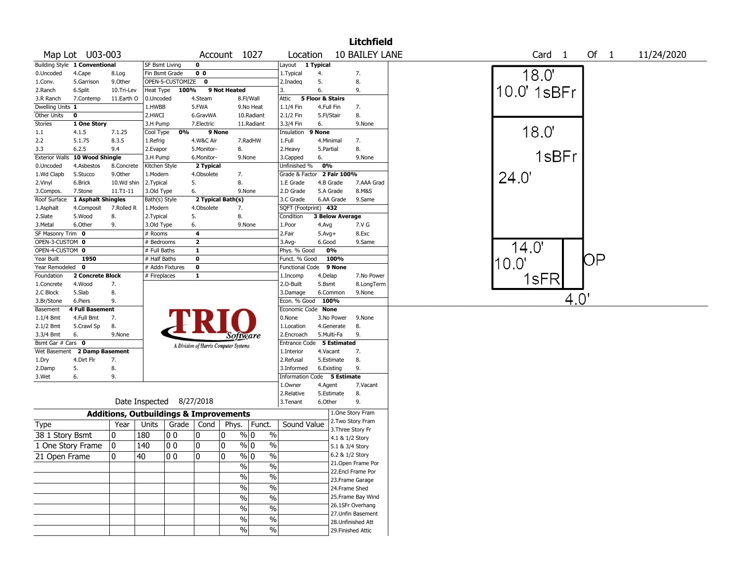| 10 BAILEY LANE<br>Map Lot U03-003<br>Of 1<br>Account 1027<br>Location<br>Card <sub>1</sub><br>11/24/2020<br>Building Style 1 Conventional<br>$\mathbf 0$<br>Layout 1 Typical<br><b>SF Bsmt Living</b><br>18.0'<br>0 <sub>0</sub><br>7.<br>0.Uncoded<br>4.Cape<br>Fin Bsmt Grade<br>1. Typical<br>8.Log<br>4.<br>OPEN-5-CUSTOMIZE<br>$\mathbf{o}$<br>5.<br>8.<br>5.Garrison<br>9.Other<br>2.Inadeg<br>1.Conv.<br>10.0' 1sBFr<br>9.<br>9 Not Heated<br>6.<br>6.Split<br>Heat Type<br>100%<br>3.<br>2.Ranch<br>10.Tri-Lev<br>11.Earth O<br>4.Steam<br>Attic<br>5 Floor & Stairs<br>7.Contemp<br>0.Uncoded<br>8.Fl/Wall<br>3.R Ranch<br>Dwelling Units 1<br>1.HWBB<br>5.FWA<br>7.<br>9.No Heat<br>1.1/4 Fin<br>4.Full Fin<br>Other Units<br>8.<br>$\mathbf 0$<br>2.HWCI<br>2.1/2 Fin<br>6.GravWA<br>10.Radiant<br>5.Fl/Stair<br>Stories<br>1 One Story<br>9.None<br>3.H Pump<br>7.Electric<br>11.Radiant<br>3.3/4 Fin<br>6.<br>18.0'<br>0%<br>9 None<br>9 None<br>1.1<br>4.1.5<br>7.1.25<br>Cool Type<br>Insulation<br>2.2<br>5.1.75<br>8.3.5<br>4.W&C Air<br>7.RadHW<br>1.Full<br>4.Minimal<br>7.<br>1.Refrig<br>8.<br>8.<br>3.3<br>6.2.5<br>9.4<br>2.Evapor<br>5.Monitor-<br>2. Heavy<br>5.Partial<br>1sBFr<br><b>Exterior Walls</b><br>10 Wood Shingle<br>9.None<br>3.H Pump<br>6.Monitor-<br>9.None<br>3.Capped<br>6.<br>0%<br>2 Typical<br>4.Asbestos<br>8.Concrete<br>Kitchen Style<br>Unfinished %<br>0.Uncoded<br>2 Fair 100%<br>4.Obsolete<br>24.0'<br>1.Wd Clapb<br>5.Stucco<br>9.Other<br>1.Modern<br>7.<br>Grade & Factor<br>8.<br>5.<br>7.AAA Grad<br>2.Vinyl<br>6.Brick<br>10.Wd shin<br>2.Typical<br>1.E Grade<br>4.B Grade<br>6.<br>5.A Grade<br>8.M&S<br>7.Stone<br>11.T1-11<br>3.Old Type<br>9.None<br>2.D Grade<br>3.Compos.<br>1 Asphalt Shingles<br>2 Typical Bath(s)<br>6.AA Grade<br>9.Same<br>Roof Surface<br>Bath(s) Style<br>3.C Grade<br>SQFT (Footprint) 432<br>4.Obsolete<br>4.Composit<br>7.Rolled R<br>1.Modern<br>7.<br>1.Asphalt<br>8.<br>8.<br>5.<br><b>3 Below Average</b><br>2.Slate<br>5.Wood<br>2.Typical<br>Condition<br>3.Metal<br>6.Other<br>9.<br>3.Old Type<br>6.<br>9.None<br>1.Poor<br>7.V G<br>4.Avg<br>SF Masonry Trim 0<br>4<br>2.Fair<br># Rooms<br>$5.Avg+$<br>8.Exc<br>OPEN-3-CUSTOM 0<br>$\overline{\mathbf{2}}$<br># Bedrooms<br>6.Good<br>9.Same<br>$3.$ Avg-<br>14.0'<br>OPEN-4-CUSTOM 0<br># Full Baths<br>1<br>0%<br>Phys. % Good<br>ΟP<br>Year Built<br>1950<br>$\mathbf 0$<br>Funct. % Good<br>100%<br># Half Baths<br> 10.0"<br>Year Remodeled<br>$\mathbf 0$<br># Addn Fixtures<br>$\mathbf 0$<br>9 None<br><b>Functional Code</b><br>2 Concrete Block<br>Foundation<br># Fireplaces<br>1<br>7.No Power<br>1.Incomp<br>4.Delap<br>1sFR<br>4.Wood<br>7.<br>2.0-Built<br>5.Bsmt<br>8.LongTerm<br>1.Concrete<br>5.Slab<br>8.<br>2.C Block<br>6.Common<br>9.None<br>3.Damage<br>4.0'<br>9.<br>Econ. % Good<br>100%<br>6.Piers<br>3.Br/Stone<br><b>4 Full Basement</b><br>Economic Code None<br>Basement<br>7.<br>1.1/4 Bmt<br>4.Full Bmt<br>0.None<br>3.No Power<br>9.None<br>8.<br>8.<br>2.1/2 Bmt<br>5.Crawl Sp<br>1.Location<br>4.Generate<br>9.<br>9.None<br>5.Multi-Fa<br>3.3/4 Bmt<br>6.<br>2.Encroach<br>Software<br>Bsmt Gar # Cars 0<br>Entrance Code 5 Estimated<br>A Division of Harris Computer Systems<br>2 Damp Basement<br>7.<br>Wet Basement<br>1.Interior<br>4.Vacant<br>7.<br>5.Estimate<br>8.<br>4.Dirt Flr<br>2.Refusal<br>1.Dry<br>9.<br>5.<br>8.<br>2.Damp<br>3.Informed<br>6.Existing<br>9.<br>Information Code 5 Estimate<br>3.Wet<br>6.<br>1.Owner<br>4.Agent<br>7.Vacant<br>8.<br>2.Relative<br>5.Estimate<br>Date Inspected 8/27/2018<br>9.<br>3.Tenant<br>6.Other<br>1.One Story Fram<br><b>Additions, Outbuildings &amp; Improvements</b><br>2. Two Story Fram<br>Sound Value<br>Year<br>Units<br>Grade<br>Phys.<br>Funct.<br><b>Type</b><br>Cond<br>3. Three Story Fr<br>38 1 Story Bsmt<br>180<br>% 0<br>%<br>0<br>00<br>0<br>10<br>4.1 & 1/2 Story<br>140<br>0<br>0<br>$\%$<br>10<br>00<br>% 0<br>1 One Story Frame<br>5.1 & 3/4 Story<br>6.2 & 1/2 Story<br>21 Open Frame<br>10<br> 40<br> 0 0<br>10<br>10<br>% 0<br>%<br>21. Open Frame Por<br>$\%$<br>%<br>22.Encl Frame Por<br>$\%$<br>$\%$<br>23. Frame Garage<br>$\%$<br>$\%$<br>24.Frame Shed<br>25. Frame Bay Wind<br>$\%$<br>$\%$<br>26.1SFr Overhang<br>$\%$<br>$\%$<br>27.Unfin Basement<br>$\%$<br>$\%$<br>28.Unfinished Att<br>$\sqrt{6}$<br>$\%$<br>29. Finished Attic |  |  |  |  |  | <b>Litchfield</b> |  |  |  |  |
|---------------------------------------------------------------------------------------------------------------------------------------------------------------------------------------------------------------------------------------------------------------------------------------------------------------------------------------------------------------------------------------------------------------------------------------------------------------------------------------------------------------------------------------------------------------------------------------------------------------------------------------------------------------------------------------------------------------------------------------------------------------------------------------------------------------------------------------------------------------------------------------------------------------------------------------------------------------------------------------------------------------------------------------------------------------------------------------------------------------------------------------------------------------------------------------------------------------------------------------------------------------------------------------------------------------------------------------------------------------------------------------------------------------------------------------------------------------------------------------------------------------------------------------------------------------------------------------------------------------------------------------------------------------------------------------------------------------------------------------------------------------------------------------------------------------------------------------------------------------------------------------------------------------------------------------------------------------------------------------------------------------------------------------------------------------------------------------------------------------------------------------------------------------------------------------------------------------------------------------------------------------------------------------------------------------------------------------------------------------------------------------------------------------------------------------------------------------------------------------------------------------------------------------------------------------------------------------------------------------------------------------------------------------------------------------------------------------------------------------------------------------------------------------------------------------------------------------------------------------------------------------------------------------------------------------------------------------------------------------------------------------------------------------------------------------------------------------------------------------------------------------------------------------------------------------------------------------------------------------------------------------------------------------------------------------------------------------------------------------------------------------------------------------------------------------------------------------------------------------------------------------------------------------------------------------------------------------------------------------------------------------------------------------------------------------------------------------------------------------------------------------------------------------------------------------------------------------------------------------------------------------------------------------------------------------------------------------------------------------------------------------------------------------------------------------------------------------------------------------------------------------------------------------------------------------------------------------------------------------------------------------------------------------------------------------------------------------------------------------------------------------------------------------------------|--|--|--|--|--|-------------------|--|--|--|--|
|                                                                                                                                                                                                                                                                                                                                                                                                                                                                                                                                                                                                                                                                                                                                                                                                                                                                                                                                                                                                                                                                                                                                                                                                                                                                                                                                                                                                                                                                                                                                                                                                                                                                                                                                                                                                                                                                                                                                                                                                                                                                                                                                                                                                                                                                                                                                                                                                                                                                                                                                                                                                                                                                                                                                                                                                                                                                                                                                                                                                                                                                                                                                                                                                                                                                                                                                                                                                                                                                                                                                                                                                                                                                                                                                                                                                                                                                                                                                                                                                                                                                                                                                                                                                                                                                                                                                                                                                                           |  |  |  |  |  |                   |  |  |  |  |
|                                                                                                                                                                                                                                                                                                                                                                                                                                                                                                                                                                                                                                                                                                                                                                                                                                                                                                                                                                                                                                                                                                                                                                                                                                                                                                                                                                                                                                                                                                                                                                                                                                                                                                                                                                                                                                                                                                                                                                                                                                                                                                                                                                                                                                                                                                                                                                                                                                                                                                                                                                                                                                                                                                                                                                                                                                                                                                                                                                                                                                                                                                                                                                                                                                                                                                                                                                                                                                                                                                                                                                                                                                                                                                                                                                                                                                                                                                                                                                                                                                                                                                                                                                                                                                                                                                                                                                                                                           |  |  |  |  |  |                   |  |  |  |  |
|                                                                                                                                                                                                                                                                                                                                                                                                                                                                                                                                                                                                                                                                                                                                                                                                                                                                                                                                                                                                                                                                                                                                                                                                                                                                                                                                                                                                                                                                                                                                                                                                                                                                                                                                                                                                                                                                                                                                                                                                                                                                                                                                                                                                                                                                                                                                                                                                                                                                                                                                                                                                                                                                                                                                                                                                                                                                                                                                                                                                                                                                                                                                                                                                                                                                                                                                                                                                                                                                                                                                                                                                                                                                                                                                                                                                                                                                                                                                                                                                                                                                                                                                                                                                                                                                                                                                                                                                                           |  |  |  |  |  |                   |  |  |  |  |
|                                                                                                                                                                                                                                                                                                                                                                                                                                                                                                                                                                                                                                                                                                                                                                                                                                                                                                                                                                                                                                                                                                                                                                                                                                                                                                                                                                                                                                                                                                                                                                                                                                                                                                                                                                                                                                                                                                                                                                                                                                                                                                                                                                                                                                                                                                                                                                                                                                                                                                                                                                                                                                                                                                                                                                                                                                                                                                                                                                                                                                                                                                                                                                                                                                                                                                                                                                                                                                                                                                                                                                                                                                                                                                                                                                                                                                                                                                                                                                                                                                                                                                                                                                                                                                                                                                                                                                                                                           |  |  |  |  |  |                   |  |  |  |  |
|                                                                                                                                                                                                                                                                                                                                                                                                                                                                                                                                                                                                                                                                                                                                                                                                                                                                                                                                                                                                                                                                                                                                                                                                                                                                                                                                                                                                                                                                                                                                                                                                                                                                                                                                                                                                                                                                                                                                                                                                                                                                                                                                                                                                                                                                                                                                                                                                                                                                                                                                                                                                                                                                                                                                                                                                                                                                                                                                                                                                                                                                                                                                                                                                                                                                                                                                                                                                                                                                                                                                                                                                                                                                                                                                                                                                                                                                                                                                                                                                                                                                                                                                                                                                                                                                                                                                                                                                                           |  |  |  |  |  |                   |  |  |  |  |
|                                                                                                                                                                                                                                                                                                                                                                                                                                                                                                                                                                                                                                                                                                                                                                                                                                                                                                                                                                                                                                                                                                                                                                                                                                                                                                                                                                                                                                                                                                                                                                                                                                                                                                                                                                                                                                                                                                                                                                                                                                                                                                                                                                                                                                                                                                                                                                                                                                                                                                                                                                                                                                                                                                                                                                                                                                                                                                                                                                                                                                                                                                                                                                                                                                                                                                                                                                                                                                                                                                                                                                                                                                                                                                                                                                                                                                                                                                                                                                                                                                                                                                                                                                                                                                                                                                                                                                                                                           |  |  |  |  |  |                   |  |  |  |  |
|                                                                                                                                                                                                                                                                                                                                                                                                                                                                                                                                                                                                                                                                                                                                                                                                                                                                                                                                                                                                                                                                                                                                                                                                                                                                                                                                                                                                                                                                                                                                                                                                                                                                                                                                                                                                                                                                                                                                                                                                                                                                                                                                                                                                                                                                                                                                                                                                                                                                                                                                                                                                                                                                                                                                                                                                                                                                                                                                                                                                                                                                                                                                                                                                                                                                                                                                                                                                                                                                                                                                                                                                                                                                                                                                                                                                                                                                                                                                                                                                                                                                                                                                                                                                                                                                                                                                                                                                                           |  |  |  |  |  |                   |  |  |  |  |
|                                                                                                                                                                                                                                                                                                                                                                                                                                                                                                                                                                                                                                                                                                                                                                                                                                                                                                                                                                                                                                                                                                                                                                                                                                                                                                                                                                                                                                                                                                                                                                                                                                                                                                                                                                                                                                                                                                                                                                                                                                                                                                                                                                                                                                                                                                                                                                                                                                                                                                                                                                                                                                                                                                                                                                                                                                                                                                                                                                                                                                                                                                                                                                                                                                                                                                                                                                                                                                                                                                                                                                                                                                                                                                                                                                                                                                                                                                                                                                                                                                                                                                                                                                                                                                                                                                                                                                                                                           |  |  |  |  |  |                   |  |  |  |  |
|                                                                                                                                                                                                                                                                                                                                                                                                                                                                                                                                                                                                                                                                                                                                                                                                                                                                                                                                                                                                                                                                                                                                                                                                                                                                                                                                                                                                                                                                                                                                                                                                                                                                                                                                                                                                                                                                                                                                                                                                                                                                                                                                                                                                                                                                                                                                                                                                                                                                                                                                                                                                                                                                                                                                                                                                                                                                                                                                                                                                                                                                                                                                                                                                                                                                                                                                                                                                                                                                                                                                                                                                                                                                                                                                                                                                                                                                                                                                                                                                                                                                                                                                                                                                                                                                                                                                                                                                                           |  |  |  |  |  |                   |  |  |  |  |
|                                                                                                                                                                                                                                                                                                                                                                                                                                                                                                                                                                                                                                                                                                                                                                                                                                                                                                                                                                                                                                                                                                                                                                                                                                                                                                                                                                                                                                                                                                                                                                                                                                                                                                                                                                                                                                                                                                                                                                                                                                                                                                                                                                                                                                                                                                                                                                                                                                                                                                                                                                                                                                                                                                                                                                                                                                                                                                                                                                                                                                                                                                                                                                                                                                                                                                                                                                                                                                                                                                                                                                                                                                                                                                                                                                                                                                                                                                                                                                                                                                                                                                                                                                                                                                                                                                                                                                                                                           |  |  |  |  |  |                   |  |  |  |  |
|                                                                                                                                                                                                                                                                                                                                                                                                                                                                                                                                                                                                                                                                                                                                                                                                                                                                                                                                                                                                                                                                                                                                                                                                                                                                                                                                                                                                                                                                                                                                                                                                                                                                                                                                                                                                                                                                                                                                                                                                                                                                                                                                                                                                                                                                                                                                                                                                                                                                                                                                                                                                                                                                                                                                                                                                                                                                                                                                                                                                                                                                                                                                                                                                                                                                                                                                                                                                                                                                                                                                                                                                                                                                                                                                                                                                                                                                                                                                                                                                                                                                                                                                                                                                                                                                                                                                                                                                                           |  |  |  |  |  |                   |  |  |  |  |
|                                                                                                                                                                                                                                                                                                                                                                                                                                                                                                                                                                                                                                                                                                                                                                                                                                                                                                                                                                                                                                                                                                                                                                                                                                                                                                                                                                                                                                                                                                                                                                                                                                                                                                                                                                                                                                                                                                                                                                                                                                                                                                                                                                                                                                                                                                                                                                                                                                                                                                                                                                                                                                                                                                                                                                                                                                                                                                                                                                                                                                                                                                                                                                                                                                                                                                                                                                                                                                                                                                                                                                                                                                                                                                                                                                                                                                                                                                                                                                                                                                                                                                                                                                                                                                                                                                                                                                                                                           |  |  |  |  |  |                   |  |  |  |  |
|                                                                                                                                                                                                                                                                                                                                                                                                                                                                                                                                                                                                                                                                                                                                                                                                                                                                                                                                                                                                                                                                                                                                                                                                                                                                                                                                                                                                                                                                                                                                                                                                                                                                                                                                                                                                                                                                                                                                                                                                                                                                                                                                                                                                                                                                                                                                                                                                                                                                                                                                                                                                                                                                                                                                                                                                                                                                                                                                                                                                                                                                                                                                                                                                                                                                                                                                                                                                                                                                                                                                                                                                                                                                                                                                                                                                                                                                                                                                                                                                                                                                                                                                                                                                                                                                                                                                                                                                                           |  |  |  |  |  |                   |  |  |  |  |
|                                                                                                                                                                                                                                                                                                                                                                                                                                                                                                                                                                                                                                                                                                                                                                                                                                                                                                                                                                                                                                                                                                                                                                                                                                                                                                                                                                                                                                                                                                                                                                                                                                                                                                                                                                                                                                                                                                                                                                                                                                                                                                                                                                                                                                                                                                                                                                                                                                                                                                                                                                                                                                                                                                                                                                                                                                                                                                                                                                                                                                                                                                                                                                                                                                                                                                                                                                                                                                                                                                                                                                                                                                                                                                                                                                                                                                                                                                                                                                                                                                                                                                                                                                                                                                                                                                                                                                                                                           |  |  |  |  |  |                   |  |  |  |  |
|                                                                                                                                                                                                                                                                                                                                                                                                                                                                                                                                                                                                                                                                                                                                                                                                                                                                                                                                                                                                                                                                                                                                                                                                                                                                                                                                                                                                                                                                                                                                                                                                                                                                                                                                                                                                                                                                                                                                                                                                                                                                                                                                                                                                                                                                                                                                                                                                                                                                                                                                                                                                                                                                                                                                                                                                                                                                                                                                                                                                                                                                                                                                                                                                                                                                                                                                                                                                                                                                                                                                                                                                                                                                                                                                                                                                                                                                                                                                                                                                                                                                                                                                                                                                                                                                                                                                                                                                                           |  |  |  |  |  |                   |  |  |  |  |
|                                                                                                                                                                                                                                                                                                                                                                                                                                                                                                                                                                                                                                                                                                                                                                                                                                                                                                                                                                                                                                                                                                                                                                                                                                                                                                                                                                                                                                                                                                                                                                                                                                                                                                                                                                                                                                                                                                                                                                                                                                                                                                                                                                                                                                                                                                                                                                                                                                                                                                                                                                                                                                                                                                                                                                                                                                                                                                                                                                                                                                                                                                                                                                                                                                                                                                                                                                                                                                                                                                                                                                                                                                                                                                                                                                                                                                                                                                                                                                                                                                                                                                                                                                                                                                                                                                                                                                                                                           |  |  |  |  |  |                   |  |  |  |  |
|                                                                                                                                                                                                                                                                                                                                                                                                                                                                                                                                                                                                                                                                                                                                                                                                                                                                                                                                                                                                                                                                                                                                                                                                                                                                                                                                                                                                                                                                                                                                                                                                                                                                                                                                                                                                                                                                                                                                                                                                                                                                                                                                                                                                                                                                                                                                                                                                                                                                                                                                                                                                                                                                                                                                                                                                                                                                                                                                                                                                                                                                                                                                                                                                                                                                                                                                                                                                                                                                                                                                                                                                                                                                                                                                                                                                                                                                                                                                                                                                                                                                                                                                                                                                                                                                                                                                                                                                                           |  |  |  |  |  |                   |  |  |  |  |
|                                                                                                                                                                                                                                                                                                                                                                                                                                                                                                                                                                                                                                                                                                                                                                                                                                                                                                                                                                                                                                                                                                                                                                                                                                                                                                                                                                                                                                                                                                                                                                                                                                                                                                                                                                                                                                                                                                                                                                                                                                                                                                                                                                                                                                                                                                                                                                                                                                                                                                                                                                                                                                                                                                                                                                                                                                                                                                                                                                                                                                                                                                                                                                                                                                                                                                                                                                                                                                                                                                                                                                                                                                                                                                                                                                                                                                                                                                                                                                                                                                                                                                                                                                                                                                                                                                                                                                                                                           |  |  |  |  |  |                   |  |  |  |  |
|                                                                                                                                                                                                                                                                                                                                                                                                                                                                                                                                                                                                                                                                                                                                                                                                                                                                                                                                                                                                                                                                                                                                                                                                                                                                                                                                                                                                                                                                                                                                                                                                                                                                                                                                                                                                                                                                                                                                                                                                                                                                                                                                                                                                                                                                                                                                                                                                                                                                                                                                                                                                                                                                                                                                                                                                                                                                                                                                                                                                                                                                                                                                                                                                                                                                                                                                                                                                                                                                                                                                                                                                                                                                                                                                                                                                                                                                                                                                                                                                                                                                                                                                                                                                                                                                                                                                                                                                                           |  |  |  |  |  |                   |  |  |  |  |
|                                                                                                                                                                                                                                                                                                                                                                                                                                                                                                                                                                                                                                                                                                                                                                                                                                                                                                                                                                                                                                                                                                                                                                                                                                                                                                                                                                                                                                                                                                                                                                                                                                                                                                                                                                                                                                                                                                                                                                                                                                                                                                                                                                                                                                                                                                                                                                                                                                                                                                                                                                                                                                                                                                                                                                                                                                                                                                                                                                                                                                                                                                                                                                                                                                                                                                                                                                                                                                                                                                                                                                                                                                                                                                                                                                                                                                                                                                                                                                                                                                                                                                                                                                                                                                                                                                                                                                                                                           |  |  |  |  |  |                   |  |  |  |  |
|                                                                                                                                                                                                                                                                                                                                                                                                                                                                                                                                                                                                                                                                                                                                                                                                                                                                                                                                                                                                                                                                                                                                                                                                                                                                                                                                                                                                                                                                                                                                                                                                                                                                                                                                                                                                                                                                                                                                                                                                                                                                                                                                                                                                                                                                                                                                                                                                                                                                                                                                                                                                                                                                                                                                                                                                                                                                                                                                                                                                                                                                                                                                                                                                                                                                                                                                                                                                                                                                                                                                                                                                                                                                                                                                                                                                                                                                                                                                                                                                                                                                                                                                                                                                                                                                                                                                                                                                                           |  |  |  |  |  |                   |  |  |  |  |
|                                                                                                                                                                                                                                                                                                                                                                                                                                                                                                                                                                                                                                                                                                                                                                                                                                                                                                                                                                                                                                                                                                                                                                                                                                                                                                                                                                                                                                                                                                                                                                                                                                                                                                                                                                                                                                                                                                                                                                                                                                                                                                                                                                                                                                                                                                                                                                                                                                                                                                                                                                                                                                                                                                                                                                                                                                                                                                                                                                                                                                                                                                                                                                                                                                                                                                                                                                                                                                                                                                                                                                                                                                                                                                                                                                                                                                                                                                                                                                                                                                                                                                                                                                                                                                                                                                                                                                                                                           |  |  |  |  |  |                   |  |  |  |  |
|                                                                                                                                                                                                                                                                                                                                                                                                                                                                                                                                                                                                                                                                                                                                                                                                                                                                                                                                                                                                                                                                                                                                                                                                                                                                                                                                                                                                                                                                                                                                                                                                                                                                                                                                                                                                                                                                                                                                                                                                                                                                                                                                                                                                                                                                                                                                                                                                                                                                                                                                                                                                                                                                                                                                                                                                                                                                                                                                                                                                                                                                                                                                                                                                                                                                                                                                                                                                                                                                                                                                                                                                                                                                                                                                                                                                                                                                                                                                                                                                                                                                                                                                                                                                                                                                                                                                                                                                                           |  |  |  |  |  |                   |  |  |  |  |
|                                                                                                                                                                                                                                                                                                                                                                                                                                                                                                                                                                                                                                                                                                                                                                                                                                                                                                                                                                                                                                                                                                                                                                                                                                                                                                                                                                                                                                                                                                                                                                                                                                                                                                                                                                                                                                                                                                                                                                                                                                                                                                                                                                                                                                                                                                                                                                                                                                                                                                                                                                                                                                                                                                                                                                                                                                                                                                                                                                                                                                                                                                                                                                                                                                                                                                                                                                                                                                                                                                                                                                                                                                                                                                                                                                                                                                                                                                                                                                                                                                                                                                                                                                                                                                                                                                                                                                                                                           |  |  |  |  |  |                   |  |  |  |  |
|                                                                                                                                                                                                                                                                                                                                                                                                                                                                                                                                                                                                                                                                                                                                                                                                                                                                                                                                                                                                                                                                                                                                                                                                                                                                                                                                                                                                                                                                                                                                                                                                                                                                                                                                                                                                                                                                                                                                                                                                                                                                                                                                                                                                                                                                                                                                                                                                                                                                                                                                                                                                                                                                                                                                                                                                                                                                                                                                                                                                                                                                                                                                                                                                                                                                                                                                                                                                                                                                                                                                                                                                                                                                                                                                                                                                                                                                                                                                                                                                                                                                                                                                                                                                                                                                                                                                                                                                                           |  |  |  |  |  |                   |  |  |  |  |
|                                                                                                                                                                                                                                                                                                                                                                                                                                                                                                                                                                                                                                                                                                                                                                                                                                                                                                                                                                                                                                                                                                                                                                                                                                                                                                                                                                                                                                                                                                                                                                                                                                                                                                                                                                                                                                                                                                                                                                                                                                                                                                                                                                                                                                                                                                                                                                                                                                                                                                                                                                                                                                                                                                                                                                                                                                                                                                                                                                                                                                                                                                                                                                                                                                                                                                                                                                                                                                                                                                                                                                                                                                                                                                                                                                                                                                                                                                                                                                                                                                                                                                                                                                                                                                                                                                                                                                                                                           |  |  |  |  |  |                   |  |  |  |  |
|                                                                                                                                                                                                                                                                                                                                                                                                                                                                                                                                                                                                                                                                                                                                                                                                                                                                                                                                                                                                                                                                                                                                                                                                                                                                                                                                                                                                                                                                                                                                                                                                                                                                                                                                                                                                                                                                                                                                                                                                                                                                                                                                                                                                                                                                                                                                                                                                                                                                                                                                                                                                                                                                                                                                                                                                                                                                                                                                                                                                                                                                                                                                                                                                                                                                                                                                                                                                                                                                                                                                                                                                                                                                                                                                                                                                                                                                                                                                                                                                                                                                                                                                                                                                                                                                                                                                                                                                                           |  |  |  |  |  |                   |  |  |  |  |
|                                                                                                                                                                                                                                                                                                                                                                                                                                                                                                                                                                                                                                                                                                                                                                                                                                                                                                                                                                                                                                                                                                                                                                                                                                                                                                                                                                                                                                                                                                                                                                                                                                                                                                                                                                                                                                                                                                                                                                                                                                                                                                                                                                                                                                                                                                                                                                                                                                                                                                                                                                                                                                                                                                                                                                                                                                                                                                                                                                                                                                                                                                                                                                                                                                                                                                                                                                                                                                                                                                                                                                                                                                                                                                                                                                                                                                                                                                                                                                                                                                                                                                                                                                                                                                                                                                                                                                                                                           |  |  |  |  |  |                   |  |  |  |  |
|                                                                                                                                                                                                                                                                                                                                                                                                                                                                                                                                                                                                                                                                                                                                                                                                                                                                                                                                                                                                                                                                                                                                                                                                                                                                                                                                                                                                                                                                                                                                                                                                                                                                                                                                                                                                                                                                                                                                                                                                                                                                                                                                                                                                                                                                                                                                                                                                                                                                                                                                                                                                                                                                                                                                                                                                                                                                                                                                                                                                                                                                                                                                                                                                                                                                                                                                                                                                                                                                                                                                                                                                                                                                                                                                                                                                                                                                                                                                                                                                                                                                                                                                                                                                                                                                                                                                                                                                                           |  |  |  |  |  |                   |  |  |  |  |
|                                                                                                                                                                                                                                                                                                                                                                                                                                                                                                                                                                                                                                                                                                                                                                                                                                                                                                                                                                                                                                                                                                                                                                                                                                                                                                                                                                                                                                                                                                                                                                                                                                                                                                                                                                                                                                                                                                                                                                                                                                                                                                                                                                                                                                                                                                                                                                                                                                                                                                                                                                                                                                                                                                                                                                                                                                                                                                                                                                                                                                                                                                                                                                                                                                                                                                                                                                                                                                                                                                                                                                                                                                                                                                                                                                                                                                                                                                                                                                                                                                                                                                                                                                                                                                                                                                                                                                                                                           |  |  |  |  |  |                   |  |  |  |  |
|                                                                                                                                                                                                                                                                                                                                                                                                                                                                                                                                                                                                                                                                                                                                                                                                                                                                                                                                                                                                                                                                                                                                                                                                                                                                                                                                                                                                                                                                                                                                                                                                                                                                                                                                                                                                                                                                                                                                                                                                                                                                                                                                                                                                                                                                                                                                                                                                                                                                                                                                                                                                                                                                                                                                                                                                                                                                                                                                                                                                                                                                                                                                                                                                                                                                                                                                                                                                                                                                                                                                                                                                                                                                                                                                                                                                                                                                                                                                                                                                                                                                                                                                                                                                                                                                                                                                                                                                                           |  |  |  |  |  |                   |  |  |  |  |
|                                                                                                                                                                                                                                                                                                                                                                                                                                                                                                                                                                                                                                                                                                                                                                                                                                                                                                                                                                                                                                                                                                                                                                                                                                                                                                                                                                                                                                                                                                                                                                                                                                                                                                                                                                                                                                                                                                                                                                                                                                                                                                                                                                                                                                                                                                                                                                                                                                                                                                                                                                                                                                                                                                                                                                                                                                                                                                                                                                                                                                                                                                                                                                                                                                                                                                                                                                                                                                                                                                                                                                                                                                                                                                                                                                                                                                                                                                                                                                                                                                                                                                                                                                                                                                                                                                                                                                                                                           |  |  |  |  |  |                   |  |  |  |  |
|                                                                                                                                                                                                                                                                                                                                                                                                                                                                                                                                                                                                                                                                                                                                                                                                                                                                                                                                                                                                                                                                                                                                                                                                                                                                                                                                                                                                                                                                                                                                                                                                                                                                                                                                                                                                                                                                                                                                                                                                                                                                                                                                                                                                                                                                                                                                                                                                                                                                                                                                                                                                                                                                                                                                                                                                                                                                                                                                                                                                                                                                                                                                                                                                                                                                                                                                                                                                                                                                                                                                                                                                                                                                                                                                                                                                                                                                                                                                                                                                                                                                                                                                                                                                                                                                                                                                                                                                                           |  |  |  |  |  |                   |  |  |  |  |
|                                                                                                                                                                                                                                                                                                                                                                                                                                                                                                                                                                                                                                                                                                                                                                                                                                                                                                                                                                                                                                                                                                                                                                                                                                                                                                                                                                                                                                                                                                                                                                                                                                                                                                                                                                                                                                                                                                                                                                                                                                                                                                                                                                                                                                                                                                                                                                                                                                                                                                                                                                                                                                                                                                                                                                                                                                                                                                                                                                                                                                                                                                                                                                                                                                                                                                                                                                                                                                                                                                                                                                                                                                                                                                                                                                                                                                                                                                                                                                                                                                                                                                                                                                                                                                                                                                                                                                                                                           |  |  |  |  |  |                   |  |  |  |  |
|                                                                                                                                                                                                                                                                                                                                                                                                                                                                                                                                                                                                                                                                                                                                                                                                                                                                                                                                                                                                                                                                                                                                                                                                                                                                                                                                                                                                                                                                                                                                                                                                                                                                                                                                                                                                                                                                                                                                                                                                                                                                                                                                                                                                                                                                                                                                                                                                                                                                                                                                                                                                                                                                                                                                                                                                                                                                                                                                                                                                                                                                                                                                                                                                                                                                                                                                                                                                                                                                                                                                                                                                                                                                                                                                                                                                                                                                                                                                                                                                                                                                                                                                                                                                                                                                                                                                                                                                                           |  |  |  |  |  |                   |  |  |  |  |
|                                                                                                                                                                                                                                                                                                                                                                                                                                                                                                                                                                                                                                                                                                                                                                                                                                                                                                                                                                                                                                                                                                                                                                                                                                                                                                                                                                                                                                                                                                                                                                                                                                                                                                                                                                                                                                                                                                                                                                                                                                                                                                                                                                                                                                                                                                                                                                                                                                                                                                                                                                                                                                                                                                                                                                                                                                                                                                                                                                                                                                                                                                                                                                                                                                                                                                                                                                                                                                                                                                                                                                                                                                                                                                                                                                                                                                                                                                                                                                                                                                                                                                                                                                                                                                                                                                                                                                                                                           |  |  |  |  |  |                   |  |  |  |  |
|                                                                                                                                                                                                                                                                                                                                                                                                                                                                                                                                                                                                                                                                                                                                                                                                                                                                                                                                                                                                                                                                                                                                                                                                                                                                                                                                                                                                                                                                                                                                                                                                                                                                                                                                                                                                                                                                                                                                                                                                                                                                                                                                                                                                                                                                                                                                                                                                                                                                                                                                                                                                                                                                                                                                                                                                                                                                                                                                                                                                                                                                                                                                                                                                                                                                                                                                                                                                                                                                                                                                                                                                                                                                                                                                                                                                                                                                                                                                                                                                                                                                                                                                                                                                                                                                                                                                                                                                                           |  |  |  |  |  |                   |  |  |  |  |
|                                                                                                                                                                                                                                                                                                                                                                                                                                                                                                                                                                                                                                                                                                                                                                                                                                                                                                                                                                                                                                                                                                                                                                                                                                                                                                                                                                                                                                                                                                                                                                                                                                                                                                                                                                                                                                                                                                                                                                                                                                                                                                                                                                                                                                                                                                                                                                                                                                                                                                                                                                                                                                                                                                                                                                                                                                                                                                                                                                                                                                                                                                                                                                                                                                                                                                                                                                                                                                                                                                                                                                                                                                                                                                                                                                                                                                                                                                                                                                                                                                                                                                                                                                                                                                                                                                                                                                                                                           |  |  |  |  |  |                   |  |  |  |  |
|                                                                                                                                                                                                                                                                                                                                                                                                                                                                                                                                                                                                                                                                                                                                                                                                                                                                                                                                                                                                                                                                                                                                                                                                                                                                                                                                                                                                                                                                                                                                                                                                                                                                                                                                                                                                                                                                                                                                                                                                                                                                                                                                                                                                                                                                                                                                                                                                                                                                                                                                                                                                                                                                                                                                                                                                                                                                                                                                                                                                                                                                                                                                                                                                                                                                                                                                                                                                                                                                                                                                                                                                                                                                                                                                                                                                                                                                                                                                                                                                                                                                                                                                                                                                                                                                                                                                                                                                                           |  |  |  |  |  |                   |  |  |  |  |
|                                                                                                                                                                                                                                                                                                                                                                                                                                                                                                                                                                                                                                                                                                                                                                                                                                                                                                                                                                                                                                                                                                                                                                                                                                                                                                                                                                                                                                                                                                                                                                                                                                                                                                                                                                                                                                                                                                                                                                                                                                                                                                                                                                                                                                                                                                                                                                                                                                                                                                                                                                                                                                                                                                                                                                                                                                                                                                                                                                                                                                                                                                                                                                                                                                                                                                                                                                                                                                                                                                                                                                                                                                                                                                                                                                                                                                                                                                                                                                                                                                                                                                                                                                                                                                                                                                                                                                                                                           |  |  |  |  |  |                   |  |  |  |  |
|                                                                                                                                                                                                                                                                                                                                                                                                                                                                                                                                                                                                                                                                                                                                                                                                                                                                                                                                                                                                                                                                                                                                                                                                                                                                                                                                                                                                                                                                                                                                                                                                                                                                                                                                                                                                                                                                                                                                                                                                                                                                                                                                                                                                                                                                                                                                                                                                                                                                                                                                                                                                                                                                                                                                                                                                                                                                                                                                                                                                                                                                                                                                                                                                                                                                                                                                                                                                                                                                                                                                                                                                                                                                                                                                                                                                                                                                                                                                                                                                                                                                                                                                                                                                                                                                                                                                                                                                                           |  |  |  |  |  |                   |  |  |  |  |
|                                                                                                                                                                                                                                                                                                                                                                                                                                                                                                                                                                                                                                                                                                                                                                                                                                                                                                                                                                                                                                                                                                                                                                                                                                                                                                                                                                                                                                                                                                                                                                                                                                                                                                                                                                                                                                                                                                                                                                                                                                                                                                                                                                                                                                                                                                                                                                                                                                                                                                                                                                                                                                                                                                                                                                                                                                                                                                                                                                                                                                                                                                                                                                                                                                                                                                                                                                                                                                                                                                                                                                                                                                                                                                                                                                                                                                                                                                                                                                                                                                                                                                                                                                                                                                                                                                                                                                                                                           |  |  |  |  |  |                   |  |  |  |  |
|                                                                                                                                                                                                                                                                                                                                                                                                                                                                                                                                                                                                                                                                                                                                                                                                                                                                                                                                                                                                                                                                                                                                                                                                                                                                                                                                                                                                                                                                                                                                                                                                                                                                                                                                                                                                                                                                                                                                                                                                                                                                                                                                                                                                                                                                                                                                                                                                                                                                                                                                                                                                                                                                                                                                                                                                                                                                                                                                                                                                                                                                                                                                                                                                                                                                                                                                                                                                                                                                                                                                                                                                                                                                                                                                                                                                                                                                                                                                                                                                                                                                                                                                                                                                                                                                                                                                                                                                                           |  |  |  |  |  |                   |  |  |  |  |
|                                                                                                                                                                                                                                                                                                                                                                                                                                                                                                                                                                                                                                                                                                                                                                                                                                                                                                                                                                                                                                                                                                                                                                                                                                                                                                                                                                                                                                                                                                                                                                                                                                                                                                                                                                                                                                                                                                                                                                                                                                                                                                                                                                                                                                                                                                                                                                                                                                                                                                                                                                                                                                                                                                                                                                                                                                                                                                                                                                                                                                                                                                                                                                                                                                                                                                                                                                                                                                                                                                                                                                                                                                                                                                                                                                                                                                                                                                                                                                                                                                                                                                                                                                                                                                                                                                                                                                                                                           |  |  |  |  |  |                   |  |  |  |  |
|                                                                                                                                                                                                                                                                                                                                                                                                                                                                                                                                                                                                                                                                                                                                                                                                                                                                                                                                                                                                                                                                                                                                                                                                                                                                                                                                                                                                                                                                                                                                                                                                                                                                                                                                                                                                                                                                                                                                                                                                                                                                                                                                                                                                                                                                                                                                                                                                                                                                                                                                                                                                                                                                                                                                                                                                                                                                                                                                                                                                                                                                                                                                                                                                                                                                                                                                                                                                                                                                                                                                                                                                                                                                                                                                                                                                                                                                                                                                                                                                                                                                                                                                                                                                                                                                                                                                                                                                                           |  |  |  |  |  |                   |  |  |  |  |
|                                                                                                                                                                                                                                                                                                                                                                                                                                                                                                                                                                                                                                                                                                                                                                                                                                                                                                                                                                                                                                                                                                                                                                                                                                                                                                                                                                                                                                                                                                                                                                                                                                                                                                                                                                                                                                                                                                                                                                                                                                                                                                                                                                                                                                                                                                                                                                                                                                                                                                                                                                                                                                                                                                                                                                                                                                                                                                                                                                                                                                                                                                                                                                                                                                                                                                                                                                                                                                                                                                                                                                                                                                                                                                                                                                                                                                                                                                                                                                                                                                                                                                                                                                                                                                                                                                                                                                                                                           |  |  |  |  |  |                   |  |  |  |  |
|                                                                                                                                                                                                                                                                                                                                                                                                                                                                                                                                                                                                                                                                                                                                                                                                                                                                                                                                                                                                                                                                                                                                                                                                                                                                                                                                                                                                                                                                                                                                                                                                                                                                                                                                                                                                                                                                                                                                                                                                                                                                                                                                                                                                                                                                                                                                                                                                                                                                                                                                                                                                                                                                                                                                                                                                                                                                                                                                                                                                                                                                                                                                                                                                                                                                                                                                                                                                                                                                                                                                                                                                                                                                                                                                                                                                                                                                                                                                                                                                                                                                                                                                                                                                                                                                                                                                                                                                                           |  |  |  |  |  |                   |  |  |  |  |
|                                                                                                                                                                                                                                                                                                                                                                                                                                                                                                                                                                                                                                                                                                                                                                                                                                                                                                                                                                                                                                                                                                                                                                                                                                                                                                                                                                                                                                                                                                                                                                                                                                                                                                                                                                                                                                                                                                                                                                                                                                                                                                                                                                                                                                                                                                                                                                                                                                                                                                                                                                                                                                                                                                                                                                                                                                                                                                                                                                                                                                                                                                                                                                                                                                                                                                                                                                                                                                                                                                                                                                                                                                                                                                                                                                                                                                                                                                                                                                                                                                                                                                                                                                                                                                                                                                                                                                                                                           |  |  |  |  |  |                   |  |  |  |  |
|                                                                                                                                                                                                                                                                                                                                                                                                                                                                                                                                                                                                                                                                                                                                                                                                                                                                                                                                                                                                                                                                                                                                                                                                                                                                                                                                                                                                                                                                                                                                                                                                                                                                                                                                                                                                                                                                                                                                                                                                                                                                                                                                                                                                                                                                                                                                                                                                                                                                                                                                                                                                                                                                                                                                                                                                                                                                                                                                                                                                                                                                                                                                                                                                                                                                                                                                                                                                                                                                                                                                                                                                                                                                                                                                                                                                                                                                                                                                                                                                                                                                                                                                                                                                                                                                                                                                                                                                                           |  |  |  |  |  |                   |  |  |  |  |
|                                                                                                                                                                                                                                                                                                                                                                                                                                                                                                                                                                                                                                                                                                                                                                                                                                                                                                                                                                                                                                                                                                                                                                                                                                                                                                                                                                                                                                                                                                                                                                                                                                                                                                                                                                                                                                                                                                                                                                                                                                                                                                                                                                                                                                                                                                                                                                                                                                                                                                                                                                                                                                                                                                                                                                                                                                                                                                                                                                                                                                                                                                                                                                                                                                                                                                                                                                                                                                                                                                                                                                                                                                                                                                                                                                                                                                                                                                                                                                                                                                                                                                                                                                                                                                                                                                                                                                                                                           |  |  |  |  |  |                   |  |  |  |  |
|                                                                                                                                                                                                                                                                                                                                                                                                                                                                                                                                                                                                                                                                                                                                                                                                                                                                                                                                                                                                                                                                                                                                                                                                                                                                                                                                                                                                                                                                                                                                                                                                                                                                                                                                                                                                                                                                                                                                                                                                                                                                                                                                                                                                                                                                                                                                                                                                                                                                                                                                                                                                                                                                                                                                                                                                                                                                                                                                                                                                                                                                                                                                                                                                                                                                                                                                                                                                                                                                                                                                                                                                                                                                                                                                                                                                                                                                                                                                                                                                                                                                                                                                                                                                                                                                                                                                                                                                                           |  |  |  |  |  |                   |  |  |  |  |
|                                                                                                                                                                                                                                                                                                                                                                                                                                                                                                                                                                                                                                                                                                                                                                                                                                                                                                                                                                                                                                                                                                                                                                                                                                                                                                                                                                                                                                                                                                                                                                                                                                                                                                                                                                                                                                                                                                                                                                                                                                                                                                                                                                                                                                                                                                                                                                                                                                                                                                                                                                                                                                                                                                                                                                                                                                                                                                                                                                                                                                                                                                                                                                                                                                                                                                                                                                                                                                                                                                                                                                                                                                                                                                                                                                                                                                                                                                                                                                                                                                                                                                                                                                                                                                                                                                                                                                                                                           |  |  |  |  |  |                   |  |  |  |  |
|                                                                                                                                                                                                                                                                                                                                                                                                                                                                                                                                                                                                                                                                                                                                                                                                                                                                                                                                                                                                                                                                                                                                                                                                                                                                                                                                                                                                                                                                                                                                                                                                                                                                                                                                                                                                                                                                                                                                                                                                                                                                                                                                                                                                                                                                                                                                                                                                                                                                                                                                                                                                                                                                                                                                                                                                                                                                                                                                                                                                                                                                                                                                                                                                                                                                                                                                                                                                                                                                                                                                                                                                                                                                                                                                                                                                                                                                                                                                                                                                                                                                                                                                                                                                                                                                                                                                                                                                                           |  |  |  |  |  |                   |  |  |  |  |
|                                                                                                                                                                                                                                                                                                                                                                                                                                                                                                                                                                                                                                                                                                                                                                                                                                                                                                                                                                                                                                                                                                                                                                                                                                                                                                                                                                                                                                                                                                                                                                                                                                                                                                                                                                                                                                                                                                                                                                                                                                                                                                                                                                                                                                                                                                                                                                                                                                                                                                                                                                                                                                                                                                                                                                                                                                                                                                                                                                                                                                                                                                                                                                                                                                                                                                                                                                                                                                                                                                                                                                                                                                                                                                                                                                                                                                                                                                                                                                                                                                                                                                                                                                                                                                                                                                                                                                                                                           |  |  |  |  |  |                   |  |  |  |  |
|                                                                                                                                                                                                                                                                                                                                                                                                                                                                                                                                                                                                                                                                                                                                                                                                                                                                                                                                                                                                                                                                                                                                                                                                                                                                                                                                                                                                                                                                                                                                                                                                                                                                                                                                                                                                                                                                                                                                                                                                                                                                                                                                                                                                                                                                                                                                                                                                                                                                                                                                                                                                                                                                                                                                                                                                                                                                                                                                                                                                                                                                                                                                                                                                                                                                                                                                                                                                                                                                                                                                                                                                                                                                                                                                                                                                                                                                                                                                                                                                                                                                                                                                                                                                                                                                                                                                                                                                                           |  |  |  |  |  |                   |  |  |  |  |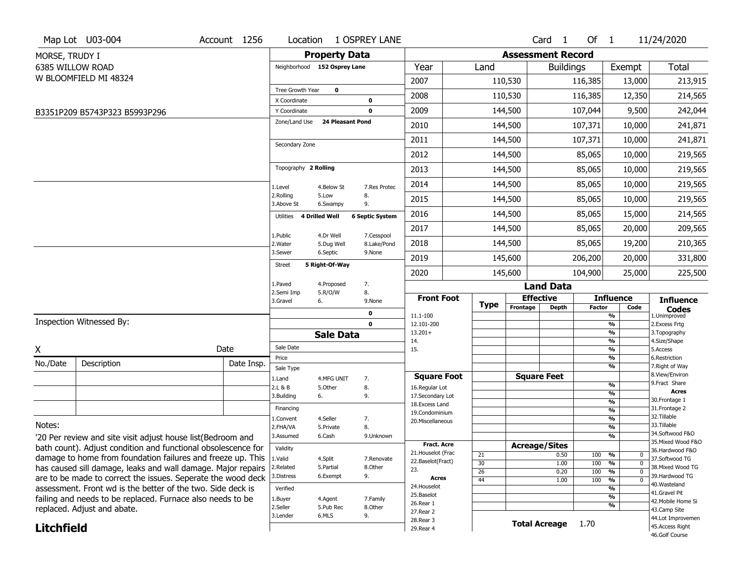|                   | Map Lot U03-004                                               | Account 1256 | Location                         |                         | 1 OSPREY LANE             |                                   |             |                          | Card <sub>1</sub>    | Of $1$  |                                | 11/24/2020                         |
|-------------------|---------------------------------------------------------------|--------------|----------------------------------|-------------------------|---------------------------|-----------------------------------|-------------|--------------------------|----------------------|---------|--------------------------------|------------------------------------|
| MORSE, TRUDY I    |                                                               |              |                                  | <b>Property Data</b>    |                           |                                   |             | <b>Assessment Record</b> |                      |         |                                |                                    |
| 6385 WILLOW ROAD  |                                                               |              | Neighborhood 152 Osprey Lane     |                         |                           | Year                              | Land        |                          | <b>Buildings</b>     |         | Exempt                         | Total                              |
|                   | W BLOOMFIELD MI 48324                                         |              |                                  |                         |                           | 2007                              |             | 110,530                  |                      | 116,385 | 13,000                         | 213,915                            |
|                   |                                                               |              | Tree Growth Year<br>X Coordinate | $\mathbf{o}$            | 0                         | 2008                              |             | 110,530                  |                      | 116,385 | 12,350                         | 214,565                            |
|                   | B3351P209 B5743P323 B5993P296                                 |              | Y Coordinate                     |                         | 0                         | 2009                              |             | 144,500                  |                      | 107,044 | 9,500                          | 242,044                            |
|                   |                                                               |              | Zone/Land Use                    | <b>24 Pleasant Pond</b> |                           | 2010                              |             | 144,500                  |                      | 107,371 | 10,000                         | 241,871                            |
|                   |                                                               |              |                                  |                         |                           | 2011                              |             | 144,500                  |                      | 107,371 | 10,000                         | 241,871                            |
|                   |                                                               |              | Secondary Zone                   |                         |                           | 2012                              |             | 144,500                  |                      | 85,065  | 10,000                         | 219,565                            |
|                   |                                                               |              | Topography 2 Rolling             |                         |                           | 2013                              |             | 144,500                  |                      | 85,065  | 10,000                         | 219,565                            |
|                   |                                                               |              | 1.Level                          | 4.Below St              | 7.Res Protec              | 2014                              |             | 144,500                  |                      | 85,065  | 10,000                         | 219,565                            |
|                   |                                                               |              | 2.Rolling<br>3.Above St          | 5.Low<br>6.Swampy       | 8.<br>9.                  | 2015                              |             | 144,500                  |                      | 85,065  | 10,000                         | 219,565                            |
|                   |                                                               |              | Utilities 4 Drilled Well         |                         | <b>6 Septic System</b>    | 2016                              |             | 144,500                  |                      | 85,065  | 15,000                         | 214,565                            |
|                   |                                                               |              |                                  |                         |                           | 2017                              |             | 144,500                  |                      | 85,065  | 20,000                         | 209,565                            |
|                   |                                                               |              | 1.Public<br>2. Water             | 4.Dr Well<br>5.Dug Well | 7.Cesspool<br>8.Lake/Pond | 2018                              |             | 144,500                  |                      | 85,065  | 19,200                         | 210,365                            |
|                   |                                                               |              | 3.Sewer                          | 6.Septic                | 9.None                    | 2019                              |             | 145,600                  |                      | 206,200 | 20,000                         | 331,800                            |
|                   |                                                               |              | Street                           | 5 Right-Of-Way          |                           | 2020                              |             | 145,600                  |                      | 104,900 | 25,000                         | 225,500                            |
|                   |                                                               |              | 1.Paved                          | 4.Proposed              | 7.                        |                                   |             |                          | <b>Land Data</b>     |         |                                |                                    |
|                   |                                                               |              | 2.Semi Imp<br>3.Gravel           | 5.R/O/W<br>6.           | 8.<br>9.None              | <b>Front Foot</b>                 |             | <b>Effective</b>         |                      |         | <b>Influence</b>               | <b>Influence</b>                   |
|                   |                                                               |              |                                  |                         | 0                         | 11.1-100                          | <b>Type</b> | Frontage                 | <b>Depth</b>         | Factor  | Code<br>$\frac{9}{6}$          | <b>Codes</b><br>1.Unimproved       |
|                   | Inspection Witnessed By:                                      |              |                                  |                         | $\mathbf 0$               | 12.101-200                        |             |                          |                      |         | $\frac{9}{6}$                  | 2. Excess Frtg                     |
|                   |                                                               |              |                                  | <b>Sale Data</b>        |                           | $13.201+$<br>14.                  |             |                          |                      |         | $\frac{9}{6}$<br>$\frac{9}{6}$ | 3. Topography<br>4.Size/Shape      |
| Χ                 |                                                               | Date         | Sale Date                        |                         |                           | 15.                               |             |                          |                      |         | $\frac{9}{6}$                  | 5.Access                           |
| No./Date          | Description                                                   | Date Insp.   | Price                            |                         |                           |                                   |             |                          |                      |         | %<br>$\frac{9}{6}$             | 6.Restriction<br>7. Right of Way   |
|                   |                                                               |              | Sale Type<br>1.Land              | 4.MFG UNIT              | 7.                        | <b>Square Foot</b>                |             |                          | <b>Square Feet</b>   |         |                                | 8.View/Environ                     |
|                   |                                                               |              | 2.L & B                          | 5.Other                 | 8.                        | 16.Regular Lot                    |             |                          |                      |         | $\frac{9}{6}$                  | 9.Fract Share                      |
|                   |                                                               |              | 3.Building                       | 6.                      | 9.                        | 17.Secondary Lot                  |             |                          |                      |         | $\frac{9}{6}$<br>$\frac{9}{6}$ | <b>Acres</b><br>30. Frontage 1     |
|                   |                                                               |              | Financing                        |                         |                           | 18. Excess Land<br>19.Condominium |             |                          |                      |         | $\frac{9}{6}$                  | 31. Frontage 2                     |
|                   |                                                               |              | 1.Convent                        | 4.Seller                | 7.                        | 20.Miscellaneous                  |             |                          |                      |         | $\frac{9}{6}$                  | 32.Tillable                        |
| Notes:            |                                                               |              | 2.FHA/VA                         | 5.Private               | 8.                        |                                   |             |                          |                      |         | $\frac{9}{6}$                  | 33.Tillable<br>34.Softwood F&O     |
|                   | '20 Per review and site visit adjust house list(Bedroom and   |              | 3.Assumed                        | 6.Cash                  | 9.Unknown                 | <b>Fract. Acre</b>                |             |                          |                      |         | %                              | 35. Mixed Wood F&O                 |
|                   | bath count). Adjust condition and functional obsolescence for |              | Validity                         |                         |                           | 21. Houselot (Frac                | 21          | <b>Acreage/Sites</b>     | 0.50                 | 100     | %<br>0                         | 36.Hardwood F&O                    |
|                   | damage to home from foundation failures and freeze up. This   |              | 1.Valid                          | 4.Split                 | 7.Renovate                | 22.Baselot(Fract)                 | 30          |                          | 1.00                 | 100     | %<br>$\mathbf 0$               | 37.Softwood TG                     |
|                   | has caused sill damage, leaks and wall damage. Major repairs  |              | 2.Related                        | 5.Partial               | 8.Other                   | 23.                               | 26          |                          | 0.20                 | 100     | $\frac{9}{6}$<br>$\mathbf{0}$  | 38. Mixed Wood TG                  |
|                   | are to be made to correct the issues. Seperate the wood deck  |              | 3.Distress                       | 6.Exempt                | 9.                        | <b>Acres</b>                      | 44          |                          | 1.00                 | 100     | $\frac{9}{6}$<br>$\mathbf 0$   | 39.Hardwood TG<br>40.Wasteland     |
|                   | assessment. Front wd is the better of the two. Side deck is   |              | Verified                         |                         |                           | 24. Houselot<br>25.Baselot        |             |                          |                      |         | %                              | 41.Gravel Pit                      |
|                   | failing and needs to be replaced. Furnace also needs to be    |              | 1.Buyer                          | 4.Agent                 | 7.Family                  | 26.Rear 1                         |             |                          |                      |         | %                              | 42. Mobile Home Si                 |
|                   | replaced. Adjust and abate.                                   |              | 2.Seller                         | 5.Pub Rec               | 8.Other                   | 27. Rear 2                        |             |                          |                      |         | %                              | 43.Camp Site                       |
|                   |                                                               |              | 3.Lender                         | 6.MLS                   | 9.                        | 28. Rear 3                        |             |                          | <b>Total Acreage</b> | 1.70    |                                | 44.Lot Improvemen                  |
| <b>Litchfield</b> |                                                               |              |                                  |                         |                           | 29. Rear 4                        |             |                          |                      |         |                                | 45. Access Right<br>46.Golf Course |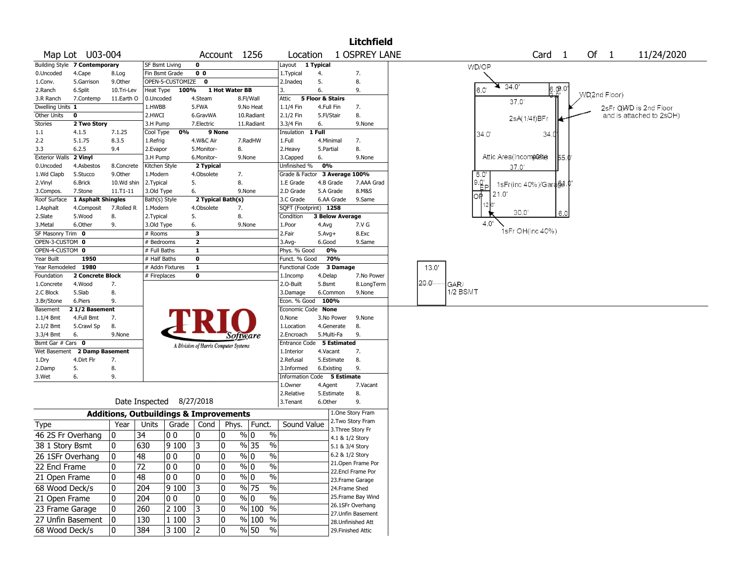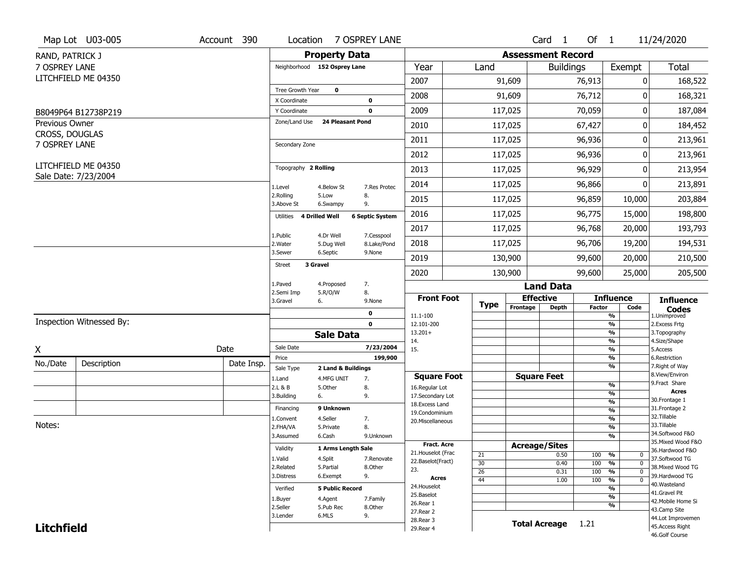|                                         | Map Lot U03-005          | Account 390 |                               |                         | Location 7 OSPREY LANE |                        |                 |                          | Card <sub>1</sub>    | Of $1$        |                                | 11/24/2020                        |
|-----------------------------------------|--------------------------|-------------|-------------------------------|-------------------------|------------------------|------------------------|-----------------|--------------------------|----------------------|---------------|--------------------------------|-----------------------------------|
| RAND, PATRICK J                         |                          |             |                               | <b>Property Data</b>    |                        |                        |                 | <b>Assessment Record</b> |                      |               |                                |                                   |
| 7 OSPREY LANE                           |                          |             | Neighborhood 152 Osprey Lane  |                         |                        | Year                   | Land            |                          | <b>Buildings</b>     |               | Exempt                         | <b>Total</b>                      |
|                                         | LITCHFIELD ME 04350      |             |                               |                         |                        | 2007                   |                 | 91,609                   |                      | 76,913        | 0                              | 168,522                           |
|                                         |                          |             | Tree Growth Year              | $\mathbf 0$             |                        | 2008                   |                 | 91,609                   |                      | 76,712        | 0                              | 168,321                           |
|                                         |                          |             | X Coordinate                  |                         | $\mathbf 0$            |                        |                 |                          |                      |               |                                |                                   |
|                                         | B8049P64 B12738P219      |             | Y Coordinate<br>Zone/Land Use | <b>24 Pleasant Pond</b> | $\mathbf 0$            | 2009                   |                 | 117,025                  |                      | 70,059        | 0                              | 187,084                           |
| <b>Previous Owner</b><br>CROSS, DOUGLAS |                          |             |                               |                         |                        | 2010                   |                 | 117,025                  |                      | 67,427        | 0                              | 184,452                           |
| 7 OSPREY LANE                           |                          |             | Secondary Zone                |                         |                        | 2011                   |                 | 117,025                  |                      | 96,936        | 0                              | 213,961                           |
|                                         |                          |             |                               |                         |                        | 2012                   |                 | 117,025                  |                      | 96,936        | 0                              | 213,961                           |
|                                         | LITCHFIELD ME 04350      |             | Topography 2 Rolling          |                         |                        | 2013                   |                 | 117,025                  |                      | 96,929        | 0                              | 213,954                           |
|                                         | Sale Date: 7/23/2004     |             | 1.Level                       | 4.Below St              | 7.Res Protec           | 2014                   |                 | 117,025                  |                      | 96,866        | 0                              | 213,891                           |
|                                         |                          |             | 2.Rolling<br>3.Above St       | 5.Low<br>6.Swampy       | 8.<br>9.               | 2015                   |                 | 117,025                  |                      | 96,859        | 10,000                         | 203,884                           |
|                                         |                          |             | 4 Drilled Well<br>Utilities   |                         | <b>6 Septic System</b> | 2016                   |                 | 117,025                  |                      | 96,775        | 15,000                         | 198,800                           |
|                                         |                          |             | 1.Public                      | 4.Dr Well               | 7.Cesspool             | 2017                   |                 | 117,025                  |                      | 96,768        | 20,000                         | 193,793                           |
|                                         |                          |             | 2. Water                      | 5.Dug Well              | 8.Lake/Pond            | 2018                   |                 | 117,025                  |                      | 96,706        | 19,200                         | 194,531                           |
|                                         |                          |             | 3.Sewer<br>3 Gravel           | 6.Septic                | 9.None                 | 2019                   |                 | 130,900                  |                      | 99,600        | 20,000                         | 210,500                           |
|                                         |                          |             | <b>Street</b>                 |                         |                        | 2020                   |                 | 130,900                  |                      | 99,600        | 25,000                         | 205,500                           |
|                                         |                          |             | 1.Paved                       | 4.Proposed              | 7.                     |                        |                 |                          | <b>Land Data</b>     |               |                                |                                   |
|                                         |                          |             | 2.Semi Imp<br>3.Gravel<br>6.  | 5.R/O/W                 | 8.<br>9.None           | <b>Front Foot</b>      |                 |                          | <b>Effective</b>     |               | <b>Influence</b>               | <b>Influence</b>                  |
|                                         |                          |             |                               |                         | 0                      | 11.1-100               | <b>Type</b>     | Frontage                 | <b>Depth</b>         | <b>Factor</b> | Code<br>%                      | <b>Codes</b><br>1.Unimproved      |
|                                         | Inspection Witnessed By: |             |                               |                         | $\mathbf 0$            | 12.101-200             |                 |                          |                      |               | $\frac{9}{6}$                  | 2.Excess Frtg                     |
|                                         |                          |             |                               | <b>Sale Data</b>        |                        | $13.201+$              |                 |                          |                      |               | %<br>%                         | 3. Topography<br>4.Size/Shape     |
| X                                       |                          | Date        | Sale Date                     |                         | 7/23/2004              | 14.<br>15.             |                 |                          |                      |               | %                              | 5.Access                          |
| No./Date                                | Description              | Date Insp.  | Price                         |                         | 199,900                |                        |                 |                          |                      |               | %                              | 6.Restriction                     |
|                                         |                          |             | Sale Type                     | 2 Land & Buildings      |                        | <b>Square Foot</b>     |                 |                          | <b>Square Feet</b>   |               | %                              | 7. Right of Way<br>8.View/Environ |
|                                         |                          |             | 1.Land<br>2.L & B             | 4.MFG UNIT<br>5.0ther   | 7.<br>8.               | 16.Regular Lot         |                 |                          |                      |               | $\frac{9}{6}$                  | 9.Fract Share                     |
|                                         |                          |             | 3.Building<br>6.              |                         | 9.                     | 17.Secondary Lot       |                 |                          |                      |               | $\frac{9}{6}$                  | <b>Acres</b>                      |
|                                         |                          |             | Financing                     | 9 Unknown               |                        | 18.Excess Land         |                 |                          |                      |               | $\frac{9}{6}$                  | 30. Frontage 1<br>31. Frontage 2  |
|                                         |                          |             |                               | 4.Seller                |                        | 19.Condominium         |                 |                          |                      |               | $\frac{9}{6}$<br>$\frac{9}{6}$ | 32. Tillable                      |
| Notes:                                  |                          |             | 1.Convent<br>2.FHA/VA         | 5.Private               | 7.<br>8.               | 20.Miscellaneous       |                 |                          |                      |               | $\frac{9}{6}$                  | 33.Tillable                       |
|                                         |                          |             | 3.Assumed                     | 6.Cash                  | 9.Unknown              |                        |                 |                          |                      |               | %                              | 34.Softwood F&O                   |
|                                         |                          |             |                               |                         |                        | <b>Fract. Acre</b>     |                 |                          | <b>Acreage/Sites</b> |               |                                | 35. Mixed Wood F&O                |
|                                         |                          |             | Validity                      | 1 Arms Length Sale      |                        | 21. Houselot (Frac     | 21              |                          | 0.50                 | 100           | %<br>0                         | 36.Hardwood F&O                   |
|                                         |                          |             | 1.Valid                       | 4.Split                 | 7.Renovate             | 22.Baselot(Fract)      | 30              |                          | 0.40                 | 100           | $\frac{9}{6}$<br>$\mathbf 0$   | 37.Softwood TG                    |
|                                         |                          |             | 2.Related                     | 5.Partial               | 8.Other                | 23.                    | 26              |                          | 0.31                 | 100           | $\frac{9}{6}$<br>$\mathbf 0$   | 38. Mixed Wood TG                 |
|                                         |                          |             | 3.Distress                    | 6.Exempt                | 9.                     | <b>Acres</b>           | $\overline{44}$ |                          | 1.00                 | 100           | $\frac{9}{6}$<br>$\Omega$      | 39.Hardwood TG                    |
|                                         |                          |             | Verified                      | <b>5 Public Record</b>  |                        | 24. Houselot           |                 |                          |                      |               | $\frac{9}{6}$                  | 40. Wasteland<br>41.Gravel Pit    |
|                                         |                          |             | 1.Buyer                       | 4.Agent                 | 7.Family               | 25.Baselot             |                 |                          |                      |               | $\frac{9}{6}$                  | 42. Mobile Home Si                |
|                                         |                          |             | 2.Seller                      | 5.Pub Rec               | 8.0ther                | 26.Rear 1<br>27.Rear 2 |                 |                          |                      |               | %                              | 43.Camp Site                      |
|                                         |                          |             | 3.Lender                      | 6.MLS                   | 9.                     | 28. Rear 3             |                 |                          |                      |               |                                | 44.Lot Improvemen                 |
| <b>Litchfield</b>                       |                          |             |                               |                         |                        | 29. Rear 4             |                 |                          | <b>Total Acreage</b> | 1.21          |                                | 45.Access Right                   |
|                                         |                          |             |                               |                         |                        |                        |                 |                          |                      |               |                                | 46.Golf Course                    |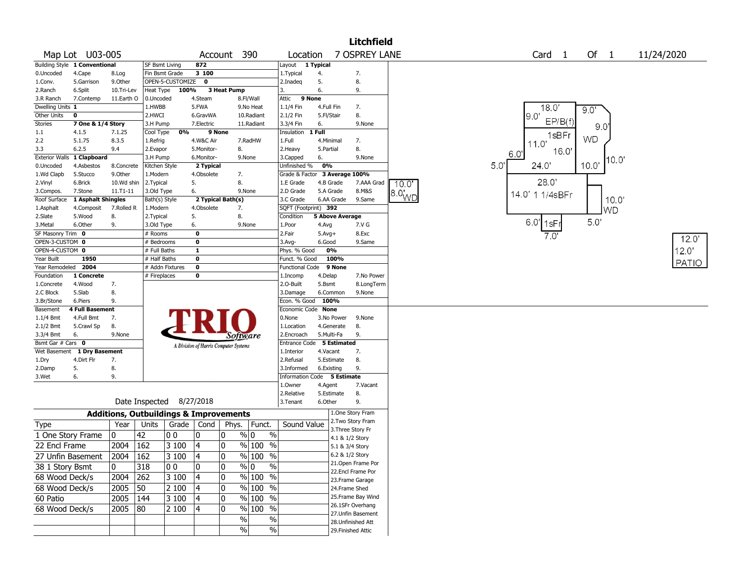|                   |                               |            |                                                   |                  |                                       |             |                                |                             |              |                        | <b>Litchfield</b>  |                      |                 |                      |           |            |
|-------------------|-------------------------------|------------|---------------------------------------------------|------------------|---------------------------------------|-------------|--------------------------------|-----------------------------|--------------|------------------------|--------------------|----------------------|-----------------|----------------------|-----------|------------|
|                   | Map Lot U03-005               |            |                                                   |                  | Account                               |             | 390                            | Location                    |              |                        | 7 OSPREY LANE      |                      |                 | Card <sub>1</sub>    | Of $1$    | 11/24/2020 |
|                   | Building Style 1 Conventional |            | <b>SF Bsmt Living</b>                             |                  | 872                                   |             |                                | Layout                      | 1 Typical    |                        |                    |                      |                 |                      |           |            |
| 0.Uncoded         | 4.Cape                        | 8.Log      | Fin Bsmt Grade                                    |                  | $\overline{3}$ 100                    |             |                                | 1.Typical                   | 4.           |                        | 7.                 |                      |                 |                      |           |            |
| 1.Conv.           | 5.Garrison                    | 9.Other    |                                                   | OPEN-5-CUSTOMIZE | 0                                     |             |                                | 2.Inadeq                    | 5.           |                        | 8.                 |                      |                 |                      |           |            |
| 2.Ranch           | 6.Split                       | 10.Tri-Lev | Heat Type                                         | 100%             |                                       | 3 Heat Pump |                                | 3.                          | 6.           |                        | 9.                 |                      |                 |                      |           |            |
| 3.R Ranch         | 7.Contemp                     | 11.Earth O | 0.Uncoded                                         |                  | 4.Steam                               |             | 8.Fl/Wall                      | Attic                       | 9 None       |                        |                    |                      |                 |                      |           |            |
| Dwelling Units 1  |                               |            | 1.HWBB                                            |                  | 5.FWA                                 |             | 9.No Heat                      | 1.1/4 Fin                   | 4.Full Fin   |                        | 7.                 |                      |                 | 18.0'                | 9.0'      |            |
| Other Units       | 0                             |            | 2.HWCI                                            |                  | 6.GravWA                              |             | 10.Radiant                     | 2.1/2 Fin                   | 5.Fl/Stair   |                        | 8.                 |                      |                 | 19 O'                |           |            |
| <b>Stories</b>    | 7 One & 1/4 Story             |            | 3.H Pump                                          |                  | 7.Electric                            |             | 11.Radiant                     | 3.3/4 Fin                   | 6.           |                        | 9.None             |                      |                 | EP/B(f)              | 9.0       |            |
| $1.1\,$           | 4.1.5                         | 7.1.25     | Cool Type                                         | 0%               | 9 None                                |             |                                | Insulation                  | 1 Full       |                        |                    |                      |                 | 1sBFr                |           |            |
| 2.2               | 5.1.75                        | 8.3.5      | 1.Refrig                                          |                  | 4.W&C Air                             |             | 7.RadHW                        | 1.Full                      | 4.Minimal    |                        | 7.                 |                      |                 | 11.0'                | <b>WD</b> |            |
| 3.3               | 6.2.5                         | 9.4        | 2.Evapor                                          |                  | 5.Monitor-                            |             | 8.                             | 2.Heavy                     | 5.Partial    |                        | 8.                 |                      | 6.0'            | 16.0'                |           |            |
|                   | Exterior Walls 1 Clapboard    |            | 3.H Pump                                          |                  | 6.Monitor-                            |             | 9.None                         | 3.Capped                    | 6.           |                        | 9.None             |                      |                 |                      | 10.0      |            |
| 0.Uncoded         | 4.Asbestos                    | 8.Concrete | Kitchen Style                                     |                  | 2 Typical                             |             |                                | Unfinished %                | 0%           |                        |                    |                      | 50 <sup>°</sup> | 24.0'                | 10.0      |            |
| 1.Wd Clapb        | 5.Stucco                      | 9.0ther    | 1.Modern                                          |                  | 4.Obsolete                            |             | 7.                             | Grade & Factor              |              | 3 Average 100%         |                    |                      |                 |                      |           |            |
| 2.Vinyl           | 6.Brick                       | 10.Wd shin | 2.Typical                                         |                  | 5.                                    | 8.          |                                | 1.E Grade                   |              | 4.B Grade              | 7.AAA Grad         | 10.0"                |                 | 28.0'                |           |            |
| 3.Compos.         | 7.Stone                       | 11.T1-11   | 3.Old Type                                        |                  | 6.                                    |             | 9.None                         | 2.D Grade                   |              | 5.A Grade              | 8.M&S              |                      |                 | 14.0' 1 1/4sBFr      |           |            |
| Roof Surface      | 1 Asphalt Shingles            |            | Bath(s) Style                                     |                  | 2 Typical Bath(s)                     |             |                                | 3.C Grade                   |              | 6.AA Grade             | 9.Same             | $18.0$ <sub>WD</sub> |                 |                      | 10.0      |            |
| 1.Asphalt         | 4.Composit                    | 7.Rolled R | 1.Modern                                          |                  | 4.Obsolete                            |             | 7.                             | SQFT (Footprint) 392        |              |                        |                    |                      |                 |                      | <b>WD</b> |            |
| 2.Slate           | 5.Wood                        | 8.         | 2. Typical                                        |                  | 5.                                    | 8.          |                                | Condition                   |              | <b>5 Above Average</b> |                    |                      |                 |                      |           |            |
| 3.Metal           | 6.Other                       | 9.         | 3.Old Type                                        |                  | 6.                                    |             | 9.None                         | 1.Poor                      | 4.Avg        |                        | 7.V G              |                      |                 | 6.0 <sup>'</sup> 1sF | 5.0'      |            |
| SF Masonry Trim 0 |                               |            | # Rooms                                           |                  | 0                                     |             |                                | 2.Fair                      | $5.$ Avg $+$ |                        | 8.Exc              |                      |                 | 7.0'                 |           |            |
| OPEN-3-CUSTOM 0   |                               |            | # Bedrooms                                        |                  | 0                                     |             |                                | 3.Avg-                      | 6.Good       |                        | 9.Same             |                      |                 |                      |           | 12.0'      |
| OPEN-4-CUSTOM 0   |                               |            | # Full Baths                                      |                  | $\mathbf{1}$                          |             |                                | Phys. % Good                |              | 0%                     |                    |                      |                 |                      |           | 12.0'      |
| Year Built        | 1950                          |            | # Half Baths                                      |                  | 0                                     |             |                                | Funct. % Good               |              | 100%                   |                    |                      |                 |                      |           | PATIO      |
| Year Remodeled    | 2004                          |            | # Addn Fixtures                                   |                  | 0                                     |             |                                | Functional Code             |              | 9 None                 |                    |                      |                 |                      |           |            |
| Foundation        | 1 Concrete                    |            | # Fireplaces                                      |                  | 0                                     |             |                                | 1.Incomp                    | 4.Delap      |                        | 7.No Power         |                      |                 |                      |           |            |
| 1.Concrete        | 4.Wood                        | 7.         |                                                   |                  |                                       |             |                                | 2.O-Built                   | 5.Bsmt       |                        | 8.LongTerm         |                      |                 |                      |           |            |
| 2.C Block         | 5.Slab                        | 8.         |                                                   |                  |                                       |             |                                | 3.Damage                    |              | 6.Common               | 9.None             |                      |                 |                      |           |            |
| 3.Br/Stone        | 6.Piers                       | 9.         |                                                   |                  |                                       |             |                                | Econ. % Good                |              | 100%                   |                    |                      |                 |                      |           |            |
| Basement          | <b>4 Full Basement</b>        |            |                                                   |                  |                                       |             |                                | Economic Code None          |              |                        |                    |                      |                 |                      |           |            |
| $1.1/4$ Bmt       | 4.Full Bmt                    | 7.         |                                                   |                  |                                       |             |                                | 0.None                      |              | 3.No Power             | 9.None             |                      |                 |                      |           |            |
| 2.1/2 Bmt         | 5.Crawl Sp                    | 8.         |                                                   |                  |                                       |             |                                | 1.Location                  |              | 4.Generate             | 8.                 |                      |                 |                      |           |            |
| 3.3/4 Bmt         | 6.                            | 9.None     |                                                   |                  |                                       |             | Software                       | 2.Encroach                  |              | 5.Multi-Fa             | 9.                 |                      |                 |                      |           |            |
| Bsmt Gar # Cars 0 |                               |            |                                                   |                  | A Division of Harris Computer Systems |             |                                | Entrance Code 5 Estimated   |              |                        |                    |                      |                 |                      |           |            |
| Wet Basement      | 1 Dry Basement                |            |                                                   |                  |                                       |             |                                | 1.Interior                  | 4.Vacant     |                        | 7.                 |                      |                 |                      |           |            |
| 1.Dry             | 4.Dirt Flr                    | 7.         |                                                   |                  |                                       |             |                                | 2.Refusal                   |              | 5.Estimate             | 8.                 |                      |                 |                      |           |            |
| 2.Damp            | 5.                            | 8.         |                                                   |                  |                                       |             |                                | 3.Informed                  |              | 6.Existing             | 9.                 |                      |                 |                      |           |            |
| 3.Wet             | 6.                            | 9.         |                                                   |                  |                                       |             |                                | Information Code 5 Estimate |              |                        |                    |                      |                 |                      |           |            |
|                   |                               |            |                                                   |                  |                                       |             |                                | 1.Owner                     | 4.Agent      |                        | 7.Vacant           |                      |                 |                      |           |            |
|                   |                               |            |                                                   |                  |                                       |             |                                | 2.Relative                  |              | 5.Estimate             | 8.                 |                      |                 |                      |           |            |
|                   |                               |            | Date Inspected 8/27/2018                          |                  |                                       |             |                                | 3.Tenant                    | 6.Other      |                        | 9.                 |                      |                 |                      |           |            |
|                   |                               |            | <b>Additions, Outbuildings &amp; Improvements</b> |                  |                                       |             |                                |                             |              |                        | 1.One Story Fram   |                      |                 |                      |           |            |
| Type              |                               | Year       | Units                                             |                  | Grade   Cond                          |             | Phys.   Funct.                 | Sound Value                 |              |                        | 2.Two Story Fram   |                      |                 |                      |           |            |
| 1 One Story Frame |                               | 0          | 42                                                | 0 <sub>0</sub>   | 0                                     | 10          | $\frac{1}{9}$ 0<br>$\%$        |                             |              | 4.1 & 1/2 Story        | 3. Three Story Fr  |                      |                 |                      |           |            |
| 22 Encl Frame     |                               | 2004       | 162                                               | 3100             | $\overline{4}$                        | 10          | % 100 %                        |                             |              | 5.1 & 3/4 Story        |                    |                      |                 |                      |           |            |
|                   |                               |            |                                                   |                  |                                       |             |                                |                             |              | 6.2 & 1/2 Story        |                    |                      |                 |                      |           |            |
| 27 Unfin Basement |                               | 2004 162   |                                                   | 3 100            | $\overline{\mathbf{4}}$               | 0           | $\sqrt[9]{\frac{100}{96}}$ %   |                             |              |                        | 21.Open Frame Por  |                      |                 |                      |           |            |
| 38 1 Story Bsmt   |                               | 0          | 318                                               | 00               | 0                                     | 10          | $\sqrt[6]{0}$<br>$\frac{0}{0}$ |                             |              |                        | 22.Encl Frame Por  |                      |                 |                      |           |            |
| 68 Wood Deck/s    |                               | 2004 262   |                                                   | 3 100            | 4                                     | 10          | % 100 %                        |                             |              |                        | 23. Frame Garage   |                      |                 |                      |           |            |
| 68 Wood Deck/s    |                               | 2005       | $ 50\rangle$                                      | 2 100            | 4                                     | 0           | % 100 %                        |                             |              | 24.Frame Shed          |                    |                      |                 |                      |           |            |
|                   |                               |            |                                                   |                  |                                       |             |                                |                             |              |                        | 25. Frame Bay Wind |                      |                 |                      |           |            |
| 60 Patio          |                               | 2005   144 |                                                   | 3 100            | 4                                     | 10          | $%100$ %                       |                             |              |                        | 26.1SFr Overhang   |                      |                 |                      |           |            |
| 68 Wood Deck/s    |                               | $2005$ 80  |                                                   | 2 100            | 4                                     | 10          | % 100 %                        |                             |              |                        | 27.Unfin Basement  |                      |                 |                      |           |            |
|                   |                               |            |                                                   |                  |                                       |             | %<br>$\%$                      |                             |              |                        | 28. Unfinished Att |                      |                 |                      |           |            |
|                   |                               |            |                                                   |                  |                                       |             | $\frac{0}{0}$<br>$\%$          |                             |              |                        | 29. Finished Attic |                      |                 |                      |           |            |
|                   |                               |            |                                                   |                  |                                       |             |                                |                             |              |                        |                    |                      |                 |                      |           |            |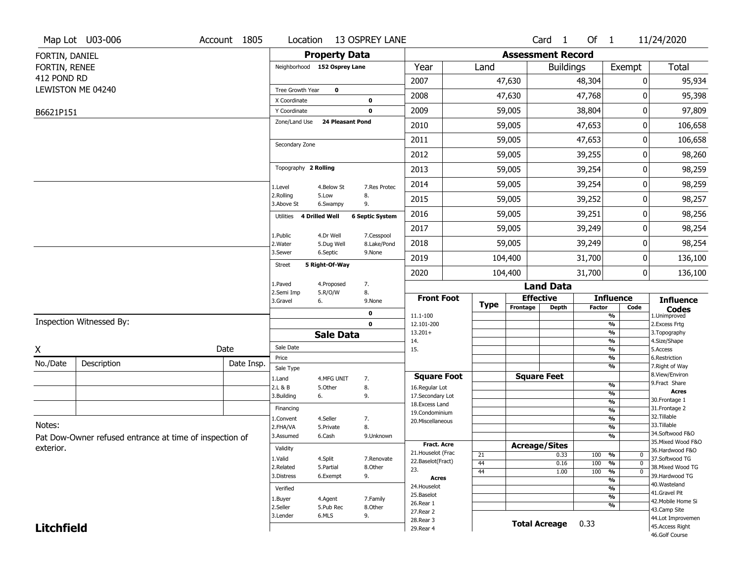|                   | Map Lot U03-006                                         | Account 1805 | Location                      |                         | 13 OSPREY LANE         |                                     |             |                          | Card <sub>1</sub>    | Of $1$        |                                           | 11/24/2020                          |
|-------------------|---------------------------------------------------------|--------------|-------------------------------|-------------------------|------------------------|-------------------------------------|-------------|--------------------------|----------------------|---------------|-------------------------------------------|-------------------------------------|
| FORTIN, DANIEL    |                                                         |              |                               | <b>Property Data</b>    |                        |                                     |             | <b>Assessment Record</b> |                      |               |                                           |                                     |
| FORTIN, RENEE     |                                                         |              | Neighborhood 152 Osprey Lane  |                         |                        | Year                                | Land        |                          | <b>Buildings</b>     |               | Exempt                                    | Total                               |
| 412 POND RD       |                                                         |              |                               |                         |                        | 2007                                |             | 47,630                   |                      | 48,304        | 0                                         | 95,934                              |
|                   | LEWISTON ME 04240                                       |              | Tree Growth Year              | 0                       |                        | 2008                                |             | 47,630                   |                      | 47,768        | 0                                         | 95,398                              |
|                   |                                                         |              | X Coordinate                  |                         | 0<br>$\mathbf 0$       | 2009                                |             | 59,005                   |                      | 38,804        | 0                                         | 97,809                              |
| B6621P151         |                                                         |              | Y Coordinate<br>Zone/Land Use | <b>24 Pleasant Pond</b> |                        |                                     |             |                          |                      |               |                                           |                                     |
|                   |                                                         |              |                               |                         |                        | 2010                                |             | 59,005                   |                      | 47,653        | 0                                         | 106,658                             |
|                   |                                                         |              | Secondary Zone                |                         |                        | 2011                                |             | 59,005                   |                      | 47,653        | 0                                         | 106,658                             |
|                   |                                                         |              |                               |                         |                        | 2012                                |             | 59,005                   |                      | 39,255        | 0                                         | 98,260                              |
|                   |                                                         |              | Topography 2 Rolling          |                         |                        | 2013                                |             | 59,005                   |                      | 39,254        | 0                                         | 98,259                              |
|                   |                                                         |              | 1.Level                       | 4.Below St              | 7.Res Protec           | 2014                                |             | 59,005                   |                      | 39,254        | 0                                         | 98,259                              |
|                   |                                                         |              | 2.Rolling<br>3.Above St       | 5.Low<br>6.Swampy       | 8.<br>9.               | 2015                                |             | 59,005                   |                      | 39,252        | 0                                         | 98,257                              |
|                   |                                                         |              | Utilities<br>4 Drilled Well   |                         | <b>6 Septic System</b> | 2016                                |             | 59,005                   |                      | 39,251        | 0                                         | 98,256                              |
|                   |                                                         |              | 1.Public                      | 4.Dr Well               | 7.Cesspool             | 2017                                |             | 59,005                   |                      | 39,249        | 0                                         | 98,254                              |
|                   |                                                         |              | 2. Water                      | 5.Dug Well              | 8.Lake/Pond            | 2018                                |             | 59,005                   |                      | 39,249        | 0                                         | 98,254                              |
|                   |                                                         |              | 3.Sewer                       | 6.Septic                | 9.None                 | 2019                                |             | 104,400                  |                      | 31,700        | 0                                         | 136,100                             |
|                   |                                                         |              | <b>Street</b>                 | 5 Right-Of-Way          |                        | 2020                                |             | 104,400                  |                      | 31,700        | 0                                         | 136,100                             |
|                   |                                                         |              | 1.Paved                       | 4.Proposed              | 7.                     |                                     |             |                          | <b>Land Data</b>     |               |                                           |                                     |
|                   |                                                         |              | 2.Semi Imp<br>3.Gravel<br>6.  | 5.R/O/W                 | 8.<br>9.None           | <b>Front Foot</b>                   | <b>Type</b> |                          | <b>Effective</b>     |               | <b>Influence</b>                          | <b>Influence</b>                    |
|                   |                                                         |              |                               |                         | 0                      | 11.1-100                            |             | Frontage                 | <b>Depth</b>         | <b>Factor</b> | Code<br>$\overline{\frac{9}{6}}$          | <b>Codes</b><br>1.Unimproved        |
|                   | Inspection Witnessed By:                                |              |                               |                         | $\mathbf 0$            | 12.101-200                          |             |                          |                      |               | $\frac{9}{6}$                             | 2.Excess Frtg                       |
|                   |                                                         |              |                               | <b>Sale Data</b>        |                        | $13.201+$<br>14.                    |             |                          |                      |               | $\overline{\frac{9}{6}}$<br>$\frac{9}{6}$ | 3. Topography<br>4.Size/Shape       |
| X                 |                                                         | Date         | Sale Date                     |                         |                        | 15.                                 |             |                          |                      |               | $\overline{\frac{9}{6}}$                  | 5.Access                            |
| No./Date          | Description                                             | Date Insp.   | Price<br>Sale Type            |                         |                        |                                     |             |                          |                      |               | $\frac{9}{6}$<br>$\overline{\frac{9}{6}}$ | 6.Restriction<br>7. Right of Way    |
|                   |                                                         |              | 1.Land                        | 4.MFG UNIT              | 7.                     | <b>Square Foot</b>                  |             |                          | <b>Square Feet</b>   |               |                                           | 8.View/Environ                      |
|                   |                                                         |              | 2.L & B                       | 5.Other                 | 8.                     | 16.Regular Lot                      |             |                          |                      |               | $\frac{9}{6}$<br>$\frac{9}{6}$            | 9.Fract Share<br><b>Acres</b>       |
|                   |                                                         |              | 3.Building<br>6.              |                         | 9.                     | 17.Secondary Lot<br>18. Excess Land |             |                          |                      |               | $\frac{9}{6}$                             | 30. Frontage 1                      |
|                   |                                                         |              | Financing                     |                         |                        | 19.Condominium                      |             |                          |                      |               | $\frac{9}{6}$                             | 31. Frontage 2<br>32.Tillable       |
| Notes:            |                                                         |              | 1.Convent<br>2.FHA/VA         | 4.Seller<br>5.Private   | 7.<br>8.               | 20.Miscellaneous                    |             |                          |                      |               | $\frac{9}{6}$<br>$\overline{\frac{9}{6}}$ | 33.Tillable                         |
|                   | Pat Dow-Owner refused entrance at time of inspection of |              | 3.Assumed                     | 6.Cash                  | 9.Unknown              |                                     |             |                          |                      |               | %                                         | 34.Softwood F&O                     |
| exterior.         |                                                         |              | Validity                      |                         |                        | <b>Fract. Acre</b>                  |             |                          | <b>Acreage/Sites</b> |               |                                           | 35. Mixed Wood F&O                  |
|                   |                                                         |              |                               |                         |                        | 21. Houselot (Frac                  | 21          |                          | 0.33                 | 100           | %<br>$\mathbf{0}$                         | 36.Hardwood F&O                     |
|                   |                                                         |              | 1.Valid<br>2.Related          | 4.Split<br>5.Partial    | 7.Renovate<br>8.Other  | 22.Baselot(Fract)                   | 44          |                          | 0.16                 | 100           | $\overline{0}$<br>%                       | 37.Softwood TG<br>38. Mixed Wood TG |
|                   |                                                         |              | 3.Distress                    | 6.Exempt                | 9.                     | 23.                                 | 44          |                          | 1.00                 | 100           | $\frac{9}{6}$<br>$\overline{0}$           | 39.Hardwood TG                      |
|                   |                                                         |              | Verified                      |                         |                        | Acres<br>24. Houselot               |             |                          |                      |               | %<br>%                                    | 40. Wasteland                       |
|                   |                                                         |              |                               |                         |                        | 25.Baselot                          |             |                          |                      |               | $\overline{\frac{9}{6}}$                  | 41.Gravel Pit                       |
|                   |                                                         |              | 1.Buyer<br>2.Seller           | 4.Agent<br>5.Pub Rec    | 7.Family<br>8.Other    | 26.Rear 1                           |             |                          |                      |               | %                                         | 42. Mobile Home Si                  |
|                   |                                                         |              | 3.Lender                      | 6.MLS                   | 9.                     | 27. Rear 2                          |             |                          |                      |               |                                           | 43.Camp Site<br>44.Lot Improvemen   |
| <b>Litchfield</b> |                                                         |              |                               |                         |                        | 28. Rear 3                          |             |                          |                      |               |                                           |                                     |
|                   |                                                         |              |                               |                         |                        | 29. Rear 4                          |             | <b>Total Acreage</b>     |                      | 0.33          |                                           | 45.Access Right                     |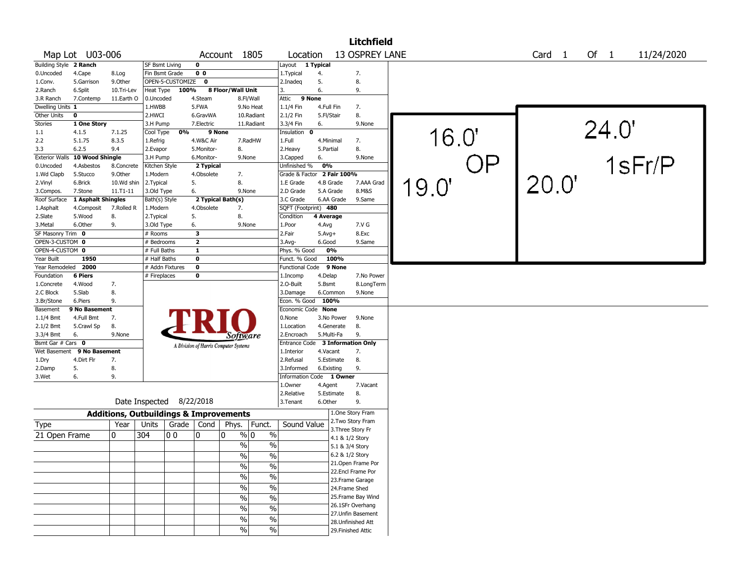|                        |                    |              |                       |                          |                |                                                   |               |                            |              |                 | <b>Litchfield</b>                      |       |    |                   |       |            |  |
|------------------------|--------------------|--------------|-----------------------|--------------------------|----------------|---------------------------------------------------|---------------|----------------------------|--------------|-----------------|----------------------------------------|-------|----|-------------------|-------|------------|--|
|                        | Map Lot U03-006    |              |                       |                          |                | Account 1805                                      |               | Location                   |              |                 | 13 OSPREY LANE                         |       |    | Card <sub>1</sub> | Of 1  | 11/24/2020 |  |
| Building Style 2 Ranch |                    |              | <b>SF Bsmt Living</b> |                          | 0              |                                                   |               | Layout 1 Typical           |              |                 |                                        |       |    |                   |       |            |  |
| 0.Uncoded              | 4.Cape             | 8.Log        | Fin Bsmt Grade        |                          | 0 <sub>0</sub> |                                                   |               | 1. Typical                 | 4.           |                 | 7.                                     |       |    |                   |       |            |  |
| 1.Conv.                | 5.Garrison         | 9.Other      |                       | OPEN-5-CUSTOMIZE         | 0              |                                                   |               | 2.Inadeq                   | 5.           |                 | 8.                                     |       |    |                   |       |            |  |
| 2.Ranch                | 6.Split            | 10.Tri-Lev   | Heat Type             | 100%                     |                | 8 Floor/Wall Unit                                 |               | 3.                         | 6.           |                 | 9.                                     |       |    |                   |       |            |  |
| 3.R Ranch              | 7.Contemp          | 11.Earth O   | 0.Uncoded             |                          | 4.Steam        | 8.Fl/Wall                                         |               | 9 None<br>Attic            |              |                 |                                        |       |    |                   |       |            |  |
| Dwelling Units 1       |                    |              | 1.HWBB                |                          | 5.FWA          |                                                   | 9.No Heat     | 1.1/4 Fin                  |              | 4.Full Fin      | 7.                                     |       |    |                   |       |            |  |
| Other Units            | 0                  |              | 2.HWCI                |                          | 6.GravWA       |                                                   | 10.Radiant    | 2.1/2 Fin                  |              | 5.Fl/Stair      | 8.                                     |       |    |                   |       |            |  |
| <b>Stories</b>         | 1 One Story        |              | 3.H Pump              |                          | 7.Electric     |                                                   | 11.Radiant    | 3.3/4 Fin                  | 6.           |                 | 9.None                                 |       |    |                   |       |            |  |
| 1.1                    | 4.1.5              | 7.1.25       | Cool Type             | 0%                       |                | 9 None                                            |               | Insulation 0               |              |                 |                                        |       |    |                   |       |            |  |
| 2.2                    | 5.1.75             | 8.3.5        | 1.Refrig              |                          | 4.W&C Air      |                                                   | 7.RadHW       | 1.Full                     |              | 4.Minimal       | 7.                                     | 16.0" |    |                   |       |            |  |
| 3.3                    | 6.2.5              | 9.4          | 2.Evapor              |                          | 5.Monitor-     | 8.                                                |               | 2.Heavy                    | 5.Partial    |                 | 8.                                     |       |    |                   | 24.0' |            |  |
| <b>Exterior Walls</b>  | 10 Wood Shingle    |              | 3.H Pump              |                          | 6.Monitor-     | 9.None                                            |               | 3.Capped                   | 6.           |                 | 9.None                                 |       |    |                   |       | 1sFr/P     |  |
| 0.Uncoded              | 4.Asbestos         | 8.Concrete   | Kitchen Style         |                          | 2 Typical      |                                                   |               | Unfinished %               | 0%           |                 |                                        |       | OP |                   |       |            |  |
| 1.Wd Clapb             | 5.Stucco           | 9.0ther      | 1.Modern              |                          | 4.Obsolete     | 7.                                                |               | Grade & Factor 2 Fair 100% |              |                 |                                        |       |    |                   |       |            |  |
| 2.Vinyl                | 6.Brick            | 10.Wd shin   | 2.Typical             |                          | 5.             | 8.                                                |               | 1.E Grade                  |              | 4.B Grade       | 7.AAA Grad                             |       |    | 20.0"             |       |            |  |
| 3.Compos.              | 7.Stone            | $11.71 - 11$ | 3.Old Type            |                          | 6.             | 9.None                                            |               | 2.D Grade                  |              | 5.A Grade       | 8.M&S                                  | 19.0' |    |                   |       |            |  |
| Roof Surface           | 1 Asphalt Shingles |              | Bath(s) Style         |                          |                | 2 Typical Bath(s)                                 |               | 3.C Grade                  |              | 6.AA Grade      | 9.Same                                 |       |    |                   |       |            |  |
| 1.Asphalt              | 4.Composit         | 7.Rolled R   | 1.Modern              |                          | 4.Obsolete     | 7.                                                |               | SQFT (Footprint) 480       |              |                 |                                        |       |    |                   |       |            |  |
| 2.Slate                | 5.Wood             | 8.           | 2. Typical            |                          | 5.             | 8.                                                |               | Condition                  | 4 Average    |                 |                                        |       |    |                   |       |            |  |
| 3.Metal                | 6.Other            | 9.           | 3.Old Type            |                          | 6.             | 9.None                                            |               | 1.Poor                     | 4.Avg        |                 | 7.V G                                  |       |    |                   |       |            |  |
| SF Masonry Trim 0      |                    |              | # Rooms               |                          | 3              |                                                   |               | 2.Fair                     | $5.$ Avg $+$ |                 | 8.Exc                                  |       |    |                   |       |            |  |
| OPEN-3-CUSTOM 0        |                    |              | # Bedrooms            |                          | $\mathbf{2}$   |                                                   |               | $3.$ Avg-                  | 6.Good       |                 | 9.Same                                 |       |    |                   |       |            |  |
| OPEN-4-CUSTOM 0        |                    |              | # Full Baths          |                          | 1              |                                                   |               | Phys. % Good               |              | 0%              |                                        |       |    |                   |       |            |  |
| Year Built             | 1950               |              | # Half Baths          |                          | 0              |                                                   |               | Funct. % Good              |              | 100%            |                                        |       |    |                   |       |            |  |
| Year Remodeled         | 2000               |              |                       | # Addn Fixtures          | 0              |                                                   |               | <b>Functional Code</b>     |              | 9 None          |                                        |       |    |                   |       |            |  |
| Foundation             | 6 Piers            |              | # Fireplaces          |                          | 0              |                                                   |               | 1.Incomp                   | 4.Delap      |                 | 7.No Power                             |       |    |                   |       |            |  |
| 1.Concrete             | 4.Wood             | 7.           |                       |                          |                |                                                   |               | 2.0-Built                  | 5.Bsmt       |                 | 8.LongTerm                             |       |    |                   |       |            |  |
| 2.C Block              | 5.Slab             | 8.           |                       |                          |                |                                                   |               | 3.Damage                   |              | 6.Common        | 9.None                                 |       |    |                   |       |            |  |
| 3.Br/Stone             | 6.Piers            | 9.           |                       |                          |                |                                                   |               | Econ. % Good               |              | 100%            |                                        |       |    |                   |       |            |  |
| Basement               | 9 No Basement      |              |                       |                          |                |                                                   |               | Economic Code None         |              |                 |                                        |       |    |                   |       |            |  |
| 1.1/4 Bmt              | 4.Full Bmt         | 7.           |                       |                          |                |                                                   |               | 0.None                     |              | 3.No Power      | 9.None                                 |       |    |                   |       |            |  |
| 2.1/2 Bmt              | 5.Crawl Sp         | 8.           |                       |                          |                |                                                   |               | 1.Location                 |              | 4.Generate      | 8.                                     |       |    |                   |       |            |  |
| 3.3/4 Bmt              | 6.                 | 9.None       |                       |                          |                | Sottware                                          |               | 2.Encroach                 |              | 5.Multi-Fa      | 9.                                     |       |    |                   |       |            |  |
| Bsmt Gar # Cars 0      |                    |              |                       |                          |                | A Division of Harris Computer Systems             |               | Entrance Code              |              |                 | <b>3 Information Only</b>              |       |    |                   |       |            |  |
| Wet Basement           | 9 No Basement      |              |                       |                          |                |                                                   |               | 1.Interior                 |              | 4.Vacant        | 7.                                     |       |    |                   |       |            |  |
| 1.Dry                  | 4.Dirt Flr         | 7.           |                       |                          |                |                                                   |               | 2.Refusal                  |              | 5.Estimate      | 8.                                     |       |    |                   |       |            |  |
| 2.Damp                 | 5.                 | 8.           |                       |                          |                |                                                   |               | 3.Informed                 |              | 6.Existing      | 9.                                     |       |    |                   |       |            |  |
| 3.Wet                  | 6.                 | 9.           |                       |                          |                |                                                   |               | Information Code 1 Owner   |              |                 |                                        |       |    |                   |       |            |  |
|                        |                    |              |                       |                          |                |                                                   |               | 1.Owner                    | 4.Agent      |                 | 7.Vacant                               |       |    |                   |       |            |  |
|                        |                    |              |                       |                          |                |                                                   |               | 2.Relative                 |              | 5.Estimate      | 8.                                     |       |    |                   |       |            |  |
|                        |                    |              |                       | Date Inspected 8/22/2018 |                |                                                   |               | 3.Tenant                   | 6.Other      |                 | 9.                                     |       |    |                   |       |            |  |
|                        |                    |              |                       |                          |                | <b>Additions, Outbuildings &amp; Improvements</b> |               |                            |              |                 | 1.One Story Fram                       |       |    |                   |       |            |  |
| Type                   |                    | Year         | Units                 | Grade   Cond             |                | Phys.                                             | Funct.        | Sound Value                |              |                 | 2. Two Story Fram<br>3. Three Story Fr |       |    |                   |       |            |  |
| 21 Open Frame          |                    | 0            | 304                   | 0 <sub>0</sub>           | 0              | $\frac{9}{0}$ 0<br>0                              | $\%$          |                            |              | 4.1 & 1/2 Story |                                        |       |    |                   |       |            |  |
|                        |                    |              |                       |                          |                | $\%$                                              | $\%$          |                            |              | 5.1 & 3/4 Story |                                        |       |    |                   |       |            |  |
|                        |                    |              |                       |                          |                | $\%$                                              | $\%$          |                            |              | 6.2 & 1/2 Story |                                        |       |    |                   |       |            |  |
|                        |                    |              |                       |                          |                |                                                   |               |                            |              |                 | 21. Open Frame Por                     |       |    |                   |       |            |  |
|                        |                    |              |                       |                          |                | $\%$                                              | %             |                            |              |                 | 22.Encl Frame Por                      |       |    |                   |       |            |  |
|                        |                    |              |                       |                          |                | $\frac{1}{2}$                                     | $\frac{9}{6}$ |                            |              |                 | 23.Frame Garage                        |       |    |                   |       |            |  |
|                        |                    |              |                       |                          |                | $\frac{1}{2}$                                     | $\frac{9}{6}$ |                            |              |                 | 24.Frame Shed                          |       |    |                   |       |            |  |
|                        |                    |              |                       |                          |                | $\frac{1}{2}$                                     | $\frac{9}{6}$ |                            |              |                 | 25. Frame Bay Wind                     |       |    |                   |       |            |  |
|                        |                    |              |                       |                          |                | $\frac{1}{2}$                                     | $\frac{9}{6}$ |                            |              |                 | 26.1SFr Overhang                       |       |    |                   |       |            |  |
|                        |                    |              |                       |                          |                | $\%$                                              | $\frac{9}{6}$ |                            |              |                 | 27.Unfin Basement                      |       |    |                   |       |            |  |
|                        |                    |              |                       |                          |                |                                                   |               |                            |              |                 | 28. Unfinished Att                     |       |    |                   |       |            |  |
|                        |                    |              |                       |                          |                | $\%$                                              | $\frac{0}{0}$ |                            |              |                 | 29. Finished Attic                     |       |    |                   |       |            |  |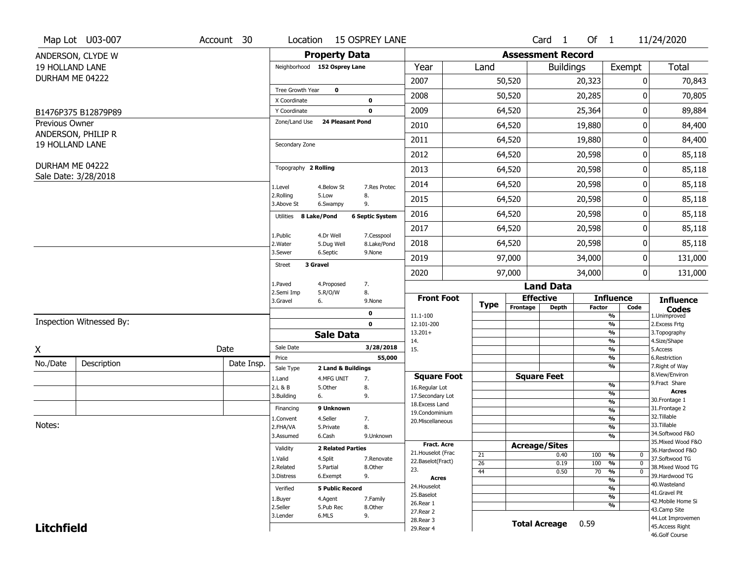|                        | Map Lot U03-007          | Account 30 | Location                      |                              | <b>15 OSPREY LANE</b>  |                                      |                 |                                      | $Card \t1$           | Of $1$        |                                           | 11/24/2020                          |
|------------------------|--------------------------|------------|-------------------------------|------------------------------|------------------------|--------------------------------------|-----------------|--------------------------------------|----------------------|---------------|-------------------------------------------|-------------------------------------|
|                        | ANDERSON, CLYDE W        |            |                               | <b>Property Data</b>         |                        |                                      |                 | <b>Assessment Record</b>             |                      |               |                                           |                                     |
| <b>19 HOLLAND LANE</b> |                          |            |                               | Neighborhood 152 Osprey Lane |                        | Year                                 | Land            |                                      | <b>Buildings</b>     |               | Exempt                                    | Total                               |
| DURHAM ME 04222        |                          |            |                               |                              |                        | 2007                                 |                 | 50,520                               |                      | 20,323        | 0                                         | 70,843                              |
|                        |                          |            | Tree Growth Year              | $\mathbf 0$                  |                        | 2008                                 |                 | 50,520                               |                      | 20,285        | 0                                         | 70,805                              |
|                        |                          |            | X Coordinate                  |                              | 0                      |                                      |                 |                                      |                      |               |                                           |                                     |
|                        | B1476P375 B12879P89      |            | Y Coordinate<br>Zone/Land Use | 24 Pleasant Pond             | 0                      | 2009                                 |                 | 64,520                               |                      | 25,364        | 0                                         | 89,884                              |
| Previous Owner         | ANDERSON, PHILIP R       |            |                               |                              |                        | 2010                                 |                 | 64,520                               |                      | 19,880        | 0                                         | 84,400                              |
| <b>19 HOLLAND LANE</b> |                          |            | Secondary Zone                |                              |                        | 2011                                 |                 | 64,520                               |                      | 19,880        | 0                                         | 84,400                              |
|                        |                          |            |                               |                              |                        | 2012                                 |                 | 64,520                               |                      | 20,598        | 0                                         | 85,118                              |
| DURHAM ME 04222        |                          |            | Topography 2 Rolling          |                              |                        | 2013                                 |                 | 64,520                               |                      | 20,598        | 0                                         | 85,118                              |
|                        | Sale Date: 3/28/2018     |            |                               |                              |                        | 2014                                 |                 | 64,520                               |                      | 20,598        | 0                                         | 85,118                              |
|                        |                          |            | 1.Level<br>2.Rolling          | 4.Below St<br>5.Low          | 7.Res Protec<br>8.     |                                      |                 |                                      |                      |               |                                           |                                     |
|                        |                          |            | 3.Above St                    | 6.Swampy                     | 9.                     | 2015                                 |                 | 64,520                               |                      | 20,598        | 0                                         | 85,118                              |
|                        |                          |            | Utilities 8 Lake/Pond         |                              | <b>6 Septic System</b> | 2016                                 |                 | 64,520                               |                      | 20,598        | 0                                         | 85,118                              |
|                        |                          |            | 1.Public                      | 4.Dr Well                    | 7.Cesspool             | 2017                                 |                 | 64,520                               |                      | 20,598        | 0                                         | 85,118                              |
|                        |                          |            | 2. Water                      | 5.Dug Well                   | 8.Lake/Pond            | 2018                                 |                 | 64,520                               |                      | 20,598        | 0                                         | 85,118                              |
|                        |                          |            | 3.Sewer                       | 6.Septic                     | 9.None                 | 2019                                 |                 | 97,000                               |                      | 34,000        | 0                                         | 131,000                             |
|                        |                          |            | <b>Street</b>                 | 3 Gravel                     |                        | 2020                                 |                 | 97,000<br>34,000                     |                      |               | 0                                         | 131,000                             |
|                        |                          |            | 1.Paved                       | 4.Proposed                   | 7.                     |                                      |                 |                                      |                      |               |                                           |                                     |
|                        |                          |            | 2.Semi Imp                    | 5.R/O/W                      | 8.                     | <b>Front Foot</b>                    |                 | <b>Land Data</b><br><b>Effective</b> |                      |               | <b>Influence</b>                          |                                     |
|                        |                          |            | 3.Gravel                      | 6.                           | 9.None                 |                                      | <b>Type</b>     | Frontage                             | <b>Depth</b>         | Factor        | Code                                      | <b>Influence</b><br><b>Codes</b>    |
|                        | Inspection Witnessed By: |            |                               |                              | 0<br>$\mathbf 0$       | 11.1-100<br>12.101-200               |                 |                                      |                      |               | %<br>$\overline{\frac{9}{6}}$             | 1.Unimproved<br>2. Excess Frtg      |
|                        |                          |            |                               | <b>Sale Data</b>             |                        | $13.201+$                            |                 |                                      |                      |               | %                                         | 3. Topography                       |
| X                      |                          | Date       | Sale Date                     |                              | 3/28/2018              | 14.<br>15.                           |                 |                                      |                      |               | %<br>$\frac{9}{6}$                        | 4.Size/Shape<br>5.Access            |
|                        |                          |            | Price                         |                              | 55,000                 |                                      |                 |                                      |                      |               | %                                         | 6.Restriction                       |
| No./Date               | Description              | Date Insp. | Sale Type                     | 2 Land & Buildings           |                        |                                      |                 |                                      |                      |               | %                                         | 7. Right of Way<br>8.View/Environ   |
|                        |                          |            | 1.Land<br>2.L & B             | 4.MFG UNIT<br>5.Other        | 7.<br>8.               | <b>Square Foot</b><br>16.Regular Lot |                 |                                      | <b>Square Feet</b>   |               | $\frac{9}{6}$                             | 9. Fract Share                      |
|                        |                          |            | 3.Building                    | 6.                           | 9.                     | 17.Secondary Lot                     |                 |                                      |                      |               | $\overline{\frac{9}{6}}$                  | <b>Acres</b>                        |
|                        |                          |            | Financing                     | 9 Unknown                    |                        | 18. Excess Land                      |                 |                                      |                      |               | $\frac{9}{6}$                             | 30.Frontage 1<br>31. Frontage 2     |
|                        |                          |            | 1.Convent                     | 4.Seller                     | 7.                     | 19.Condominium                       |                 |                                      |                      |               | $\overline{\frac{9}{6}}$<br>$\frac{9}{6}$ | 32.Tillable                         |
| Notes:                 |                          |            | 2.FHA/VA                      | 5.Private                    | 8.                     | 20.Miscellaneous                     |                 |                                      |                      |               | $\overline{\frac{9}{6}}$                  | 33.Tillable                         |
|                        |                          |            | 3.Assumed                     | 6.Cash                       | 9.Unknown              |                                      |                 |                                      |                      |               | %                                         | 34.Softwood F&O                     |
|                        |                          |            | Validity                      | <b>2 Related Parties</b>     |                        | <b>Fract. Acre</b>                   |                 |                                      | <b>Acreage/Sites</b> |               |                                           | 35. Mixed Wood F&O                  |
|                        |                          |            |                               |                              |                        | 21. Houselot (Frac                   | 21              |                                      | 0.40                 | 100           | %<br>0                                    | 36.Hardwood F&O                     |
|                        |                          |            | 1.Valid<br>2.Related          | 4.Split<br>5.Partial         | 7.Renovate<br>8.Other  | 22.Baselot(Fract)                    | $\overline{26}$ |                                      | 0.19                 | 100           | $\frac{9}{6}$<br>$\mathbf 0$              | 37.Softwood TG<br>38. Mixed Wood TG |
|                        |                          |            | 3.Distress                    | 6.Exempt                     | 9.                     | 23.                                  | 44              |                                      | 0.50                 | 70            | $\frac{9}{6}$<br>$\mathbf 0$              | 39.Hardwood TG                      |
|                        |                          |            |                               |                              |                        | <b>Acres</b>                         |                 |                                      |                      |               | $\frac{9}{6}$                             | 40. Wasteland                       |
|                        |                          |            | Verified                      | <b>5 Public Record</b>       |                        | 24. Houselot<br>25.Baselot           |                 |                                      | $\frac{9}{6}$        | 41.Gravel Pit |                                           |                                     |
|                        |                          |            | 1.Buyer                       | 4.Agent                      | 7.Family               | 26.Rear 1                            |                 |                                      |                      |               | $\frac{9}{6}$                             | 42. Mobile Home Si                  |
|                        |                          |            | 2.Seller                      | 5.Pub Rec                    | 8.Other                | 27.Rear 2                            |                 |                                      |                      |               | %                                         | 43.Camp Site                        |
|                        |                          |            | 3.Lender                      | 6.MLS                        | 9.                     | 28.Rear 3                            |                 |                                      |                      |               |                                           | 44.Lot Improvemen                   |
| <b>Litchfield</b>      |                          |            |                               |                              |                        | 29. Rear 4                           |                 |                                      | <b>Total Acreage</b> | 0.59          |                                           | 45.Access Right<br>46.Golf Course   |
|                        |                          |            |                               |                              |                        |                                      |                 |                                      |                      |               |                                           |                                     |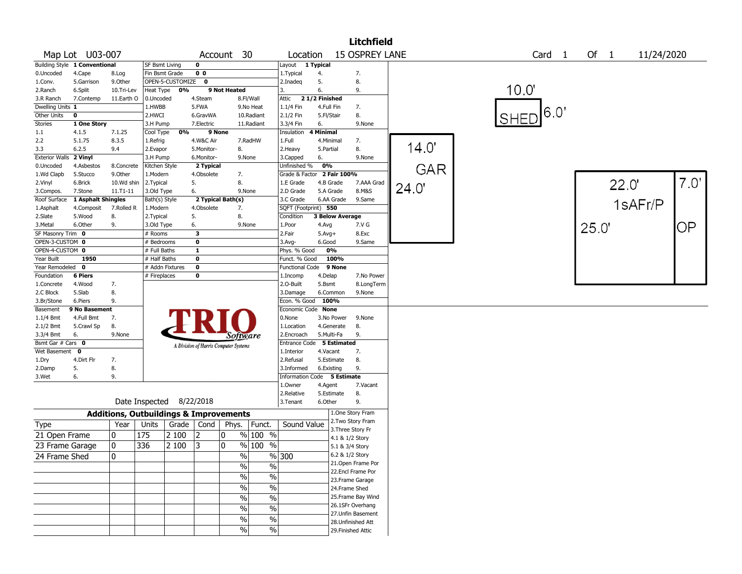|                        |                                      |                 |                                                   |                  |                                       |              |                               |                             |                 |                          | <b>Litchfield</b>                    |            |                   |      |       |            |      |
|------------------------|--------------------------------------|-----------------|---------------------------------------------------|------------------|---------------------------------------|--------------|-------------------------------|-----------------------------|-----------------|--------------------------|--------------------------------------|------------|-------------------|------|-------|------------|------|
|                        | Map Lot U03-007                      |                 |                                                   |                  |                                       | Account 30   |                               | Location                    |                 |                          | <b>15 OSPREY LANE</b>                |            | Card <sub>1</sub> | Of 1 |       | 11/24/2020 |      |
|                        | <b>Building Style 1 Conventional</b> |                 | <b>SF Bsmt Living</b>                             |                  | $\mathbf 0$                           |              |                               | Layout 1 Typical            |                 |                          |                                      |            |                   |      |       |            |      |
| 0.Uncoded              | 4.Cape                               | 8.Log           | Fin Bsmt Grade                                    |                  | 0 <sub>0</sub>                        |              |                               | 1. Typical                  | 4.              |                          | 7.                                   |            |                   |      |       |            |      |
| 1.Conv.                | 5.Garrison                           | 9.Other         |                                                   | OPEN-5-CUSTOMIZE | 0                                     |              |                               | 2.Inadeg                    | 5.              |                          | 8.                                   |            |                   |      |       |            |      |
| 2.Ranch                | 6.Split                              | 10.Tri-Lev      | Heat Type                                         | 0%               |                                       | 9 Not Heated |                               | 3.                          | 6.              |                          | 9.                                   |            | 10.0"             |      |       |            |      |
| 3.R Ranch              | 7.Contemp                            | 11.Earth O      | 0.Uncoded                                         |                  | 4.Steam                               |              | 8.Fl/Wall                     | Attic                       | 21/2 Finished   |                          |                                      |            |                   |      |       |            |      |
| Dwelling Units 1       |                                      |                 | 1.HWBB                                            |                  | 5.FWA                                 |              | 9.No Heat                     | 1.1/4 Fin                   | 4.Full Fin      |                          | 7.                                   |            | 16.0'             |      |       |            |      |
| Other Units            | $\mathbf 0$                          |                 | 2.HWCI                                            |                  | 6.GravWA                              |              | 10.Radiant                    | 2.1/2 Fin                   | 5.Fl/Stair      |                          | 8.                                   |            | <b>SHED</b>       |      |       |            |      |
| Stories                | 1 One Story<br>4.1.5                 |                 | 3.H Pump                                          | 0%               | 7.Electric<br>9 None                  |              | 11.Radiant                    | 3.3/4 Fin                   | 6.<br>4 Minimal |                          | 9.None                               |            |                   |      |       |            |      |
| 1.1<br>2.2             | 5.1.75                               | 7.1.25<br>8.3.5 | Cool Type<br>1.Refrig                             |                  |                                       |              | 7.RadHW                       | Insulation<br>1.Full        | 4.Minimal       |                          |                                      |            |                   |      |       |            |      |
| 3.3                    | 6.2.5                                | 9.4             | 2.Evapor                                          |                  | 4.W&C Air<br>5.Monitor-               | 8.           |                               | 2. Heavy                    | 5.Partial       |                          | 7.<br>8.                             | 14.0'      |                   |      |       |            |      |
| Exterior Walls 2 Vinyl |                                      |                 | 3.H Pump                                          |                  | 6.Monitor-                            |              | 9.None                        | 3.Capped                    | 6.              |                          | 9.None                               |            |                   |      |       |            |      |
| 0.Uncoded              | 4.Asbestos                           | 8.Concrete      | Kitchen Style                                     |                  | 2 Typical                             |              |                               | Unfinished %                | 0%              |                          |                                      |            |                   |      |       |            |      |
| 1.Wd Clapb             | 5.Stucco                             | 9.Other         | 1.Modern                                          |                  | 4.Obsolete                            | 7.           |                               | Grade & Factor 2 Fair 100%  |                 |                          |                                      | <b>GAR</b> |                   |      |       |            |      |
| 2.Vinyl                | 6.Brick                              | 10.Wd shin      | 2. Typical                                        |                  | 5.                                    | 8.           |                               | 1.E Grade                   |                 | 4.B Grade                | 7.AAA Grad                           |            |                   |      | 22.0' |            | 7.0' |
| 3.Compos.              | 7.Stone                              | 11.T1-11        | 3.Old Type                                        |                  | 6.                                    |              | 9.None                        | 2.D Grade                   |                 | 5.A Grade                | 8.M&S                                | 24.0"      |                   |      |       |            |      |
| Roof Surface           | 1 Asphalt Shingles                   |                 | Bath(s) Style                                     |                  | 2 Typical Bath(s)                     |              |                               | 3.C Grade                   |                 | 6.AA Grade               | 9.Same                               |            |                   |      |       |            |      |
| 1.Asphalt              | 4.Composit                           | 7.Rolled R      | 1.Modern                                          |                  | 4.Obsolete                            | 7.           |                               | SQFT (Footprint) 550        |                 |                          |                                      |            |                   |      |       | 1sAFr/P    |      |
| 2.Slate                | 5.Wood                               | 8.              | 2. Typical                                        |                  | 5.                                    | 8.           |                               | Condition                   |                 | <b>3 Below Average</b>   |                                      |            |                   |      |       |            |      |
| 3.Metal                | 6.Other                              | 9.              | 3.Old Type                                        |                  | 6.                                    |              | 9.None                        | 1.Poor                      | 4.Avg           |                          | 7.V G                                |            |                   | 25.0 |       |            | ΟP   |
| SF Masonry Trim 0      |                                      |                 | # Rooms                                           |                  | 3                                     |              |                               | 2.Fair                      | $5.Avg+$        |                          | 8.Exc                                |            |                   |      |       |            |      |
| OPEN-3-CUSTOM 0        |                                      |                 | # Bedrooms                                        |                  | $\mathbf 0$                           |              |                               | 3.Avg-                      | 6.Good          |                          | 9.Same                               |            |                   |      |       |            |      |
| OPEN-4-CUSTOM 0        |                                      |                 | # Full Baths                                      |                  | $\mathbf{1}$                          |              |                               | Phys. % Good                |                 | 0%                       |                                      |            |                   |      |       |            |      |
| Year Built             | 1950                                 |                 | # Half Baths                                      |                  | $\mathbf 0$                           |              |                               | Funct. % Good               |                 | 100%                     |                                      |            |                   |      |       |            |      |
| Year Remodeled         | $\mathbf 0$                          |                 | # Addn Fixtures                                   |                  | $\mathbf 0$                           |              |                               | <b>Functional Code</b>      |                 | 9 None                   |                                      |            |                   |      |       |            |      |
| Foundation             | <b>6 Piers</b>                       |                 | # Fireplaces                                      |                  | 0                                     |              |                               | 1.Incomp                    | 4.Delap         |                          | 7.No Power                           |            |                   |      |       |            |      |
| 1.Concrete             | 4.Wood                               | 7.              |                                                   |                  |                                       |              |                               | 2.O-Built                   | 5.Bsmt          |                          | 8.LongTerm                           |            |                   |      |       |            |      |
| 2.C Block              | 5.Slab                               | 8.              |                                                   |                  |                                       |              |                               | 3.Damage                    |                 | 6.Common                 | 9.None                               |            |                   |      |       |            |      |
| 3.Br/Stone             | 6.Piers                              | 9.              |                                                   |                  |                                       |              |                               | Econ. % Good                | 100%            |                          |                                      |            |                   |      |       |            |      |
| Basement               | 9 No Basement                        |                 |                                                   |                  |                                       |              |                               | Economic Code None          |                 |                          |                                      |            |                   |      |       |            |      |
| $1.1/4$ Bmt            | 4.Full Bmt                           | 7.              |                                                   |                  |                                       |              |                               | 0.None                      |                 | 3.No Power               | 9.None                               |            |                   |      |       |            |      |
| 2.1/2 Bmt<br>3.3/4 Bmt | 5.Crawl Sp<br>6.                     | 8.              |                                                   |                  |                                       |              |                               | 1.Location<br>2.Encroach    |                 | 4.Generate<br>5.Multi-Fa | 8.<br>9.                             |            |                   |      |       |            |      |
| Bsmt Gar # Cars 0      |                                      | 9.None          |                                                   |                  |                                       |              | Sottware                      | Entrance Code 5 Estimated   |                 |                          |                                      |            |                   |      |       |            |      |
| Wet Basement 0         |                                      |                 |                                                   |                  | A Division of Harris Computer Systems |              |                               | 1.Interior                  | 4.Vacant        |                          | 7.                                   |            |                   |      |       |            |      |
| 1.Dry                  | 4.Dirt Flr                           | 7.              |                                                   |                  |                                       |              |                               | 2.Refusal                   |                 | 5.Estimate               | 8.                                   |            |                   |      |       |            |      |
| 2.Damp                 | 5.                                   | 8.              |                                                   |                  |                                       |              |                               | 3.Informed                  |                 | 6.Existing               | 9.                                   |            |                   |      |       |            |      |
| 3.Wet                  | 6.                                   | 9.              |                                                   |                  |                                       |              |                               | Information Code 5 Estimate |                 |                          |                                      |            |                   |      |       |            |      |
|                        |                                      |                 |                                                   |                  |                                       |              |                               | 1.Owner                     | 4.Agent         |                          | 7.Vacant                             |            |                   |      |       |            |      |
|                        |                                      |                 |                                                   |                  |                                       |              |                               | 2.Relative                  |                 | 5.Estimate               | 8.                                   |            |                   |      |       |            |      |
|                        |                                      |                 | Date Inspected 8/22/2018                          |                  |                                       |              |                               | 3.Tenant                    | 6.Other         |                          | 9.                                   |            |                   |      |       |            |      |
|                        |                                      |                 | <b>Additions, Outbuildings &amp; Improvements</b> |                  |                                       |              |                               |                             |                 |                          | 1.One Story Fram                     |            |                   |      |       |            |      |
| Type                   |                                      | Year            | Units                                             |                  |                                       |              | Grade   Cond   Phys.   Funct. | Sound Value                 |                 |                          | 2. Two Story Fram                    |            |                   |      |       |            |      |
| 21 Open Frame          |                                      | 10              | 175                                               | 2 100            | $ 2\rangle$                           | 10           | $%100$ %                      |                             |                 |                          | 3. Three Story Fr<br>4.1 & 1/2 Story |            |                   |      |       |            |      |
| 23 Frame Garage        |                                      | 10              | 336                                               | 2 100            | $\vert 3 \vert$                       | 10           | $%100$ %                      |                             |                 |                          | 5.1 & 3/4 Story                      |            |                   |      |       |            |      |
| 24 Frame Shed          |                                      | 10              |                                                   |                  |                                       |              | $\frac{0}{0}$                 | %300                        |                 |                          | 6.2 & 1/2 Story                      |            |                   |      |       |            |      |
|                        |                                      |                 |                                                   |                  |                                       |              |                               |                             |                 |                          | 21. Open Frame Por                   |            |                   |      |       |            |      |
|                        |                                      |                 |                                                   |                  |                                       |              | $\%$<br>%                     |                             |                 |                          | 22.Encl Frame Por                    |            |                   |      |       |            |      |
|                        |                                      |                 |                                                   |                  |                                       |              | %<br>$\frac{0}{0}$            |                             |                 |                          | 23. Frame Garage                     |            |                   |      |       |            |      |
|                        |                                      |                 |                                                   |                  |                                       |              | $\frac{1}{2}$<br>$\%$         |                             |                 |                          | 24.Frame Shed                        |            |                   |      |       |            |      |
|                        |                                      |                 |                                                   |                  |                                       |              | $\frac{1}{2}$<br>$\%$         |                             |                 |                          | 25. Frame Bay Wind                   |            |                   |      |       |            |      |
|                        |                                      |                 |                                                   |                  |                                       |              | $\frac{1}{2}$                 |                             |                 |                          | 26.1SFr Overhang                     |            |                   |      |       |            |      |
|                        |                                      |                 |                                                   |                  |                                       |              | $\%$                          |                             |                 |                          | 27.Unfin Basement                    |            |                   |      |       |            |      |
|                        |                                      |                 |                                                   |                  |                                       |              | $\frac{1}{2}$<br>$\%$         |                             |                 |                          | 28.Unfinished Att                    |            |                   |      |       |            |      |
|                        |                                      |                 |                                                   |                  |                                       |              | $\sqrt{6}$<br>$\frac{0}{0}$   |                             |                 |                          | 29. Finished Attic                   |            |                   |      |       |            |      |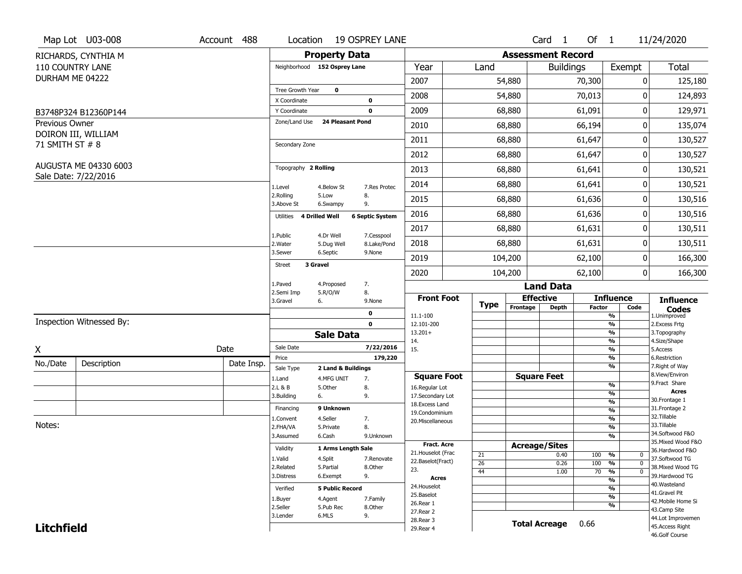|                   | Map Lot U03-008          | Account 488 | Location                      |                                  | <b>19 OSPREY LANE</b>     |                                   |                 |                                      | Card <sub>1</sub>    | Of 1            |                                 | 11/24/2020                            |
|-------------------|--------------------------|-------------|-------------------------------|----------------------------------|---------------------------|-----------------------------------|-----------------|--------------------------------------|----------------------|-----------------|---------------------------------|---------------------------------------|
|                   | RICHARDS, CYNTHIA M      |             |                               | <b>Property Data</b>             |                           |                                   |                 | <b>Assessment Record</b>             |                      |                 |                                 |                                       |
|                   | <b>110 COUNTRY LANE</b>  |             | Neighborhood 152 Osprey Lane  |                                  |                           | Year                              | Land            |                                      | <b>Buildings</b>     |                 | Exempt                          | <b>Total</b>                          |
| DURHAM ME 04222   |                          |             |                               |                                  |                           | 2007                              |                 | 54,880                               |                      | 70,300          | 0                               | 125,180                               |
|                   |                          |             | Tree Growth Year              | $\mathbf 0$                      |                           | 2008                              |                 | 54,880                               |                      | 70,013          | 0                               | 124,893                               |
|                   |                          |             | X Coordinate                  |                                  | 0                         |                                   |                 |                                      |                      |                 |                                 |                                       |
|                   | B3748P324 B12360P144     |             | Y Coordinate<br>Zone/Land Use | 24 Pleasant Pond                 | 0                         | 2009                              |                 | 68,880                               |                      | 61,091          | 0                               | 129,971                               |
| Previous Owner    | DOIRON III, WILLIAM      |             |                               |                                  |                           | 2010                              |                 | 68,880                               |                      | 66,194          | 0                               | 135,074                               |
| 71 SMITH ST # 8   |                          |             | Secondary Zone                |                                  |                           | 2011                              |                 | 68,880                               |                      | 61,647          | 0                               | 130,527                               |
|                   |                          |             |                               |                                  |                           | 2012                              |                 | 68,880                               |                      | 61,647          | 0                               | 130,527                               |
|                   | AUGUSTA ME 04330 6003    |             | Topography 2 Rolling          |                                  |                           | 2013                              |                 | 68,880                               |                      | 61,641          | 0                               | 130,521                               |
|                   | Sale Date: 7/22/2016     |             | 1.Level                       | 4.Below St                       | 7.Res Protec              | 2014                              |                 | 68,880                               |                      | 61,641          | 0                               | 130,521                               |
|                   |                          |             | 2.Rolling<br>3.Above St       | 5.Low<br>6.Swampy                | 8.<br>9.                  | 2015                              |                 | 68,880                               |                      | 61,636          | 0                               | 130,516                               |
|                   |                          |             | 4 Drilled Well<br>Utilities   |                                  | <b>6 Septic System</b>    | 2016                              |                 | 68,880                               |                      | 61,636          | 0                               | 130,516                               |
|                   |                          |             | 1.Public                      |                                  |                           | 2017                              |                 | 68,880                               |                      | 61,631          | 0                               | 130,511                               |
|                   |                          |             | 2. Water                      | 4.Dr Well<br>5.Dug Well          | 7.Cesspool<br>8.Lake/Pond | 2018                              |                 | 68,880                               |                      | 61,631          | 0                               | 130,511                               |
|                   |                          |             | 3.Sewer                       | 6.Septic                         | 9.None                    | 2019                              |                 | 104,200                              |                      | 62,100          | 0                               | 166,300                               |
|                   |                          |             | 3 Gravel<br>Street            |                                  |                           | 2020                              |                 | 104,200<br>62,100                    |                      |                 | 0                               | 166,300                               |
|                   |                          |             | 1.Paved                       | 4.Proposed                       | 7.                        |                                   |                 |                                      |                      |                 |                                 |                                       |
|                   |                          |             | 2.Semi Imp<br>3.Gravel<br>6.  | 5.R/O/W                          | 8.<br>9.None              | <b>Front Foot</b>                 | <b>Type</b>     | <b>Land Data</b><br><b>Effective</b> |                      |                 | <b>Influence</b>                | <b>Influence</b>                      |
|                   |                          |             |                               |                                  | 0                         | 11.1-100                          |                 | Frontage                             | <b>Depth</b>         | <b>Factor</b>   | Code<br>%                       | <b>Codes</b><br>1.Unimproved          |
|                   | Inspection Witnessed By: |             |                               |                                  | $\mathbf 0$               | 12.101-200                        |                 |                                      |                      |                 | $\frac{9}{6}$                   | 2.Excess Frtg                         |
|                   |                          |             |                               | <b>Sale Data</b>                 |                           | $13.201+$<br>14.                  |                 |                                      |                      |                 | $\frac{9}{6}$<br>$\frac{9}{6}$  | 3. Topography<br>4.Size/Shape         |
| X                 |                          | Date        | Sale Date                     |                                  | 7/22/2016                 | 15.                               |                 |                                      |                      |                 | $\frac{9}{6}$                   | 5.Access                              |
| No./Date          | Description              | Date Insp.  | Price                         |                                  | 179,220                   |                                   |                 |                                      |                      |                 | %<br>%                          | 6.Restriction<br>7. Right of Way      |
|                   |                          |             | Sale Type<br>1.Land           | 2 Land & Buildings<br>4.MFG UNIT | 7.                        | <b>Square Foot</b>                |                 |                                      | <b>Square Feet</b>   |                 |                                 | 8.View/Environ                        |
|                   |                          |             | 2.L & B                       | 5.Other                          | 8.                        | 16.Regular Lot                    |                 |                                      |                      |                 | $\frac{9}{6}$                   | 9. Fract Share                        |
|                   |                          |             | 3.Building<br>6.              |                                  | 9.                        | 17.Secondary Lot                  |                 |                                      |                      |                 | $\frac{9}{6}$<br>$\frac{9}{6}$  | <b>Acres</b><br>30. Frontage 1        |
|                   |                          |             | Financing                     | 9 Unknown                        |                           | 18. Excess Land<br>19.Condominium |                 |                                      |                      |                 | $\overline{\frac{9}{6}}$        | 31. Frontage 2                        |
|                   |                          |             | 1.Convent                     | 4.Seller                         | 7.                        | 20.Miscellaneous                  |                 |                                      |                      |                 | $\frac{9}{6}$                   | 32. Tillable                          |
| Notes:            |                          |             | 2.FHA/VA                      | 5.Private                        | 8.                        |                                   |                 |                                      |                      |                 | $\frac{9}{6}$                   | 33.Tillable                           |
|                   |                          |             | 3.Assumed                     | 6.Cash                           | 9.Unknown                 |                                   |                 |                                      |                      |                 | $\overline{\frac{9}{6}}$        | 34.Softwood F&O                       |
|                   |                          |             | Validity                      | 1 Arms Length Sale               |                           | <b>Fract, Acre</b>                |                 | <b>Acreage/Sites</b>                 |                      |                 |                                 | 35. Mixed Wood F&O<br>36.Hardwood F&O |
|                   |                          |             | 1.Valid                       | 4.Split                          | 7.Renovate                | 21. Houselot (Frac                | 21              |                                      | 0.40                 | 100             | %<br>0                          | 37.Softwood TG                        |
|                   |                          |             | 2.Related                     | 5.Partial                        | 8.Other                   | 22.Baselot(Fract)<br>23.          | $\overline{26}$ |                                      | 0.26                 | 100             | $\frac{9}{6}$<br>$\mathbf{0}$   | 38. Mixed Wood TG                     |
|                   |                          |             | 3.Distress                    | 6.Exempt                         | 9.                        | <b>Acres</b>                      | 44              |                                      | 1.00                 | $\overline{70}$ | $\frac{9}{6}$<br>$\overline{0}$ | 39.Hardwood TG                        |
|                   |                          |             | Verified                      | <b>5 Public Record</b>           |                           | 24. Houselot                      |                 |                                      |                      |                 | $\frac{9}{6}$<br>$\frac{9}{6}$  | 40. Wasteland                         |
|                   |                          |             |                               |                                  |                           |                                   |                 |                                      |                      |                 |                                 | 41.Gravel Pit                         |
|                   |                          |             |                               |                                  |                           | 25.Baselot                        |                 |                                      |                      |                 |                                 |                                       |
|                   |                          |             | 1.Buyer                       | 4.Agent                          | 7.Family                  | 26.Rear 1                         |                 |                                      |                      |                 | $\frac{9}{6}$<br>$\frac{9}{6}$  | 42. Mobile Home Si                    |
|                   |                          |             | 2.Seller                      | 5.Pub Rec                        | 8.Other                   | 27.Rear 2                         |                 |                                      |                      |                 |                                 | 43.Camp Site                          |
| <b>Litchfield</b> |                          |             | 3.Lender                      | 6.MLS                            | 9.                        | 28. Rear 3<br>29. Rear 4          |                 |                                      | <b>Total Acreage</b> | 0.66            |                                 | 44.Lot Improvemen<br>45. Access Right |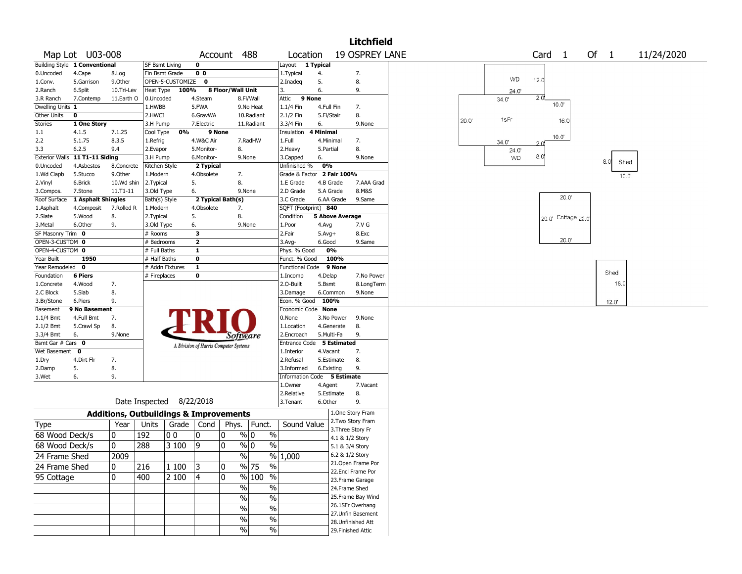|                    |                                |            |                       |                                                   |                |                                       |                                   |                             |                        |                 | <b>Litchfield</b>     |                                         |  |
|--------------------|--------------------------------|------------|-----------------------|---------------------------------------------------|----------------|---------------------------------------|-----------------------------------|-----------------------------|------------------------|-----------------|-----------------------|-----------------------------------------|--|
|                    | Map Lot U03-008                |            |                       |                                                   |                | Account                               | 488                               | Location                    |                        |                 | <b>19 OSPREY LANE</b> | Card <sub>1</sub><br>Of 1<br>11/24/2020 |  |
|                    | Building Style 1 Conventional  |            | <b>SF Bsmt Living</b> |                                                   | 0              |                                       |                                   | Layout                      | 1 Typical              |                 |                       |                                         |  |
| 0.Uncoded          | 4.Cape                         | 8.Log      |                       | Fin Bsmt Grade                                    | 0 <sub>0</sub> |                                       |                                   | 1.Typical                   | 4.                     |                 | 7.                    |                                         |  |
| 1.Conv.            | 5.Garrison                     | 9.0ther    |                       | OPEN-5-CUSTOMIZE                                  | 0              |                                       |                                   | 2.Inadeq                    | 5.                     |                 | 8.                    | WD<br>12.0                              |  |
| 2.Ranch            | 6.Split                        | 10.Tri-Lev | Heat Type             | 100%                                              |                | 8 Floor/Wall Unit                     |                                   | 3.                          | 6.                     |                 | 9.                    | 24.0'                                   |  |
| 3.R Ranch          | 7.Contemp                      | 11.Earth O | 0.Uncoded             |                                                   | 4.Steam        |                                       | 8.Fl/Wall                         | 9 None<br>Attic             |                        |                 |                       | 2.0<br>34.0'                            |  |
| Dwelling Units 1   |                                |            | 1.HWBB                |                                                   | 5.FWA          |                                       | 9.No Heat                         | 1.1/4 Fin                   | 4.Full Fin             |                 | 7.                    | 10.0                                    |  |
| <b>Other Units</b> | 0                              |            | 2.HWCI                |                                                   | 6.GravWA       |                                       | 10.Radiant                        | 2.1/2 Fin                   | 5.Fl/Stair             |                 | 8.                    |                                         |  |
| <b>Stories</b>     | 1 One Story                    |            | 3.H Pump              |                                                   | 7.Electric     |                                       | 11.Radiant                        | 3.3/4 Fin                   | 6.                     |                 | 9.None                | 1sFr<br>20.0'<br>16.0                   |  |
| $1.1\,$            | 4.1.5                          | 7.1.25     | Cool Type             | 0%                                                | 9 None         |                                       |                                   | Insulation                  | 4 Minimal              |                 |                       |                                         |  |
| 2.2                | 5.1.75                         | 8.3.5      | 1.Refrig              |                                                   | 4.W&C Air      |                                       | 7.RadHW                           | 1.Full                      | 4.Minimal              |                 | 7.                    | $10.0^{\circ}$<br>34.0'<br>2 0'         |  |
| 3.3                | 6.2.5                          | 9.4        | 2.Evapor              |                                                   | 5.Monitor-     | 8.                                    |                                   | 2. Heavy                    | 5.Partial              |                 | 8.                    | 24.0                                    |  |
|                    | Exterior Walls 11 T1-11 Siding |            | 3.H Pump              |                                                   | 6.Monitor-     |                                       | 9.None                            | 3.Capped                    | 6.                     |                 | 9.None                | 8.0<br>WD                               |  |
| 0.Uncoded          | 4.Asbestos                     | 8.Concrete | Kitchen Style         |                                                   | 2 Typical      |                                       |                                   | Unfinished %                | 0%                     |                 |                       | 8.0<br>Shed                             |  |
| 1.Wd Clapb         | 5.Stucco                       | 9.Other    | 1.Modern              |                                                   | 4.Obsolete     | 7.                                    |                                   | Grade & Factor 2 Fair 100%  |                        |                 |                       | 10.0"                                   |  |
| 2.Vinyl            | 6.Brick                        | 10.Wd shin | 2.Typical             |                                                   | 5.             | 8.                                    |                                   | 1.E Grade                   | 4.B Grade              |                 | 7.AAA Grad            |                                         |  |
| 3.Compos.          | 7.Stone                        | 11.T1-11   | 3.Old Type            |                                                   | 6.             |                                       | 9.None                            | 2.D Grade                   | 5.A Grade              |                 | 8.M&S                 |                                         |  |
| Roof Surface       | 1 Asphalt Shingles             |            | Bath(s) Style         |                                                   |                | 2 Typical Bath(s)                     |                                   | 3.C Grade                   | 6.AA Grade             |                 | 9.Same                | 20.0                                    |  |
| 1.Asphalt          | 4.Composit                     | 7.Rolled R | 1.Modern              |                                                   | 4.Obsolete     | 7.                                    |                                   | SQFT (Footprint) 840        |                        |                 |                       |                                         |  |
| 2.Slate            | 5.Wood                         | 8.         | 2.Typical             |                                                   | 5.             | 8.                                    |                                   | Condition                   | <b>5 Above Average</b> |                 |                       | 20.0' Cottage 20.0                      |  |
| 3.Metal            | 6.Other                        | 9.         | 3.Old Type            |                                                   | 6.             |                                       | 9.None                            | 1.Poor                      | 4.Avg                  |                 | 7.V G                 |                                         |  |
| SF Masonry Trim 0  |                                |            | # Rooms               |                                                   | 3              |                                       |                                   | 2.Fair                      | $5.Avg+$               |                 | 8.Exc                 |                                         |  |
| OPEN-3-CUSTOM 0    |                                |            | # Bedrooms            |                                                   | $\mathbf{z}$   |                                       |                                   | 3.Avg-                      | 6.Good                 |                 | 9.Same                | 20.0'                                   |  |
| OPEN-4-CUSTOM 0    |                                |            | # Full Baths          |                                                   | $\mathbf{1}$   |                                       |                                   | Phys. % Good                | 0%                     |                 |                       |                                         |  |
| Year Built         | 1950                           |            | # Half Baths          |                                                   | $\mathbf 0$    |                                       |                                   | Funct. % Good               | 100%                   |                 |                       |                                         |  |
| Year Remodeled     | $\mathbf 0$                    |            |                       | # Addn Fixtures                                   | $\mathbf{1}$   |                                       |                                   | Functional Code             |                        | 9 None          |                       |                                         |  |
| Foundation         | <b>6 Piers</b>                 |            | # Fireplaces          |                                                   | 0              |                                       |                                   | 1.Incomp                    | 4.Delap                |                 | 7.No Power            | Shed                                    |  |
| 1.Concrete         | 4.Wood                         | 7.         |                       |                                                   |                |                                       |                                   | 2.O-Built                   | 5.Bsmt                 |                 | 8.LongTerm            | 18.0                                    |  |
| 2.C Block          | 5.Slab                         | 8.         |                       |                                                   |                |                                       |                                   | 3.Damage                    | 6.Common               |                 | 9.None                |                                         |  |
| 3.Br/Stone         | 6.Piers                        | 9.         |                       |                                                   |                |                                       |                                   | Econ. % Good                | 100%                   |                 |                       | 12.0'                                   |  |
| Basement           | 9 No Basement                  |            |                       |                                                   |                |                                       |                                   | Economic Code None          |                        |                 |                       |                                         |  |
| 1.1/4 Bmt          | 4.Full Bmt                     | 7.         |                       |                                                   |                |                                       |                                   | 0.None                      | 3.No Power             |                 | 9.None                |                                         |  |
| 2.1/2 Bmt          | 5.Crawl Sp                     | 8.         |                       |                                                   |                |                                       |                                   | 1.Location                  | 4.Generate             |                 | 8.                    |                                         |  |
| 3.3/4 Bmt          | 6.                             | 9.None     |                       |                                                   |                | Software                              |                                   | 2.Encroach                  | 5.Multi-Fa             |                 | 9.                    |                                         |  |
| Bsmt Gar # Cars 0  |                                |            |                       |                                                   |                | A Division of Harris Computer Systems |                                   | Entrance Code 5 Estimated   |                        |                 |                       |                                         |  |
| Wet Basement       | 0                              |            |                       |                                                   |                |                                       |                                   | 1.Interior                  | 4.Vacant               |                 | 7.                    |                                         |  |
| 1.Dry              | 4.Dirt Flr                     | 7.         |                       |                                                   |                |                                       |                                   | 2.Refusal                   | 5.Estimate             |                 | 8.                    |                                         |  |
| 2.Damp             | 5.                             | 8.         |                       |                                                   |                |                                       |                                   | 3.Informed                  | 6.Existing             |                 | 9.                    |                                         |  |
| 3.Wet              | 6.                             | 9.         |                       |                                                   |                |                                       |                                   | Information Code 5 Estimate |                        |                 |                       |                                         |  |
|                    |                                |            |                       |                                                   |                |                                       |                                   | 1.Owner                     | 4.Agent                |                 | 7.Vacant              |                                         |  |
|                    |                                |            |                       |                                                   |                |                                       |                                   | 2.Relative                  | 5.Estimate             |                 | 8.                    |                                         |  |
|                    |                                |            |                       | Date Inspected 8/22/2018                          |                |                                       |                                   | 3. Tenant                   | 6.Other                |                 | 9.                    |                                         |  |
|                    |                                |            |                       | <b>Additions, Outbuildings &amp; Improvements</b> |                |                                       |                                   |                             |                        |                 | 1.One Story Fram      |                                         |  |
| Type               |                                | Year       | Units                 | Grade $ $                                         | Cond           | Phys.                                 | Funct.                            | Sound Value                 |                        |                 | 2. Two Story Fram     |                                         |  |
| 68 Wood Deck/s     |                                | 0          | 192                   | 0 <sub>0</sub>                                    | 0              | 0                                     | % 0<br>$\%$                       |                             |                        |                 | 3. Three Story Fr     |                                         |  |
|                    |                                |            |                       |                                                   |                |                                       |                                   |                             |                        | 4.1 & 1/2 Story |                       |                                         |  |
| 68 Wood Deck/s     |                                | 0          | 288                   | 3 100                                             | 9              | 0                                     | $\%$<br>% 0                       |                             |                        | 5.1 & 3/4 Story |                       |                                         |  |
| 24 Frame Shed      |                                | 2009       |                       |                                                   |                | $\%$                                  |                                   | % 1,000                     |                        | 6.2 & 1/2 Story |                       |                                         |  |
| 24 Frame Shed      |                                | 10         | 216                   | 1 100                                             | 3              | 0                                     | $\frac{0}{0}$<br>$\frac{9}{6}$ 75 |                             |                        |                 | 21.Open Frame Por     |                                         |  |
| 95 Cottage         |                                | 0          | 400                   | 2 100                                             | 4              | 0                                     | % 100 %                           |                             |                        |                 | 22.Encl Frame Por     |                                         |  |
|                    |                                |            |                       |                                                   |                |                                       |                                   |                             |                        |                 | 23. Frame Garage      |                                         |  |
|                    |                                |            |                       |                                                   |                | $\sqrt{2}$                            | $\frac{0}{0}$                     |                             |                        | 24.Frame Shed   |                       |                                         |  |
|                    |                                |            |                       |                                                   |                | $\sqrt{6}$                            | $\overline{\frac{0}{0}}$          |                             |                        |                 | 25.Frame Bay Wind     |                                         |  |
|                    |                                |            |                       |                                                   |                | %                                     | $\%$                              |                             |                        |                 | 26.1SFr Overhang      |                                         |  |
|                    |                                |            |                       |                                                   |                | %                                     | $\%$                              |                             |                        |                 | 27.Unfin Basement     |                                         |  |
|                    |                                |            |                       |                                                   |                |                                       |                                   |                             |                        |                 | 28.Unfinished Att     |                                         |  |
|                    |                                |            |                       |                                                   |                | %                                     | $\%$                              |                             |                        |                 | 29. Finished Attic    |                                         |  |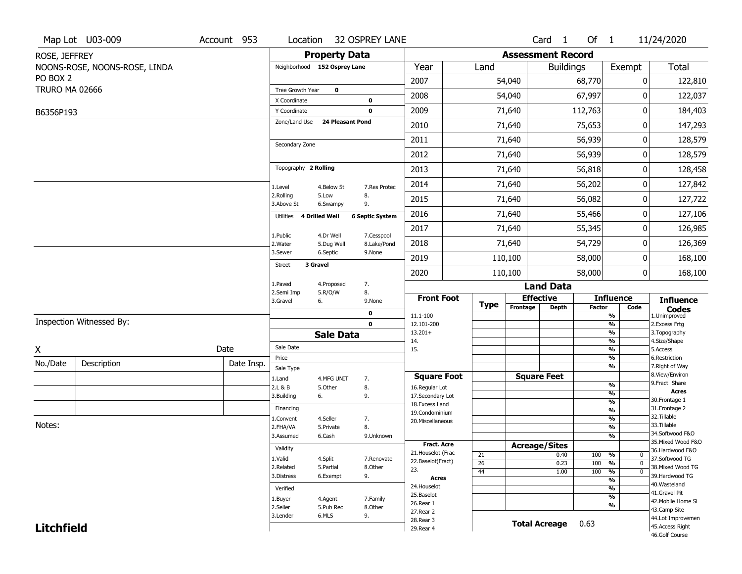|                       | Map Lot U03-009               | Account 953 | Location                      |                   | <b>32 OSPREY LANE</b>               |                                          |             |          | Card <sub>1</sub>                                                                                                                           | Of $1$     |                                   | 11/24/2020                          |
|-----------------------|-------------------------------|-------------|-------------------------------|-------------------|-------------------------------------|------------------------------------------|-------------|----------|---------------------------------------------------------------------------------------------------------------------------------------------|------------|-----------------------------------|-------------------------------------|
| ROSE, JEFFREY         |                               |             |                               |                   | <b>Property Data</b>                |                                          |             |          | <b>Assessment Record</b>                                                                                                                    |            |                                   |                                     |
|                       | NOONS-ROSE, NOONS-ROSE, LINDA |             | Neighborhood 152 Osprey Lane  |                   |                                     | Year                                     | Land        |          | <b>Buildings</b>                                                                                                                            |            | Exempt                            | <b>Total</b>                        |
| PO BOX 2              |                               |             |                               |                   |                                     | 2007                                     |             | 54,040   |                                                                                                                                             | 68,770     | 0                                 | 122,810                             |
| <b>TRURO MA 02666</b> |                               |             | <b>Tree Growth Year</b>       | $\mathbf 0$       |                                     | 2008                                     |             | 54,040   |                                                                                                                                             | 67,997     | 0                                 | 122,037                             |
|                       |                               |             | X Coordinate                  |                   | $\bf{0}$                            |                                          |             |          |                                                                                                                                             |            |                                   |                                     |
| B6356P193             |                               |             | Y Coordinate<br>Zone/Land Use |                   | $\bf{0}$<br><b>24 Pleasant Pond</b> | 2009                                     |             | 71,640   |                                                                                                                                             | 112,763    | 0                                 | 184,403                             |
|                       |                               |             |                               |                   |                                     | 2010                                     |             | 71,640   |                                                                                                                                             | 75,653     | 0                                 | 147,293                             |
|                       |                               |             | Secondary Zone                |                   |                                     | 2011                                     |             | 71,640   |                                                                                                                                             | 56,939     | 0                                 | 128,579                             |
|                       |                               |             |                               |                   |                                     | 2012                                     |             | 71,640   |                                                                                                                                             | 56,939     | 0                                 | 128,579                             |
|                       |                               |             | Topography 2 Rolling          |                   |                                     | 2013                                     |             | 71,640   |                                                                                                                                             | 56,818     | 0                                 | 128,458                             |
|                       |                               |             | 1.Level                       | 4.Below St        | 7.Res Protec                        | 2014                                     |             | 71,640   |                                                                                                                                             | 56,202     | 0                                 | 127,842                             |
|                       |                               |             | 2.Rolling<br>3.Above St       | 5.Low<br>6.Swampy | 8.<br>9.                            | 2015                                     |             | 71,640   |                                                                                                                                             | 56,082     | 0                                 | 127,722                             |
|                       |                               |             | Utilities 4 Drilled Well      |                   | <b>6 Septic System</b>              | 2016                                     |             | 71,640   |                                                                                                                                             | 55,466     | 0                                 | 127,106                             |
|                       |                               |             | 1.Public                      | 4.Dr Well         | 7.Cesspool                          | 2017                                     |             | 71,640   |                                                                                                                                             | 55,345     | 0                                 | 126,985                             |
|                       |                               |             | 2. Water                      | 5.Dug Well        | 8.Lake/Pond                         | 2018                                     |             | 71,640   |                                                                                                                                             | 54,729     | 0                                 | 126,369                             |
|                       |                               |             | 3.Sewer                       | 6.Septic          | 9.None                              | 2019                                     |             | 110,100  |                                                                                                                                             | 58,000     | 0                                 | 168,100                             |
|                       |                               |             | Street                        | 3 Gravel          |                                     | 2020                                     |             | 110,100  |                                                                                                                                             | 58,000     | 0                                 | 168,100                             |
|                       |                               |             | 1.Paved                       | 4.Proposed        | 7.                                  |                                          |             |          |                                                                                                                                             |            |                                   |                                     |
|                       |                               |             | 2.Semi Imp<br>3.Gravel        | 5.R/O/W<br>6.     | 8.<br>9.None                        | <b>Front Foot</b>                        |             |          |                                                                                                                                             |            |                                   | <b>Influence</b>                    |
|                       |                               |             |                               |                   | 0                                   | 11.1-100                                 | <b>Type</b> | Frontage | <b>Land Data</b><br><b>Effective</b><br><b>Influence</b><br><b>Depth</b><br><b>Factor</b><br>Code<br>%<br>$\frac{9}{6}$<br>%<br>%<br>%<br>% |            |                                   | <b>Codes</b><br>1.Unimproved        |
|                       | Inspection Witnessed By:      |             |                               |                   | $\mathbf 0$                         | 12.101-200                               |             |          |                                                                                                                                             |            |                                   | 2.Excess Frtg                       |
|                       |                               |             |                               | <b>Sale Data</b>  |                                     | $13.201+$<br>14.                         |             |          |                                                                                                                                             |            |                                   | 3. Topography<br>4.Size/Shape       |
| X                     |                               | Date        | Sale Date                     |                   |                                     | 15.                                      |             |          |                                                                                                                                             |            |                                   | 5.Access                            |
| No./Date              | Description                   | Date Insp.  | Price                         |                   |                                     |                                          |             |          |                                                                                                                                             |            | %                                 | 6.Restriction<br>7. Right of Way    |
|                       |                               |             | Sale Type<br>1.Land           | 4.MFG UNIT        | 7.                                  | <b>Square Foot</b>                       |             |          | <b>Square Feet</b>                                                                                                                          |            |                                   | 8.View/Environ                      |
|                       |                               |             | 2.L & B                       | 5.Other           | 8.                                  | 16.Regular Lot                           |             |          |                                                                                                                                             |            | $\frac{9}{6}$                     | 9.Fract Share                       |
|                       |                               |             | 3.Building                    | 6.                | 9.                                  | 17.Secondary Lot                         |             |          |                                                                                                                                             |            | $\frac{9}{6}$<br>$\frac{9}{6}$    | <b>Acres</b><br>30.Frontage 1       |
|                       |                               |             | Financing                     |                   |                                     | 18.Excess Land<br>19.Condominium         |             |          |                                                                                                                                             |            | $\frac{9}{6}$                     | 31. Frontage 2                      |
|                       |                               |             | 1.Convent                     | 4.Seller          | 7.                                  | 20.Miscellaneous                         |             |          |                                                                                                                                             |            | $\frac{9}{6}$                     | 32. Tillable                        |
| Notes:                |                               |             | 2.FHA/VA                      | 5.Private         | 8.                                  |                                          |             |          |                                                                                                                                             |            | $\frac{9}{6}$                     | 33.Tillable<br>34.Softwood F&O      |
|                       |                               |             | 3.Assumed                     | 6.Cash            | 9.Unknown                           |                                          |             |          |                                                                                                                                             |            | $\frac{9}{6}$                     | 35. Mixed Wood F&O                  |
|                       |                               |             | Validity                      |                   |                                     | <b>Fract. Acre</b><br>21. Houselot (Frac |             |          | <b>Acreage/Sites</b>                                                                                                                        |            |                                   | 36.Hardwood F&O                     |
|                       |                               |             | 1.Valid                       | 4.Split           | 7.Renovate                          | 22.Baselot(Fract)                        | 21          |          | 0.40                                                                                                                                        | 100        | %<br>0<br>$\mathbf 0$             | 37.Softwood TG                      |
|                       |                               |             | 2.Related                     | 5.Partial         | 8.Other                             | 23.                                      | 26<br>44    |          | 0.23<br>1.00                                                                                                                                | 100<br>100 | $\frac{0}{0}$<br>%<br>$\mathbf 0$ | 38. Mixed Wood TG                   |
|                       |                               |             | 3.Distress                    | 6.Exempt          | 9.                                  | <b>Acres</b>                             |             |          |                                                                                                                                             |            | %                                 | 39.Hardwood TG                      |
|                       |                               |             | Verified                      |                   |                                     | 24. Houselot                             |             |          |                                                                                                                                             |            | $\frac{9}{6}$                     | 40. Wasteland                       |
|                       |                               |             | 1.Buyer                       | 4.Agent           | 7.Family                            | 25.Baselot                               |             |          |                                                                                                                                             |            | $\frac{9}{6}$                     | 41.Gravel Pit<br>42. Mobile Home Si |
|                       |                               |             | 2.Seller                      | 5.Pub Rec         | 8.Other                             | 26.Rear 1                                |             |          |                                                                                                                                             |            | %                                 | 43.Camp Site                        |
|                       |                               |             | 3.Lender                      | 6.MLS             | 9.                                  | 27.Rear 2<br>28. Rear 3                  |             |          |                                                                                                                                             |            |                                   | 44.Lot Improvemen                   |
| <b>Litchfield</b>     |                               |             |                               |                   |                                     | 29. Rear 4                               |             |          | <b>Total Acreage</b>                                                                                                                        | 0.63       | 45.Access Right                   |                                     |
|                       |                               |             |                               |                   |                                     |                                          |             |          |                                                                                                                                             |            |                                   | 46.Golf Course                      |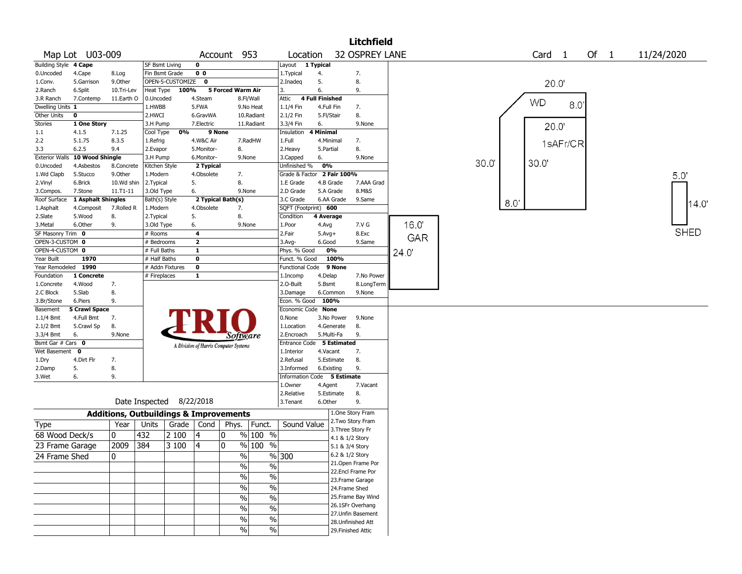|                       |                      |               |                                                   |                  |                                       |                   |                       |                            |                        |                    | <b>Litchfield</b>                    |      |      |      |                   |          |    |                |             |       |
|-----------------------|----------------------|---------------|---------------------------------------------------|------------------|---------------------------------------|-------------------|-----------------------|----------------------------|------------------------|--------------------|--------------------------------------|------|------|------|-------------------|----------|----|----------------|-------------|-------|
|                       | Map Lot U03-009      |               |                                                   |                  |                                       | Account 953       |                       | Location                   |                        |                    | 32 OSPREY LANE                       |      |      |      | Card <sub>1</sub> |          | Of | $\overline{1}$ | 11/24/2020  |       |
| Building Style 4 Cape |                      |               | <b>SF Bsmt Living</b>                             |                  | $\mathbf 0$                           |                   |                       | Layout 1 Typical           |                        |                    |                                      |      |      |      |                   |          |    |                |             |       |
| 0.Uncoded             | 4.Cape               | 8.Log         | Fin Bsmt Grade                                    |                  | 0 <sub>0</sub>                        |                   |                       | 1. Typical                 | 4.                     |                    | 7.                                   |      |      |      |                   |          |    |                |             |       |
| 1.Conv.               | 5.Garrison           | 9.0ther       |                                                   | OPEN-5-CUSTOMIZE | $\mathbf 0$                           |                   |                       | 2.Inadeq                   | 5.                     |                    | 8.                                   |      |      |      |                   | 20.0     |    |                |             |       |
| 2.Ranch               | 6.Split              | 10.Tri-Lev    | Heat Type                                         | 100%             |                                       | 5 Forced Warm Air |                       | 3.                         | 6.                     |                    | 9.                                   |      |      |      |                   |          |    |                |             |       |
| 3.R Ranch             | 7.Contemp            | 11.Earth O    | 0.Uncoded                                         |                  | 4.Steam                               |                   | 8.Fl/Wall             | Attic                      | <b>4 Full Finished</b> |                    |                                      |      |      |      | WD                | 8.0      |    |                |             |       |
| Dwelling Units 1      |                      |               | 1.HWBB                                            |                  | 5.FWA                                 |                   | 9.No Heat             | 1.1/4 Fin                  | 4.Full Fin             |                    | 7.                                   |      |      |      |                   |          |    |                |             |       |
| Other Units           | $\mathbf 0$          |               | 2.HWCI                                            |                  | 6.GravWA                              |                   | 10.Radiant            | 2.1/2 Fin                  | 5.Fl/Stair             |                    | 8.                                   |      |      |      |                   |          |    |                |             |       |
| Stories               | 1 One Story          |               | 3.H Pump                                          |                  | 7.Electric                            |                   | 11.Radiant            | 3.3/4 Fin                  | 6.                     |                    | 9.None                               |      |      |      |                   | 20.0     |    |                |             |       |
| $1.1\,$               | 4.1.5                | 7.1.25        | Cool Type                                         | 0%               |                                       | 9 None            |                       | Insulation                 | 4 Minimal              |                    |                                      |      |      |      |                   |          |    |                |             |       |
| 2.2                   | 5.1.75               | 8.3.5         | 1.Refrig                                          |                  | 4.W&C Air                             |                   | 7.RadHW               | 1.Full                     |                        | 4.Minimal          | 7.                                   |      |      |      |                   | 1sAFr/CR |    |                |             |       |
| 3.3                   | 6.2.5                | 9.4           | 2.Evapor                                          |                  | 5.Monitor-                            | 8.                |                       | 2.Heavy                    | 5.Partial              |                    | 8.                                   |      |      |      |                   |          |    |                |             |       |
| <b>Exterior Walls</b> | 10 Wood Shingle      |               | 3.H Pump                                          |                  | 6.Monitor-                            |                   | 9.None                | 3.Capped                   | 6.                     |                    | 9.None                               |      | 30.0 |      | 30.0'             |          |    |                |             |       |
| 0.Uncoded             | 4.Asbestos           | 8.Concrete    | Kitchen Style                                     |                  | 2 Typical                             |                   |                       | Unfinished %               | 0%                     |                    |                                      |      |      |      |                   |          |    |                |             |       |
| 1.Wd Clapb            | 5.Stucco             | 9.0ther       | 1.Modern                                          |                  | 4.Obsolete                            | 7.                |                       | Grade & Factor 2 Fair 100% |                        |                    |                                      |      |      |      |                   |          |    |                | 50'         |       |
| 2.Vinyl               | 6.Brick              | 10.Wd shin    | 2.Typical                                         |                  | 5.                                    | 8.                |                       | 1.E Grade                  |                        | 4.B Grade          | 7.AAA Grad                           |      |      |      |                   |          |    |                |             |       |
| 3.Compos.             | 7.Stone              | $11. T1 - 11$ | 3.Old Type                                        |                  | 6.                                    |                   | 9.None                | 2.D Grade                  |                        | 5.A Grade          | 8.M&S                                |      |      |      |                   |          |    |                |             |       |
| Roof Surface          | 1 Asphalt Shingles   |               | Bath(s) Style                                     |                  |                                       | 2 Typical Bath(s) |                       | 3.C Grade                  |                        | 6.AA Grade         | 9.Same                               |      |      | 8.0" |                   |          |    |                |             | 14.0' |
| 1.Asphalt             | 4.Composit           | 7.Rolled R    | 1.Modern                                          |                  | 4.Obsolete                            | 7.                |                       | SQFT (Footprint) 600       |                        |                    |                                      |      |      |      |                   |          |    |                |             |       |
| 2.Slate               | 5.Wood               | 8.            | 2. Typical                                        |                  | 5.                                    | 8.                |                       | Condition                  | 4 Average              |                    |                                      |      |      |      |                   |          |    |                |             |       |
| 3.Metal               | 6.Other              | 9.            | 3.Old Type                                        |                  | 6.                                    |                   | 9.None                | 1.Poor                     | 4.Avg                  |                    | 7.V G                                | 16.0 |      |      |                   |          |    |                |             |       |
| SF Masonry Trim 0     |                      |               | # Rooms                                           |                  | 4                                     |                   |                       | 2.Fair                     | $5.$ Avg $+$           |                    | 8.Exc                                | GAR  |      |      |                   |          |    |                | <b>SHED</b> |       |
| OPEN-3-CUSTOM 0       |                      |               | # Bedrooms                                        |                  | $\overline{2}$                        |                   |                       | 3.Avg-                     | 6.Good                 |                    | 9.Same                               |      |      |      |                   |          |    |                |             |       |
| OPEN-4-CUSTOM 0       |                      |               | # Full Baths                                      |                  | 1                                     |                   |                       | Phys. % Good               |                        | 0%                 |                                      | 24.0 |      |      |                   |          |    |                |             |       |
| Year Built            | 1970                 |               | # Half Baths                                      |                  | $\bf{0}$                              |                   |                       | Funct. % Good              |                        | 100%               |                                      |      |      |      |                   |          |    |                |             |       |
| Year Remodeled 1990   |                      |               | # Addn Fixtures                                   |                  | $\bf o$                               |                   |                       | <b>Functional Code</b>     |                        | 9 None             |                                      |      |      |      |                   |          |    |                |             |       |
| Foundation            | 1 Concrete           |               | # Fireplaces                                      |                  | $\mathbf{1}$                          |                   |                       | 1.Incomp                   | 4.Delap                |                    | 7.No Power                           |      |      |      |                   |          |    |                |             |       |
| 1.Concrete            | 4.Wood               | 7.            |                                                   |                  |                                       |                   |                       | 2.0-Built                  | 5.Bsmt                 |                    | 8.LongTerm                           |      |      |      |                   |          |    |                |             |       |
| 2.C Block             | 5.Slab               | 8.            |                                                   |                  |                                       |                   |                       | 3.Damage                   |                        | 6.Common           | 9.None                               |      |      |      |                   |          |    |                |             |       |
| 3.Br/Stone            | 6.Piers              | 9.            |                                                   |                  |                                       |                   |                       | Econ. % Good               | 100%                   |                    |                                      |      |      |      |                   |          |    |                |             |       |
| Basement              | <b>5 Crawl Space</b> |               |                                                   |                  |                                       |                   |                       | Economic Code None         |                        |                    |                                      |      |      |      |                   |          |    |                |             |       |
| 1.1/4 Bmt             | 4.Full Bmt           | 7.            |                                                   |                  |                                       |                   |                       | 0.None                     |                        | 3.No Power         | 9.None                               |      |      |      |                   |          |    |                |             |       |
| 2.1/2 Bmt             | 5.Crawl Sp           | 8.            |                                                   |                  |                                       |                   |                       | 1.Location                 |                        | 4.Generate         | 8.                                   |      |      |      |                   |          |    |                |             |       |
| 3.3/4 Bmt             | 6.                   | 9.None        |                                                   |                  |                                       |                   | Software              | 2.Encroach                 |                        | 5.Multi-Fa         | 9.                                   |      |      |      |                   |          |    |                |             |       |
| Bsmt Gar # Cars 0     |                      |               |                                                   |                  | A Division of Harris Computer Systems |                   |                       | <b>Entrance Code</b>       |                        | <b>5 Estimated</b> |                                      |      |      |      |                   |          |    |                |             |       |
| Wet Basement 0        |                      |               |                                                   |                  |                                       |                   |                       | 1.Interior                 | 4.Vacant               |                    | 7.                                   |      |      |      |                   |          |    |                |             |       |
| 1.Dry                 | 4.Dirt Flr           | 7.            |                                                   |                  |                                       |                   |                       | 2.Refusal                  |                        | 5.Estimate         | 8.                                   |      |      |      |                   |          |    |                |             |       |
| 2.Damp                | 5.                   | 8.            |                                                   |                  |                                       |                   |                       | 3.Informed                 |                        | 6.Existing         | 9.                                   |      |      |      |                   |          |    |                |             |       |
| 3.Wet                 | 6.                   | 9.            |                                                   |                  |                                       |                   |                       | <b>Information Code</b>    |                        | 5 Estimate         |                                      |      |      |      |                   |          |    |                |             |       |
|                       |                      |               |                                                   |                  |                                       |                   |                       | 1.Owner                    | 4.Agent                |                    | 7.Vacant                             |      |      |      |                   |          |    |                |             |       |
|                       |                      |               |                                                   |                  |                                       |                   |                       | 2.Relative                 |                        | 5.Estimate         | 8.                                   |      |      |      |                   |          |    |                |             |       |
|                       |                      |               | Date Inspected                                    |                  | 8/22/2018                             |                   |                       | 3.Tenant                   | 6.Other                |                    | 9.                                   |      |      |      |                   |          |    |                |             |       |
|                       |                      |               | <b>Additions, Outbuildings &amp; Improvements</b> |                  |                                       |                   |                       |                            |                        |                    | 1.One Story Fram                     |      |      |      |                   |          |    |                |             |       |
| Type                  |                      | Year          | Units                                             | Grade            | Cond                                  | Phys.             | Funct.                | Sound Value                |                        |                    | 2. Two Story Fram                    |      |      |      |                   |          |    |                |             |       |
| 68 Wood Deck/s        |                      | 0             | 432                                               | 2 100            | 4                                     | 0                 | % 100 %               |                            |                        |                    | 3. Three Story Fr<br>4.1 & 1/2 Story |      |      |      |                   |          |    |                |             |       |
| 23 Frame Garage       |                      | 2009          | 384                                               | 3 100            | $\vert 4$                             | 0                 | % 100<br>$\%$         |                            |                        |                    | 5.1 & 3/4 Story                      |      |      |      |                   |          |    |                |             |       |
| 24 Frame Shed         |                      | 0             |                                                   |                  |                                       |                   | %                     | %300                       |                        | 6.2 & 1/2 Story    |                                      |      |      |      |                   |          |    |                |             |       |
|                       |                      |               |                                                   |                  |                                       |                   | $\%$<br>$\%$          |                            |                        |                    | 21. Open Frame Por                   |      |      |      |                   |          |    |                |             |       |
|                       |                      |               |                                                   |                  |                                       |                   |                       |                            |                        |                    | 22.Encl Frame Por                    |      |      |      |                   |          |    |                |             |       |
|                       |                      |               |                                                   |                  |                                       |                   | $\frac{9}{6}$<br>$\%$ |                            |                        |                    | 23. Frame Garage                     |      |      |      |                   |          |    |                |             |       |
|                       |                      |               |                                                   |                  |                                       |                   | $\%$<br>$\sqrt{6}$    |                            |                        |                    | 24.Frame Shed                        |      |      |      |                   |          |    |                |             |       |
|                       |                      |               |                                                   |                  |                                       |                   | $\frac{0}{6}$<br>$\%$ |                            |                        |                    | 25. Frame Bay Wind                   |      |      |      |                   |          |    |                |             |       |
|                       |                      |               |                                                   |                  |                                       |                   |                       |                            |                        |                    | 26.1SFr Overhang                     |      |      |      |                   |          |    |                |             |       |
|                       |                      |               |                                                   |                  |                                       |                   | $\sqrt{6}$<br>$\%$    |                            |                        |                    | 27. Unfin Basement                   |      |      |      |                   |          |    |                |             |       |
|                       |                      |               |                                                   |                  |                                       |                   | $\sqrt{6}$<br>$\%$    |                            |                        |                    | 28. Unfinished Att                   |      |      |      |                   |          |    |                |             |       |
|                       |                      |               |                                                   |                  |                                       |                   | $\sqrt{6}$<br>$\%$    |                            |                        |                    | 29. Finished Attic                   |      |      |      |                   |          |    |                |             |       |
|                       |                      |               |                                                   |                  |                                       |                   |                       |                            |                        |                    |                                      |      |      |      |                   |          |    |                |             |       |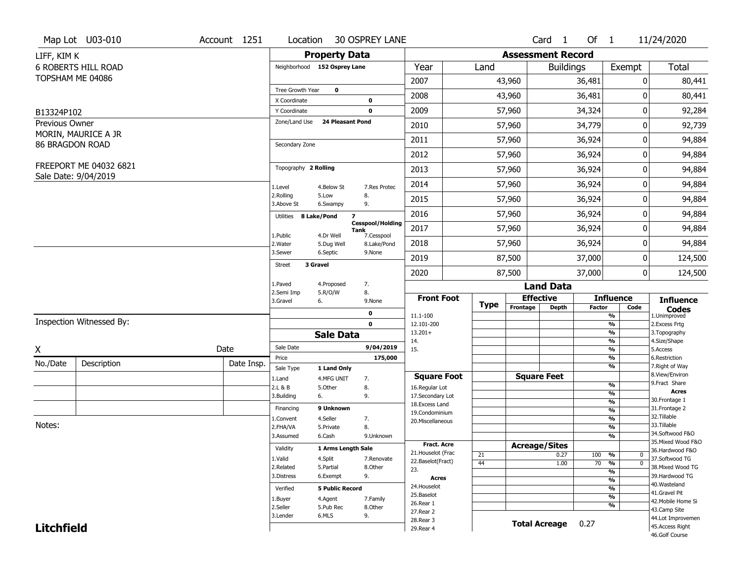|                   | Map Lot U03-010            | Account 1251 | Location                |                              | <b>30 OSPREY LANE</b>                         |                                    |             |                          | $Card \t1$           | Of 1                              |                                               | 11/24/2020                        |
|-------------------|----------------------------|--------------|-------------------------|------------------------------|-----------------------------------------------|------------------------------------|-------------|--------------------------|----------------------|-----------------------------------|-----------------------------------------------|-----------------------------------|
| LIFF, KIM K       |                            |              |                         | <b>Property Data</b>         |                                               |                                    |             | <b>Assessment Record</b> |                      |                                   |                                               |                                   |
|                   | <b>6 ROBERTS HILL ROAD</b> |              |                         | Neighborhood 152 Osprey Lane |                                               | Year                               | Land        |                          | <b>Buildings</b>     |                                   | Exempt                                        | <b>Total</b>                      |
|                   | TOPSHAM ME 04086           |              |                         |                              |                                               | 2007                               |             | 43,960                   |                      | 36,481                            | 0                                             | 80,441                            |
|                   |                            |              | Tree Growth Year        | $\mathbf 0$                  |                                               |                                    |             |                          |                      |                                   |                                               |                                   |
|                   |                            |              | X Coordinate            |                              | 0                                             | 2008                               |             | 43,960                   |                      | 36,481                            | 0                                             | 80,441                            |
| B13324P102        |                            |              | Y Coordinate            |                              | $\mathbf 0$                                   | 2009                               |             | 57,960                   |                      | 34,324                            | 0                                             | 92,284                            |
| Previous Owner    |                            |              | Zone/Land Use           | <b>24 Pleasant Pond</b>      |                                               | 2010                               |             | 57,960                   |                      | 34,779                            | 0                                             | 92,739                            |
| 86 BRAGDON ROAD   | MORIN, MAURICE A JR        |              | Secondary Zone          |                              |                                               | 2011                               |             | 57,960                   |                      | 36,924                            | 0                                             | 94,884                            |
|                   |                            |              |                         |                              |                                               | 2012                               |             | 57,960                   |                      | 36,924                            | 0                                             | 94,884                            |
|                   | FREEPORT ME 04032 6821     |              | Topography 2 Rolling    |                              |                                               | 2013                               |             | 57,960                   |                      | 36,924                            | 0                                             | 94,884                            |
|                   | Sale Date: 9/04/2019       |              | 1.Level                 | 4.Below St                   | 7.Res Protec                                  | 2014                               |             | 57,960                   |                      | 36,924                            | 0                                             | 94,884                            |
|                   |                            |              | 2.Rolling<br>3.Above St | 5.Low<br>6.Swampy            | 8.<br>9.                                      | 2015                               |             | 57,960                   |                      | 36,924                            | 0                                             | 94,884                            |
|                   |                            |              | Utilities 8 Lake/Pond   | $\overline{\mathbf{z}}$      |                                               | 2016                               |             | 57,960                   |                      | 36,924                            | 0                                             | 94,884                            |
|                   |                            |              |                         | 4.Dr Well                    | <b>Cesspool/Holding</b><br>Tank<br>7.Cesspool | 2017                               |             | 57,960                   |                      | 36,924                            | 0                                             | 94,884                            |
|                   |                            |              | 1.Public<br>2.Water     | 5.Dug Well                   | 8.Lake/Pond                                   | 2018                               |             | 57,960                   |                      | 36,924                            | 0                                             | 94,884                            |
|                   |                            |              | 3.Sewer                 | 6.Septic                     | 9.None                                        | 2019                               |             | 87,500                   |                      | 37,000                            | 0                                             | 124,500                           |
|                   |                            |              | Street                  | 3 Gravel                     |                                               | 2020                               |             | 87,500<br>37,000         |                      |                                   | $\overline{0}$                                | 124,500                           |
|                   |                            |              | 1.Paved                 | 4.Proposed                   | 7.                                            |                                    |             |                          | <b>Land Data</b>     |                                   |                                               |                                   |
|                   |                            |              | 2.Semi Imp<br>3.Gravel  | 5.R/O/W<br>6.                | 8.<br>9.None                                  | <b>Front Foot</b>                  |             |                          | <b>Effective</b>     |                                   | <b>Influence</b>                              | <b>Influence</b>                  |
|                   |                            |              |                         |                              | 0                                             | 11.1-100                           | <b>Type</b> | Frontage                 | <b>Depth</b>         | <b>Factor</b>                     | Code<br>%                                     | <b>Codes</b><br>1.Unimproved      |
|                   | Inspection Witnessed By:   |              |                         |                              | $\mathbf 0$                                   | 12.101-200                         |             |                          |                      |                                   | $\overline{\frac{9}{6}}$                      | 2. Excess Frtg                    |
|                   |                            |              |                         | <b>Sale Data</b>             |                                               | $13.201+$                          |             |                          |                      |                                   | %                                             | 3. Topography                     |
| X                 |                            | Date         | Sale Date               |                              | 9/04/2019                                     | 14.<br>15.                         |             |                          |                      |                                   | %<br>$\frac{9}{6}$                            | 4.Size/Shape<br>5.Access          |
| No./Date          |                            | Date Insp.   | Price                   |                              | 175,000                                       |                                    |             |                          |                      |                                   | %                                             | 6.Restriction                     |
|                   | Description                |              | Sale Type               | 1 Land Only                  |                                               |                                    |             |                          |                      |                                   | %                                             | 7. Right of Way<br>8.View/Environ |
|                   |                            |              | 1.Land                  | 4.MFG UNIT                   | 7.                                            | <b>Square Foot</b>                 |             |                          | <b>Square Feet</b>   |                                   | $\frac{9}{6}$                                 | 9. Fract Share                    |
|                   |                            |              | 2.L & B<br>3.Building   | 5.Other<br>6.                | 8.<br>9.                                      | 16.Regular Lot<br>17.Secondary Lot |             |                          |                      |                                   | $\overline{\frac{9}{6}}$                      | <b>Acres</b>                      |
|                   |                            |              |                         |                              |                                               | 18.Excess Land                     |             |                          |                      |                                   | $\frac{9}{6}$                                 | 30.Frontage 1                     |
|                   |                            |              | Financing               | 9 Unknown                    |                                               | 19.Condominium                     |             |                          |                      |                                   | $\frac{9}{6}$                                 | 31. Frontage 2<br>32.Tillable     |
| Notes:            |                            |              | 1.Convent               | 4.Seller                     | 7.                                            | 20.Miscellaneous                   |             |                          |                      |                                   | $\frac{9}{6}$                                 | 33.Tillable                       |
|                   |                            |              | 2.FHA/VA<br>3.Assumed   | 5.Private<br>6.Cash          | 8.                                            |                                    |             |                          |                      |                                   | $\frac{9}{6}$<br>%                            | 34.Softwood F&O                   |
|                   |                            |              |                         |                              | 9.Unknown                                     | <b>Fract, Acre</b>                 |             |                          |                      |                                   |                                               | 35. Mixed Wood F&O                |
|                   |                            |              | Validity                | 1 Arms Length Sale           |                                               | 21. Houselot (Frac                 |             |                          | <b>Acreage/Sites</b> |                                   |                                               | 36.Hardwood F&O                   |
|                   |                            |              | 1.Valid                 | 4.Split                      | 7.Renovate                                    | 22.Baselot(Fract)                  | 21          |                          | 0.27                 | 100                               | %<br>0                                        | 37.Softwood TG                    |
|                   |                            |              | 2.Related               | 5.Partial                    | 8.Other                                       | 23.                                | 44          |                          | 1.00                 | 70                                | $\frac{9}{6}$<br>$\mathbf 0$<br>$\frac{9}{6}$ | 38. Mixed Wood TG                 |
|                   |                            |              | 3.Distress              | 6.Exempt                     | 9.                                            | <b>Acres</b>                       |             |                          |                      |                                   | $\frac{9}{6}$                                 | 39.Hardwood TG                    |
|                   |                            |              | Verified                | <b>5 Public Record</b>       |                                               | 24. Houselot                       |             |                          |                      |                                   | $\frac{9}{6}$                                 | 40. Wasteland                     |
|                   |                            |              |                         |                              |                                               | 25.Baselot                         |             |                          |                      |                                   | $\frac{9}{6}$                                 | 41.Gravel Pit                     |
|                   |                            |              | 1.Buyer<br>2.Seller     | 4.Agent<br>5.Pub Rec         | 7.Family<br>8.Other                           | 26.Rear 1                          |             |                          |                      |                                   | %                                             | 42. Mobile Home Si                |
|                   |                            |              | 3.Lender                | 6.MLS                        | 9.                                            | 27.Rear 2                          |             |                          |                      |                                   |                                               | 43.Camp Site                      |
|                   |                            |              |                         |                              |                                               | 28. Rear 3                         |             |                          | <b>Total Acreage</b> | 0.27                              |                                               | 44.Lot Improvemen                 |
| <b>Litchfield</b> |                            |              |                         |                              |                                               | 29. Rear 4                         |             |                          |                      | 45.Access Right<br>46.Golf Course |                                               |                                   |